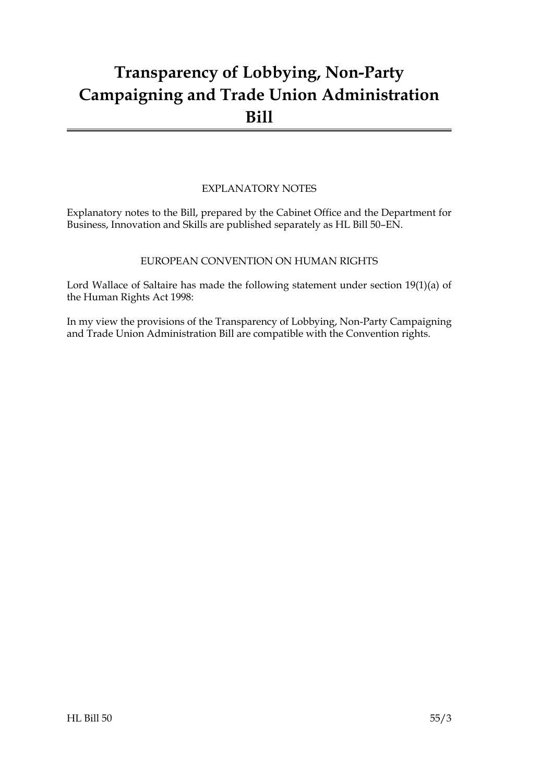# **Transparency of Lobbying, Non-Party Campaigning and Trade Union Administration Bill**

#### EXPLANATORY NOTES

Explanatory notes to the Bill, prepared by the Cabinet Office and the Department for Business, Innovation and Skills are published separately as HL Bill 50–EN.

#### EUROPEAN CONVENTION ON HUMAN RIGHTS

Lord Wallace of Saltaire has made the following statement under section 19(1)(a) of the Human Rights Act 1998:

In my view the provisions of the Transparency of Lobbying, Non-Party Campaigning and Trade Union Administration Bill are compatible with the Convention rights.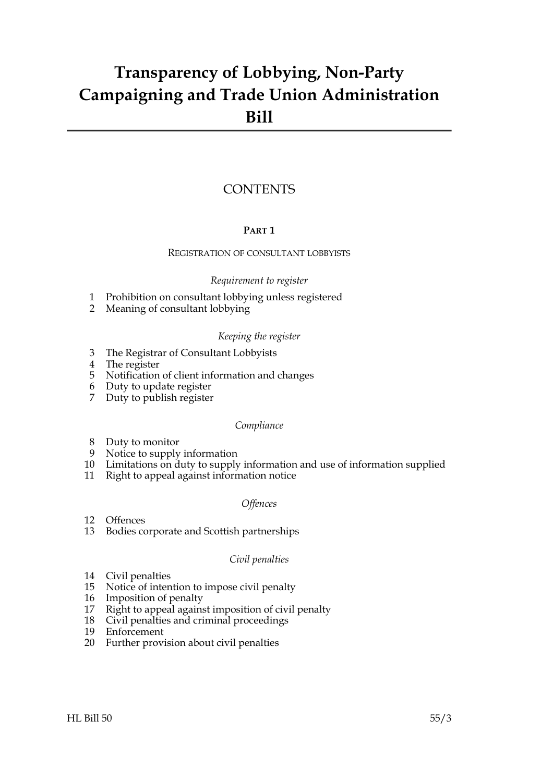# **Transparency of Lobbying, Non-Party Campaigning and Trade Union Administration Bill**

#### **CONTENTS**

#### **PART 1**

#### REGISTRATION OF CONSULTANT LOBBYISTS

#### *Requirement to register*

- 1 Prohibition on consultant lobbying unless registered
- 2 Meaning of consultant lobbying

#### *Keeping the register*

- 3 The Registrar of Consultant Lobbyists
- 4 The register
- 5 Notification of client information and changes
- 6 Duty to update register
- 7 Duty to publish register

#### *Compliance*

- 8 Duty to monitor
- 9 Notice to supply information
- 10 Limitations on duty to supply information and use of information supplied
- 11 Right to appeal against information notice

#### *Offences*

- 12 Offences
- 13 Bodies corporate and Scottish partnerships

#### *Civil penalties*

- 14 Civil penalties
- 15 Notice of intention to impose civil penalty
- 16 Imposition of penalty
- Right to appeal against imposition of civil penalty 17 Right to appeal against imposition of civil<br>18 Civil penalties and criminal proceedings
- 
- 19 Enforcement
- 20 Further provision about civil penalties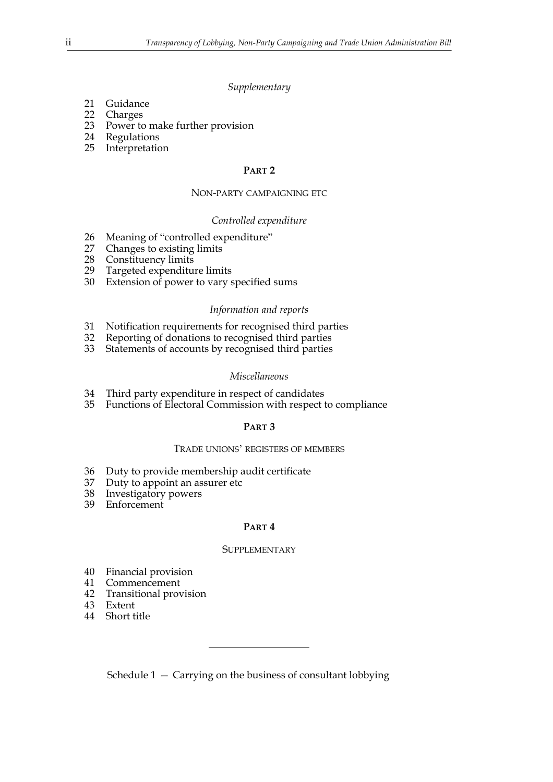#### *Supplementary*

- 21 Guidance
- 22 Charges
- 23 Power to make further provision
- 24 Regulations
- 25 Interpretation

#### **PART 2**

#### NON-PARTY CAMPAIGNING ETC

#### *Controlled expenditure*

- 26 Meaning of "controlled expenditure"<br>27 Changes to existing limits
- 27 Changes to existing limits
- Constituency limits
- 29 Targeted expenditure limits
- 30 Extension of power to vary specified sums

#### *Information and reports*

- 31 Notification requirements for recognised third parties
- Reporting of donations to recognised third parties
- 33 Statements of accounts by recognised third parties

#### *Miscellaneous*

- 34 Third party expenditure in respect of candidates
- 35 Functions of Electoral Commission with respect to compliance

#### **PART 3**

#### TRADE UNIONS' REGISTERS OF MEMBERS

- 36 Duty to provide membership audit certificate
- 37 Duty to appoint an assurer etc
- 38 Investigatory powers
- 39 Enforcement

#### **PART 4**

#### **SUPPLEMENTARY**

- 40 Financial provision
- 41 Commencement
- 42 Transitional provision
- 43 Extent
- 44 Short title

Schedule 1 — Carrying on the business of consultant lobbying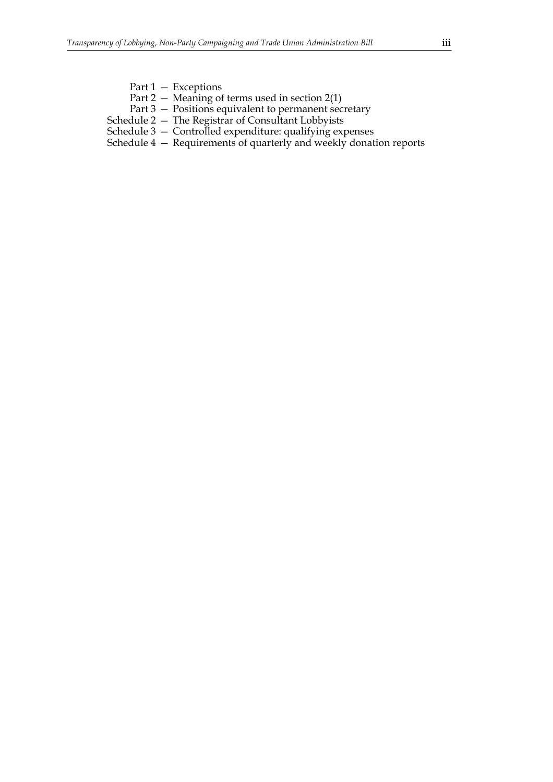| Part $1 -$ Exceptions                                |  |
|------------------------------------------------------|--|
| Part $2 -$ Meaning of terms used in section 2(1)     |  |
| Part 3 - Positions equivalent to permanent secretary |  |
| Schedule 2 – The Registrar of Consultant Lobbyists   |  |

- Schedule 3 Controlled expenditure: qualifying expenses
- Schedule 4 Requirements of quarterly and weekly donation reports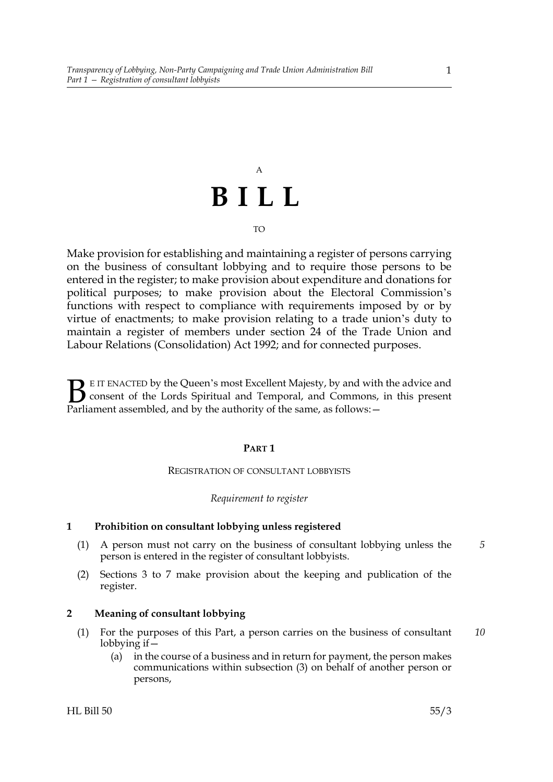# A **BILL**

#### TO

Make provision for establishing and maintaining a register of persons carrying on the business of consultant lobbying and to require those persons to be entered in the register; to make provision about expenditure and donations for political purposes; to make provision about the Electoral Commission's functions with respect to compliance with requirements imposed by or by virtue of enactments; to make provision relating to a trade union's duty to maintain a register of members under section 24 of the Trade Union and Labour Relations (Consolidation) Act 1992; and for connected purposes.

E IT ENACTED by the Queen's most Excellent Majesty, by and with the advice and consent of the Lords Spiritual and Temporal, and Commons, in this present Parliament assembled, and by the authority of the same, as follows:  $\mathbf{B}_{\text{rel}}$ 

#### **PART 1**

#### REGISTRATION OF CONSULTANT LOBBYISTS

#### *Requirement to register*

#### **1 Prohibition on consultant lobbying unless registered**

- (1) A person must not carry on the business of consultant lobbying unless the person is entered in the register of consultant lobbyists.
- (2) Sections 3 to 7 make provision about the keeping and publication of the register.

#### **2 Meaning of consultant lobbying**

- (1) For the purposes of this Part, a person carries on the business of consultant lobbying if— *10*
	- (a) in the course of a business and in return for payment, the person makes communications within subsection (3) on behalf of another person or persons,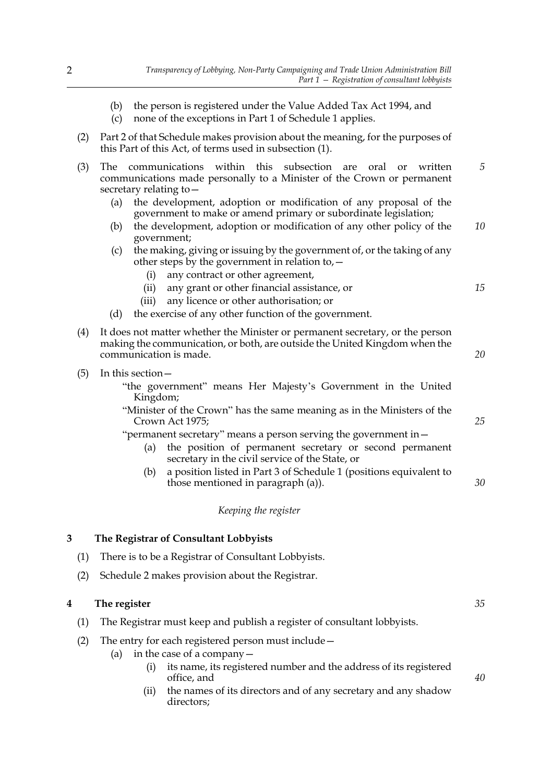- (b) the person is registered under the Value Added Tax Act 1994, and
- (c) none of the exceptions in Part 1 of Schedule 1 applies.
- (2) Part 2 of that Schedule makes provision about the meaning, for the purposes of this Part of this Act, of terms used in subsection (1).
- (3) The communications within this subsection are oral or written communications made personally to a Minister of the Crown or permanent secretary relating to— *5*
	- (a) the development, adoption or modification of any proposal of the government to make or amend primary or subordinate legislation;
	- (b) the development, adoption or modification of any other policy of the government; *10*
	- (c) the making, giving or issuing by the government of, or the taking of any other steps by the government in relation to,—
		- (i) any contract or other agreement,
		- (ii) any grant or other financial assistance, or
		- (iii) any licence or other authorisation; or
	- (d) the exercise of any other function of the government.
- (4) It does not matter whether the Minister or permanent secretary, or the person making the communication, or both, are outside the United Kingdom when the communication is made.
- (5) In this section—
	- "the government" means Her Majesty's Government in the United Kingdom;
	- "Minister of the Crown" has the same meaning as in the Ministers of the Crown Act 1975;
	- "permanent secretary" means a person serving the government in—
		- (a) the position of permanent secretary or second permanent secretary in the civil service of the State, or
		- (b) a position listed in Part 3 of Schedule 1 (positions equivalent to those mentioned in paragraph (a)). *30*

#### *Keeping the register*

#### **3 The Registrar of Consultant Lobbyists**

- (1) There is to be a Registrar of Consultant Lobbyists.
- (2) Schedule 2 makes provision about the Registrar.

#### **4 The register**

- (1) The Registrar must keep and publish a register of consultant lobbyists.
- (2) The entry for each registered person must include—
	- (a) in the case of a company  $-$ 
		- (i) its name, its registered number and the address of its registered office, and
		- (ii) the names of its directors and of any secretary and any shadow directors;

*40*

*35*

*15*

*20*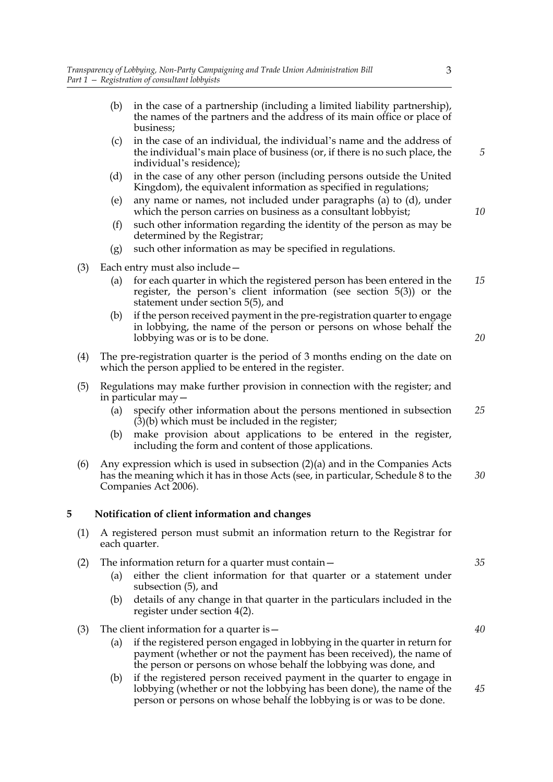- (b) in the case of a partnership (including a limited liability partnership), the names of the partners and the address of its main office or place of business;
- (c) in the case of an individual, the individual's name and the address of the individual's main place of business (or, if there is no such place, the individual's residence);
- (d) in the case of any other person (including persons outside the United Kingdom), the equivalent information as specified in regulations;
- (e) any name or names, not included under paragraphs (a) to (d), under which the person carries on business as a consultant lobbyist;
- (f) such other information regarding the identity of the person as may be determined by the Registrar;
- (g) such other information as may be specified in regulations.
- (3) Each entry must also include—
	- (a) for each quarter in which the registered person has been entered in the register, the person's client information (see section 5(3)) or the statement under section 5(5), and *15*
	- (b) if the person received payment in the pre-registration quarter to engage in lobbying, the name of the person or persons on whose behalf the lobbying was or is to be done.
- (4) The pre-registration quarter is the period of 3 months ending on the date on which the person applied to be entered in the register.
- (5) Regulations may make further provision in connection with the register; and in particular may—
	- (a) specify other information about the persons mentioned in subsection  $(3)(b)$  which must be included in the register; *25*
	- (b) make provision about applications to be entered in the register, including the form and content of those applications.
- (6) Any expression which is used in subsection  $(2)(a)$  and in the Companies Acts has the meaning which it has in those Acts (see, in particular, Schedule 8 to the Companies Act 2006). *30*

#### **5 Notification of client information and changes**

- (1) A registered person must submit an information return to the Registrar for each quarter.
- (2) The information return for a quarter must contain—
	- (a) either the client information for that quarter or a statement under subsection (5), and
	- (b) details of any change in that quarter in the particulars included in the register under section 4(2).
- (3) The client information for a quarter is  $-$ 
	- (a) if the registered person engaged in lobbying in the quarter in return for payment (whether or not the payment has been received), the name of the person or persons on whose behalf the lobbying was done, and
	- (b) if the registered person received payment in the quarter to engage in lobbying (whether or not the lobbying has been done), the name of the person or persons on whose behalf the lobbying is or was to be done.

*5*

*10*

*20*

*35*

*40*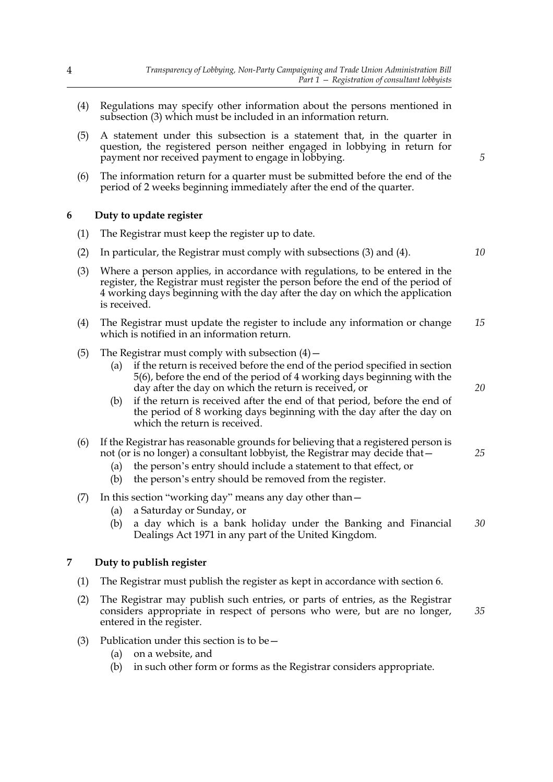- (4) Regulations may specify other information about the persons mentioned in subsection (3) which must be included in an information return.
- (5) A statement under this subsection is a statement that, in the quarter in question, the registered person neither engaged in lobbying in return for payment nor received payment to engage in lobbying.
- (6) The information return for a quarter must be submitted before the end of the period of 2 weeks beginning immediately after the end of the quarter.

#### **6 Duty to update register**

- (1) The Registrar must keep the register up to date.
- (2) In particular, the Registrar must comply with subsections (3) and (4).
- (3) Where a person applies, in accordance with regulations, to be entered in the register, the Registrar must register the person before the end of the period of 4 working days beginning with the day after the day on which the application is received.
- (4) The Registrar must update the register to include any information or change which is notified in an information return. *15*
- (5) The Registrar must comply with subsection  $(4)$ 
	- (a) if the return is received before the end of the period specified in section 5(6), before the end of the period of 4 working days beginning with the day after the day on which the return is received, or
	- (b) if the return is received after the end of that period, before the end of the period of 8 working days beginning with the day after the day on which the return is received.

#### (6) If the Registrar has reasonable grounds for believing that a registered person is not (or is no longer) a consultant lobbyist, the Registrar may decide that—

- (a) the person's entry should include a statement to that effect, or
- (b) the person's entry should be removed from the register.
- (7) In this section "working day" means any day other than—
	- (a) a Saturday or Sunday, or
	- (b) a day which is a bank holiday under the Banking and Financial Dealings Act 1971 in any part of the United Kingdom. *30*

#### **7 Duty to publish register**

- (1) The Registrar must publish the register as kept in accordance with section 6.
- (2) The Registrar may publish such entries, or parts of entries, as the Registrar considers appropriate in respect of persons who were, but are no longer, entered in the register. *35*
- (3) Publication under this section is to be—
	- (a) on a website, and
	- (b) in such other form or forms as the Registrar considers appropriate.

*5*

*10*

*20*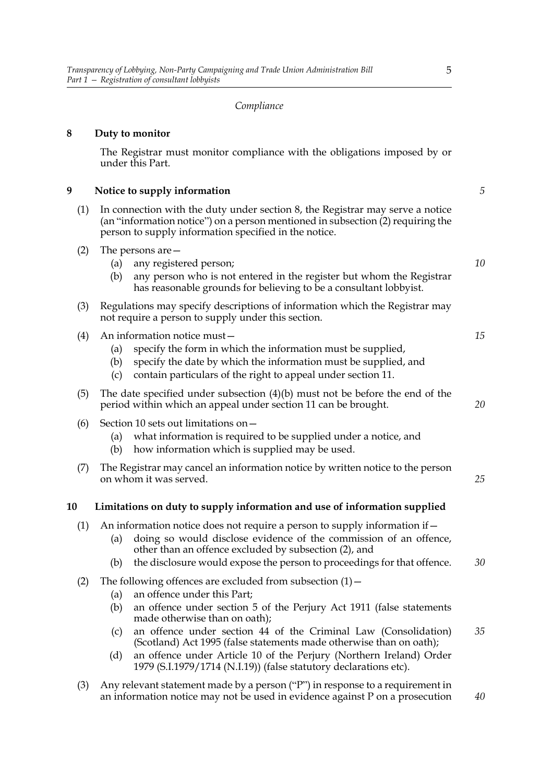#### *Compliance*

#### **8 Duty to monitor**

 The Registrar must monitor compliance with the obligations imposed by or under this Part.

#### **9 Notice to supply information**

- (1) In connection with the duty under section 8, the Registrar may serve a notice (an "information notice") on a person mentioned in subsection (2) requiring the person to supply information specified in the notice.
- (2) The persons are—
	- (a) any registered person;
	- (b) any person who is not entered in the register but whom the Registrar has reasonable grounds for believing to be a consultant lobbyist.
- (3) Regulations may specify descriptions of information which the Registrar may not require a person to supply under this section.
- (4) An information notice must—
	- (a) specify the form in which the information must be supplied,
	- (b) specify the date by which the information must be supplied, and
	- (c) contain particulars of the right to appeal under section 11.
- (5) The date specified under subsection (4)(b) must not be before the end of the period within which an appeal under section 11 can be brought.
- (6) Section 10 sets out limitations on  $-$ 
	- (a) what information is required to be supplied under a notice, and
	- (b) how information which is supplied may be used.
- (7) The Registrar may cancel an information notice by written notice to the person on whom it was served.

#### **10 Limitations on duty to supply information and use of information supplied**

- (1) An information notice does not require a person to supply information if  $-$ 
	- (a) doing so would disclose evidence of the commission of an offence, other than an offence excluded by subsection (2), and
		- (b) the disclosure would expose the person to proceedings for that offence. *30*
- (2) The following offences are excluded from subsection  $(1)$ 
	- (a) an offence under this Part;
	- (b) an offence under section 5 of the Perjury Act 1911 (false statements made otherwise than on oath);
	- (c) an offence under section 44 of the Criminal Law (Consolidation) (Scotland) Act 1995 (false statements made otherwise than on oath); *35*
	- (d) an offence under Article 10 of the Perjury (Northern Ireland) Order 1979 (S.I.1979/1714 (N.I.19)) (false statutory declarations etc).
- (3) Any relevant statement made by a person ("P") in response to a requirement in an information notice may not be used in evidence against P on a prosecution *40*

*5*

*10*

*15*

*20*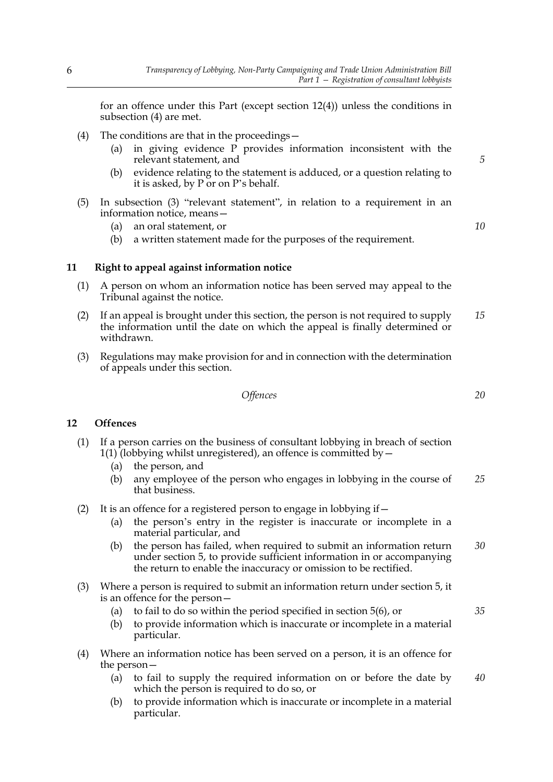for an offence under this Part (except section 12(4)) unless the conditions in subsection (4) are met.

- (4) The conditions are that in the proceedings—
	- (a) in giving evidence P provides information inconsistent with the relevant statement, and
	- (b) evidence relating to the statement is adduced, or a question relating to it is asked, by P or on P's behalf.
- (5) In subsection (3) "relevant statement", in relation to a requirement in an information notice, means—
	- (a) an oral statement, or
	- (b) a written statement made for the purposes of the requirement.

#### **11 Right to appeal against information notice**

- (1) A person on whom an information notice has been served may appeal to the Tribunal against the notice.
- (2) If an appeal is brought under this section, the person is not required to supply the information until the date on which the appeal is finally determined or withdrawn. *15*
- (3) Regulations may make provision for and in connection with the determination of appeals under this section.

*Offences*

**12 Offences**

- (1) If a person carries on the business of consultant lobbying in breach of section  $1(1)$  (lobbying whilst unregistered), an offence is committed by  $-$ 
	- (a) the person, and
	- (b) any employee of the person who engages in lobbying in the course of that business. *25*
- (2) It is an offence for a registered person to engage in lobbying if—
	- (a) the person's entry in the register is inaccurate or incomplete in a material particular, and
	- (b) the person has failed, when required to submit an information return under section 5, to provide sufficient information in or accompanying the return to enable the inaccuracy or omission to be rectified. *30*
- (3) Where a person is required to submit an information return under section 5, it is an offence for the person—
	- (a) to fail to do so within the period specified in section 5(6), or
	- (b) to provide information which is inaccurate or incomplete in a material particular.
- (4) Where an information notice has been served on a person, it is an offence for the person—
	- (a) to fail to supply the required information on or before the date by which the person is required to do so, or *40*
	- (b) to provide information which is inaccurate or incomplete in a material particular.

*5*

*10*

*20*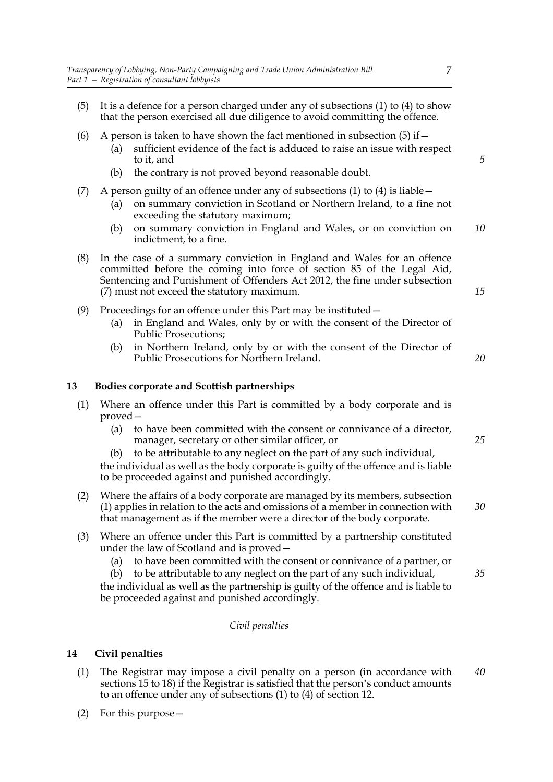- (5) It is a defence for a person charged under any of subsections (1) to (4) to show that the person exercised all due diligence to avoid committing the offence.
- (6) A person is taken to have shown the fact mentioned in subsection (5) if  $-$ 
	- (a) sufficient evidence of the fact is adduced to raise an issue with respect to it, and
	- (b) the contrary is not proved beyond reasonable doubt.
- (7) A person guilty of an offence under any of subsections (1) to (4) is liable—
	- (a) on summary conviction in Scotland or Northern Ireland, to a fine not exceeding the statutory maximum;
	- (b) on summary conviction in England and Wales, or on conviction on indictment, to a fine. *10*
- (8) In the case of a summary conviction in England and Wales for an offence committed before the coming into force of section 85 of the Legal Aid, Sentencing and Punishment of Offenders Act 2012, the fine under subsection (7) must not exceed the statutory maximum.
- (9) Proceedings for an offence under this Part may be instituted—
	- (a) in England and Wales, only by or with the consent of the Director of Public Prosecutions;
	- (b) in Northern Ireland, only by or with the consent of the Director of Public Prosecutions for Northern Ireland.

#### **13 Bodies corporate and Scottish partnerships**

- (1) Where an offence under this Part is committed by a body corporate and is proved—
	- (a) to have been committed with the consent or connivance of a director, manager, secretary or other similar officer, or
	- (b) to be attributable to any neglect on the part of any such individual,

the individual as well as the body corporate is guilty of the offence and is liable to be proceeded against and punished accordingly.

- (2) Where the affairs of a body corporate are managed by its members, subsection (1) applies in relation to the acts and omissions of a member in connection with that management as if the member were a director of the body corporate.
- (3) Where an offence under this Part is committed by a partnership constituted under the law of Scotland and is proved—
	- (a) to have been committed with the consent or connivance of a partner, or

(b) to be attributable to any neglect on the part of any such individual, the individual as well as the partnership is guilty of the offence and is liable to be proceeded against and punished accordingly.

#### *Civil penalties*

#### **14 Civil penalties**

- (1) The Registrar may impose a civil penalty on a person (in accordance with sections 15 to 18) if the Registrar is satisfied that the person's conduct amounts to an offence under any of subsections (1) to (4) of section 12. *40*
- (2) For this purpose—

*5*

*15*

*20*

*25*

*30*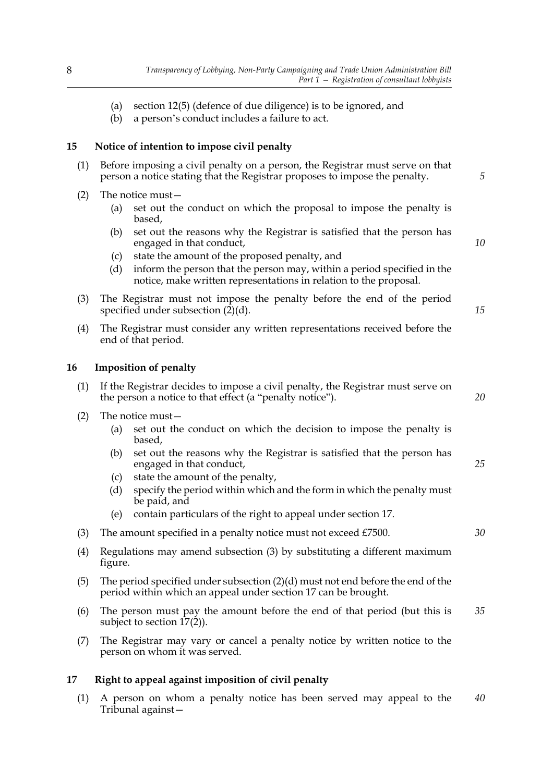- (a) section 12(5) (defence of due diligence) is to be ignored, and
- (b) a person's conduct includes a failure to act.

#### **15 Notice of intention to impose civil penalty**

- (1) Before imposing a civil penalty on a person, the Registrar must serve on that person a notice stating that the Registrar proposes to impose the penalty.
- (2) The notice must—
	- (a) set out the conduct on which the proposal to impose the penalty is based,
	- (b) set out the reasons why the Registrar is satisfied that the person has engaged in that conduct,
	- (c) state the amount of the proposed penalty, and
	- (d) inform the person that the person may, within a period specified in the notice, make written representations in relation to the proposal.
- (3) The Registrar must not impose the penalty before the end of the period specified under subsection (2)(d).
- (4) The Registrar must consider any written representations received before the end of that period.

#### **16 Imposition of penalty**

- (1) If the Registrar decides to impose a civil penalty, the Registrar must serve on the person a notice to that effect (a "penalty notice").
- (2) The notice must—
	- (a) set out the conduct on which the decision to impose the penalty is based,
	- (b) set out the reasons why the Registrar is satisfied that the person has engaged in that conduct,
	- (c) state the amount of the penalty,
	- (d) specify the period within which and the form in which the penalty must be paid, and
	- (e) contain particulars of the right to appeal under section 17.
- (3) The amount specified in a penalty notice must not exceed £7500.
- (4) Regulations may amend subsection (3) by substituting a different maximum figure.
- (5) The period specified under subsection (2)(d) must not end before the end of the period within which an appeal under section 17 can be brought.
- (6) The person must pay the amount before the end of that period (but this is subject to section 17(2)). *35*
- (7) The Registrar may vary or cancel a penalty notice by written notice to the person on whom it was served.

#### **17 Right to appeal against imposition of civil penalty**

(1) A person on whom a penalty notice has been served may appeal to the Tribunal against— *40*

*15*

*10*

*5*

*25*

*30*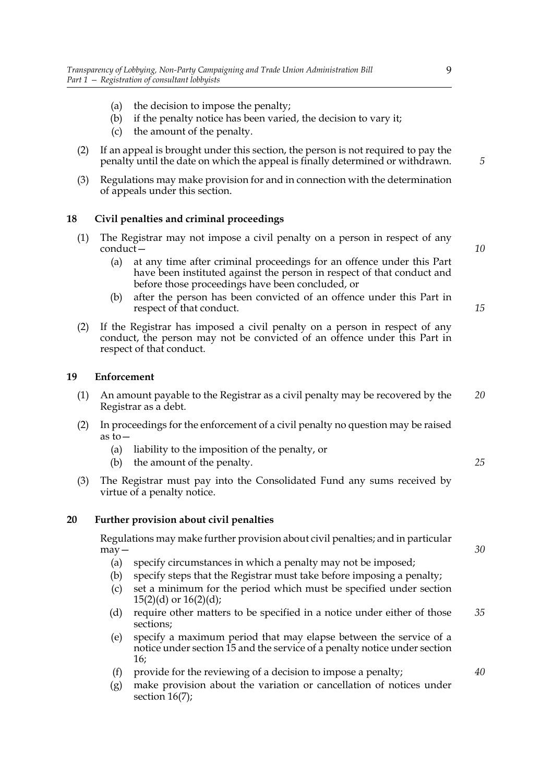- (a) the decision to impose the penalty;
- (b) if the penalty notice has been varied, the decision to vary it;
- (c) the amount of the penalty.
- (2) If an appeal is brought under this section, the person is not required to pay the penalty until the date on which the appeal is finally determined or withdrawn.
- (3) Regulations may make provision for and in connection with the determination of appeals under this section.

#### **18 Civil penalties and criminal proceedings**

- (1) The Registrar may not impose a civil penalty on a person in respect of any conduct—
	- (a) at any time after criminal proceedings for an offence under this Part have been instituted against the person in respect of that conduct and before those proceedings have been concluded, or
	- (b) after the person has been convicted of an offence under this Part in respect of that conduct.
- (2) If the Registrar has imposed a civil penalty on a person in respect of any conduct, the person may not be convicted of an offence under this Part in respect of that conduct.

#### **19 Enforcement**

- (1) An amount payable to the Registrar as a civil penalty may be recovered by the Registrar as a debt. *20*
- (2) In proceedings for the enforcement of a civil penalty no question may be raised as to—
	- (a) liability to the imposition of the penalty, or
	- (b) the amount of the penalty.
- (3) The Registrar must pay into the Consolidated Fund any sums received by virtue of a penalty notice.

#### **20 Further provision about civil penalties**

 Regulations may make further provision about civil penalties; and in particular may—

- (a) specify circumstances in which a penalty may not be imposed;
- (b) specify steps that the Registrar must take before imposing a penalty;
- (c) set a minimum for the period which must be specified under section  $15(2)(d)$  or  $16(2)(d)$ ;
- (d) require other matters to be specified in a notice under either of those sections; *35*
- (e) specify a maximum period that may elapse between the service of a notice under section 15 and the service of a penalty notice under section  $16:$
- (f) provide for the reviewing of a decision to impose a penalty;
- (g) make provision about the variation or cancellation of notices under section 16(7);

*5*

*10*

*15*

*30*

*25*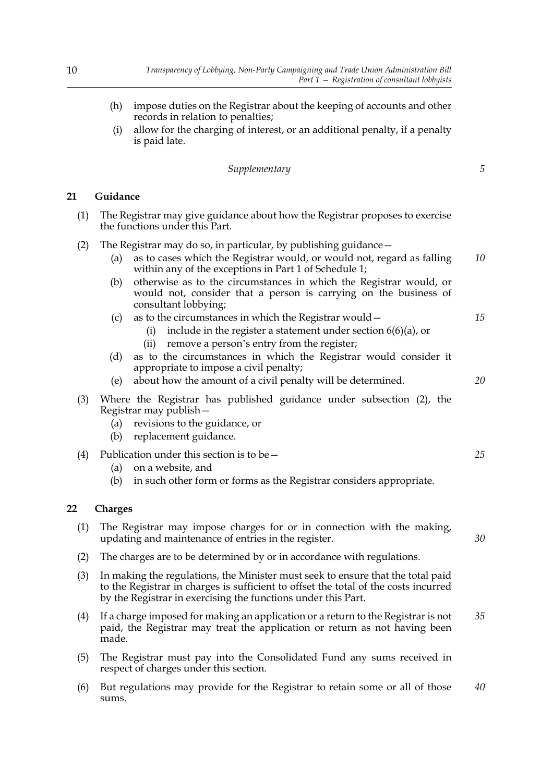- (h) impose duties on the Registrar about the keeping of accounts and other records in relation to penalties;
- (i) allow for the charging of interest, or an additional penalty, if a penalty is paid late.

#### *Supplementary*

*5*

#### **21 Guidance**

- (1) The Registrar may give guidance about how the Registrar proposes to exercise the functions under this Part.
- (2) The Registrar may do so, in particular, by publishing guidance—
	- (a) as to cases which the Registrar would, or would not, regard as falling within any of the exceptions in Part 1 of Schedule 1; *10*
	- (b) otherwise as to the circumstances in which the Registrar would, or would not, consider that a person is carrying on the business of consultant lobbying;
	- (c) as to the circumstances in which the Registrar would—
		- (i) include in the register a statement under section  $6(6)(a)$ , or
		- (ii) remove a person's entry from the register;
	- (d) as to the circumstances in which the Registrar would consider it appropriate to impose a civil penalty;
	- (e) about how the amount of a civil penalty will be determined.
- (3) Where the Registrar has published guidance under subsection (2), the Registrar may publish—
	- (a) revisions to the guidance, or
	- (b) replacement guidance.

#### (4) Publication under this section is to be  $-$

- (a) on a website, and
- (b) in such other form or forms as the Registrar considers appropriate.

#### **22 Charges**

- (1) The Registrar may impose charges for or in connection with the making, updating and maintenance of entries in the register.
- (2) The charges are to be determined by or in accordance with regulations.
- (3) In making the regulations, the Minister must seek to ensure that the total paid to the Registrar in charges is sufficient to offset the total of the costs incurred by the Registrar in exercising the functions under this Part.
- (4) If a charge imposed for making an application or a return to the Registrar is not paid, the Registrar may treat the application or return as not having been made. *35*
- (5) The Registrar must pay into the Consolidated Fund any sums received in respect of charges under this section.
- (6) But regulations may provide for the Registrar to retain some or all of those sums. *40*

*25*

*15*

*20*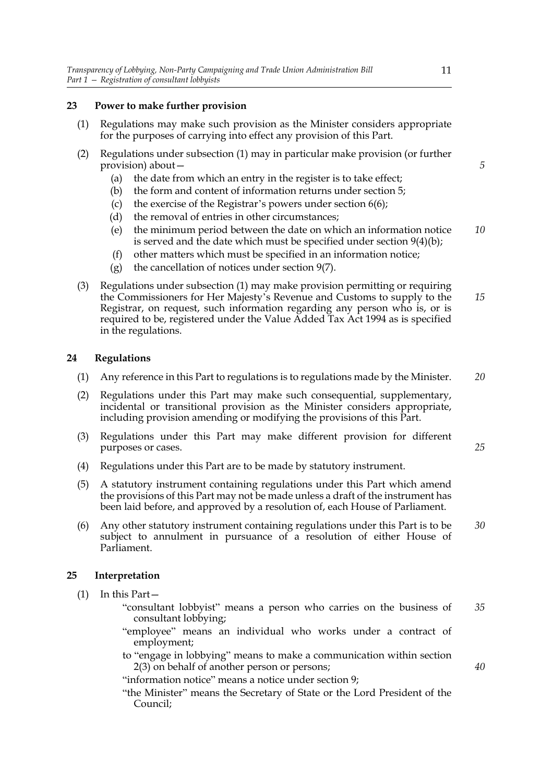#### **23 Power to make further provision**

- (1) Regulations may make such provision as the Minister considers appropriate for the purposes of carrying into effect any provision of this Part.
- (2) Regulations under subsection (1) may in particular make provision (or further provision) about—
	- (a) the date from which an entry in the register is to take effect;
	- (b) the form and content of information returns under section 5;
	- (c) the exercise of the Registrar's powers under section  $6(6)$ ;
	- (d) the removal of entries in other circumstances;
	- (e) the minimum period between the date on which an information notice is served and the date which must be specified under section 9(4)(b); *10*
	- (f) other matters which must be specified in an information notice;
	- (g) the cancellation of notices under section 9(7).
- (3) Regulations under subsection (1) may make provision permitting or requiring the Commissioners for Her Majesty's Revenue and Customs to supply to the Registrar, on request, such information regarding any person who is, or is required to be, registered under the Value Added Tax Act 1994 as is specified in the regulations. *15*

#### **24 Regulations**

- (1) Any reference in this Part to regulations is to regulations made by the Minister. *20*
- (2) Regulations under this Part may make such consequential, supplementary, incidental or transitional provision as the Minister considers appropriate, including provision amending or modifying the provisions of this Part.
- (3) Regulations under this Part may make different provision for different purposes or cases.
- (4) Regulations under this Part are to be made by statutory instrument.
- (5) A statutory instrument containing regulations under this Part which amend the provisions of this Part may not be made unless a draft of the instrument has been laid before, and approved by a resolution of, each House of Parliament.
- (6) Any other statutory instrument containing regulations under this Part is to be subject to annulment in pursuance of a resolution of either House of Parliament. *30*

#### **25 Interpretation**

- (1) In this Part—
	- "consultant lobbyist" means a person who carries on the business of consultant lobbying; *35*
	- "employee" means an individual who works under a contract of employment;
	- to "engage in lobbying" means to make a communication within section 2(3) on behalf of another person or persons;
	- "information notice" means a notice under section 9;
	- "the Minister" means the Secretary of State or the Lord President of the Council;

*5*

*25*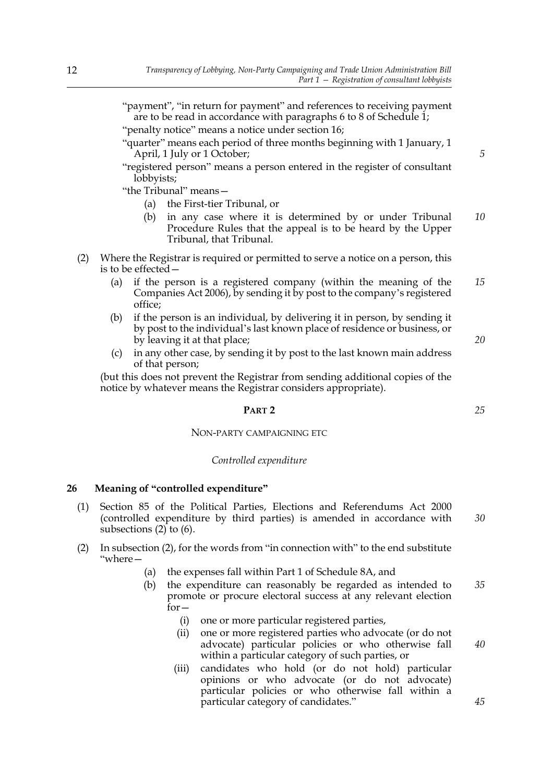- "payment", "in return for payment" and references to receiving payment are to be read in accordance with paragraphs 6 to 8 of Schedule 1; "penalty notice" means a notice under section 16;
- "quarter" means each period of three months beginning with 1 January, 1 April, 1 July or 1 October;
- *5*
- "registered person" means a person entered in the register of consultant lobbyists;

"the Tribunal" means—

- (a) the First-tier Tribunal, or
- (b) in any case where it is determined by or under Tribunal Procedure Rules that the appeal is to be heard by the Upper Tribunal, that Tribunal. *10*
- (2) Where the Registrar is required or permitted to serve a notice on a person, this is to be effected—
	- (a) if the person is a registered company (within the meaning of the Companies Act 2006), by sending it by post to the company's registered office; *15*
	- (b) if the person is an individual, by delivering it in person, by sending it by post to the individual's last known place of residence or business, or by leaving it at that place;
	- (c) in any other case, by sending it by post to the last known main address of that person;

(but this does not prevent the Registrar from sending additional copies of the notice by whatever means the Registrar considers appropriate).

#### **PART 2**

#### NON-PARTY CAMPAIGNING ETC

#### *Controlled expenditure*

#### **26 Meaning of "controlled expenditure"**

- (1) Section 85 of the Political Parties, Elections and Referendums Act 2000 (controlled expenditure by third parties) is amended in accordance with subsections (2) to (6). *30*
- (2) In subsection (2), for the words from "in connection with" to the end substitute "where—
	- (a) the expenses fall within Part 1 of Schedule 8A, and
	- (b) the expenditure can reasonably be regarded as intended to promote or procure electoral success at any relevant election  $for -$ *35*
		- (i) one or more particular registered parties,
		- (ii) one or more registered parties who advocate (or do not advocate) particular policies or who otherwise fall within a particular category of such parties, or
		- (iii) candidates who hold (or do not hold) particular opinions or who advocate (or do not advocate) particular policies or who otherwise fall within a particular category of candidates."

*20*

*25*

*40*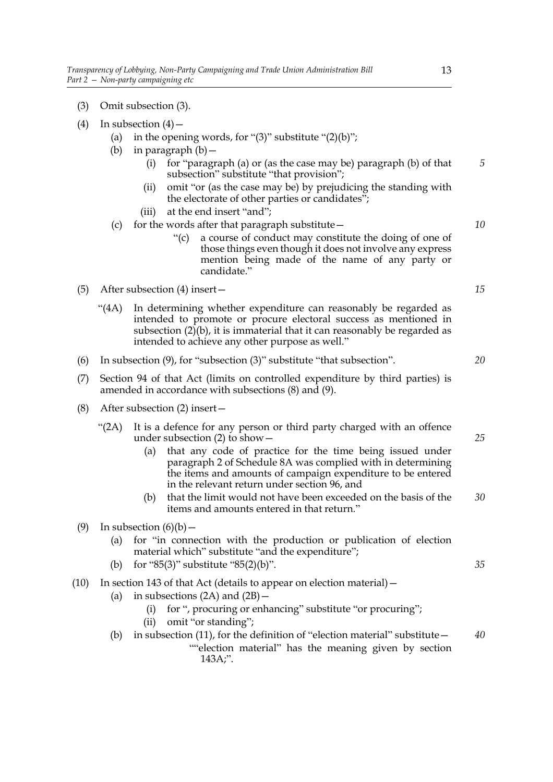- (3) Omit subsection (3).
- (4) In subsection  $(4)$ 
	- (a) in the opening words, for " $(3)$ " substitute " $(2)(b)$ ";
	- (b) in paragraph (b)—
		- (i) for "paragraph (a) or (as the case may be) paragraph (b) of that subsection" substitute "that provision"; *5*
		- (ii) omit "or (as the case may be) by prejudicing the standing with the electorate of other parties or candidates";
		- (iii) at the end insert "and";
	- (c) for the words after that paragraph substitute  $-$ 
		- "(c) a course of conduct may constitute the doing of one of those things even though it does not involve any express mention being made of the name of any party or candidate."
- (5) After subsection (4) insert—
	- "(4A) In determining whether expenditure can reasonably be regarded as intended to promote or procure electoral success as mentioned in subsection  $(2)(b)$ , it is immaterial that it can reasonably be regarded as intended to achieve any other purpose as well."
- (6) In subsection (9), for "subsection (3)" substitute "that subsection".
- (7) Section 94 of that Act (limits on controlled expenditure by third parties) is amended in accordance with subsections (8) and (9).
- (8) After subsection (2) insert—
	- "(2A) It is a defence for any person or third party charged with an offence under subsection (2) to show—
		- (a) that any code of practice for the time being issued under paragraph 2 of Schedule 8A was complied with in determining the items and amounts of campaign expenditure to be entered in the relevant return under section 96, and
		- (b) that the limit would not have been exceeded on the basis of the items and amounts entered in that return." *30*

#### (9) In subsection  $(6)(b)$  –

- (a) for "in connection with the production or publication of election material which" substitute "and the expenditure";
- (b) for "85(3)" substitute "85(2)(b)".

#### (10) In section 143 of that Act (details to appear on election material)—

- (a) in subsections  $(2A)$  and  $(2B)$  -
	- (i) for ", procuring or enhancing" substitute "or procuring";
	- (ii) omit "or standing";
- (b) in subsection (11), for the definition of "election material" substitute— ""election material" has the meaning given by section 143A;". *40*

*15*

*10*

*20*

*25*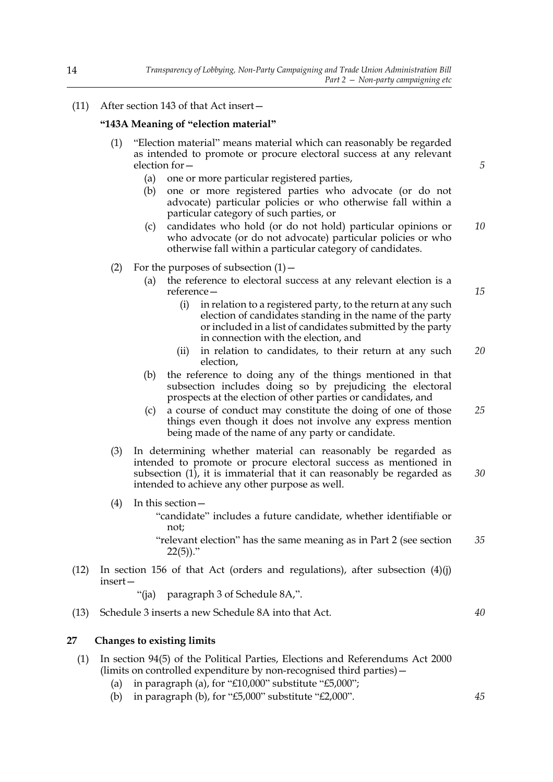(11) After section 143 of that Act insert—

#### **"143A Meaning of "election material"**

- (1) "Election material" means material which can reasonably be regarded as intended to promote or procure electoral success at any relevant election for—
	- (a) one or more particular registered parties,
	- (b) one or more registered parties who advocate (or do not advocate) particular policies or who otherwise fall within a particular category of such parties, or
	- (c) candidates who hold (or do not hold) particular opinions or who advocate (or do not advocate) particular policies or who otherwise fall within a particular category of candidates. *10*
- (2) For the purposes of subsection  $(1)$ 
	- (a) the reference to electoral success at any relevant election is a reference—
		- (i) in relation to a registered party, to the return at any such election of candidates standing in the name of the party or included in a list of candidates submitted by the party in connection with the election, and
		- (ii) in relation to candidates, to their return at any such election, *20*
	- (b) the reference to doing any of the things mentioned in that subsection includes doing so by prejudicing the electoral prospects at the election of other parties or candidates, and
	- (c) a course of conduct may constitute the doing of one of those things even though it does not involve any express mention being made of the name of any party or candidate. *25*
- (3) In determining whether material can reasonably be regarded as intended to promote or procure electoral success as mentioned in subsection (1), it is immaterial that it can reasonably be regarded as intended to achieve any other purpose as well. *30*
- (4) In this section—

"candidate" includes a future candidate, whether identifiable or not;

"relevant election" has the same meaning as in Part 2 (see section  $22(5)$ )." *35*

(12) In section 156 of that Act (orders and regulations), after subsection  $(4)(i)$ insert—

"(ja) paragraph 3 of Schedule 8A,".

(13) Schedule 3 inserts a new Schedule 8A into that Act.

#### **27 Changes to existing limits**

- (1) In section 94(5) of the Political Parties, Elections and Referendums Act 2000 (limits on controlled expenditure by non-recognised third parties)—
	- (a) in paragraph (a), for "£10,000" substitute "£5,000";
	- (b) in paragraph (b), for " $E5,000$ " substitute " $E2,000$ ".

*15*

*40*

*45*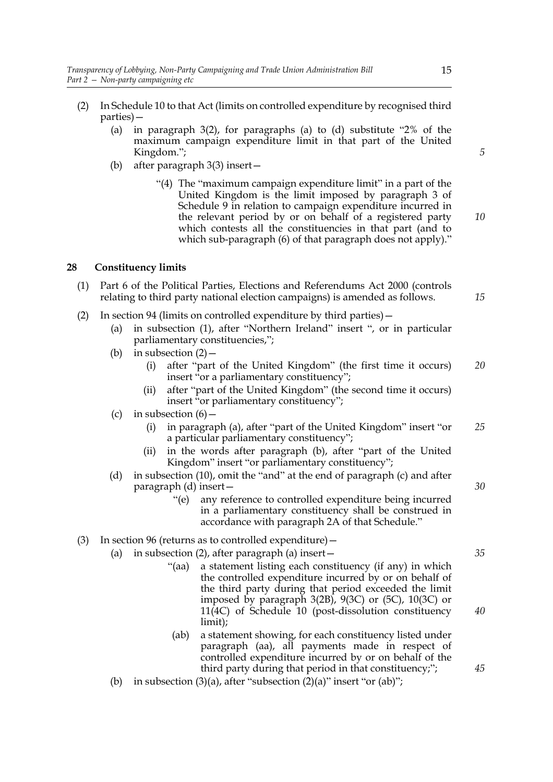- (2) In Schedule 10 to that Act (limits on controlled expenditure by recognised third parties)—
	- (a) in paragraph 3(2), for paragraphs (a) to (d) substitute "2% of the maximum campaign expenditure limit in that part of the United Kingdom.";
	- (b) after paragraph 3(3) insert—
		- "(4) The "maximum campaign expenditure limit" in a part of the United Kingdom is the limit imposed by paragraph 3 of Schedule 9 in relation to campaign expenditure incurred in the relevant period by or on behalf of a registered party which contests all the constituencies in that part (and to which sub-paragraph (6) of that paragraph does not apply)."

#### **28 Constituency limits**

- (1) Part 6 of the Political Parties, Elections and Referendums Act 2000 (controls relating to third party national election campaigns) is amended as follows.
- (2) In section 94 (limits on controlled expenditure by third parties)—
	- (a) in subsection (1), after "Northern Ireland" insert ", or in particular parliamentary constituencies,";
	- (b) in subsection  $(2)$ 
		- (i) after "part of the United Kingdom" (the first time it occurs) insert "or a parliamentary constituency"; *20*
		- (ii) after "part of the United Kingdom" (the second time it occurs) insert "or parliamentary constituency";
	- (c) in subsection  $(6)$  -
		- (i) in paragraph (a), after "part of the United Kingdom" insert "or a particular parliamentary constituency"; *25*
		- (ii) in the words after paragraph (b), after "part of the United Kingdom" insert "or parliamentary constituency";
	- (d) in subsection (10), omit the "and" at the end of paragraph (c) and after paragraph (d) insert—
		- "(e) any reference to controlled expenditure being incurred in a parliamentary constituency shall be construed in accordance with paragraph 2A of that Schedule."
- (3) In section 96 (returns as to controlled expenditure)—
	- (a) in subsection  $(2)$ , after paragraph  $(a)$  insert  $-$ 
		- "(aa) a statement listing each constituency (if any) in which the controlled expenditure incurred by or on behalf of the third party during that period exceeded the limit imposed by paragraph  $3(2B)$ ,  $9(3C)$  or  $(5C)$ ,  $10(3C)$  or 11(4C) of Schedule 10 (post-dissolution constituency limit);
		- (ab) a statement showing, for each constituency listed under paragraph (aa), all payments made in respect of controlled expenditure incurred by or on behalf of the third party during that period in that constituency;";
	- (b) in subsection  $(3)(a)$ , after "subsection  $(2)(a)$ " insert "or  $(ab)$ ";

15

*10*

*5*

*15*

*30*

*35*

*40*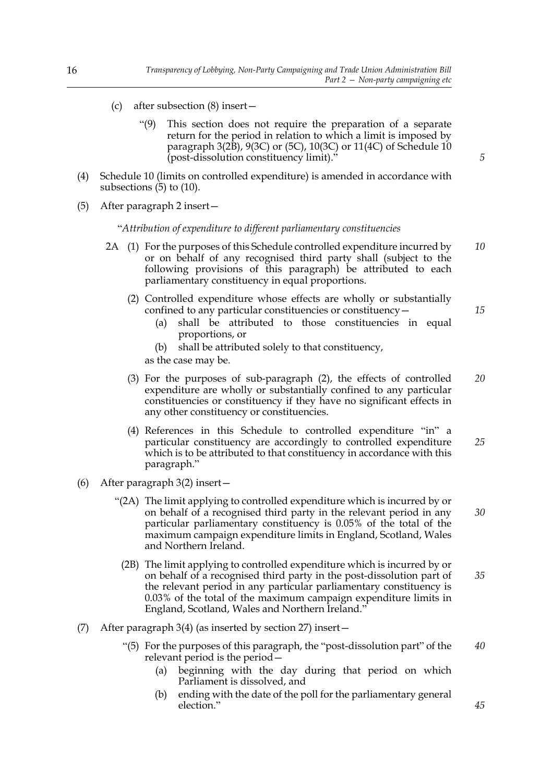- (c) after subsection (8) insert—
	- "(9) This section does not require the preparation of a separate return for the period in relation to which a limit is imposed by paragraph 3(2B), 9(3C) or (5C), 10(3C) or 11(4C) of Schedule 10 (post-dissolution constituency limit)."
- (4) Schedule 10 (limits on controlled expenditure) is amended in accordance with subsections (5) to (10).
- (5) After paragraph 2 insert—

#### "*Attribution of expenditure to different parliamentary constituencies*

- 2A (1) For the purposes of this Schedule controlled expenditure incurred by or on behalf of any recognised third party shall (subject to the following provisions of this paragraph) be attributed to each parliamentary constituency in equal proportions. *10*
	- (2) Controlled expenditure whose effects are wholly or substantially confined to any particular constituencies or constituency—
		- (a) shall be attributed to those constituencies in equal proportions, or
		- (b) shall be attributed solely to that constituency,

as the case may be.

- (3) For the purposes of sub-paragraph (2), the effects of controlled expenditure are wholly or substantially confined to any particular constituencies or constituency if they have no significant effects in any other constituency or constituencies. *20*
- (4) References in this Schedule to controlled expenditure "in" a particular constituency are accordingly to controlled expenditure which is to be attributed to that constituency in accordance with this paragraph."
- (6) After paragraph 3(2) insert—
	- "(2A) The limit applying to controlled expenditure which is incurred by or on behalf of a recognised third party in the relevant period in any particular parliamentary constituency is 0.05% of the total of the maximum campaign expenditure limits in England, Scotland, Wales and Northern Ireland. *30*
		- (2B) The limit applying to controlled expenditure which is incurred by or on behalf of a recognised third party in the post-dissolution part of the relevant period in any particular parliamentary constituency is 0.03% of the total of the maximum campaign expenditure limits in England, Scotland, Wales and Northern Ireland." *35*
- (7) After paragraph 3(4) (as inserted by section 27) insert—
	- "(5) For the purposes of this paragraph, the "post-dissolution part" of the relevant period is the period— *40*
		- (a) beginning with the day during that period on which Parliament is dissolved, and
		- (b) ending with the date of the poll for the parliamentary general election."

*5*

*15*

*25*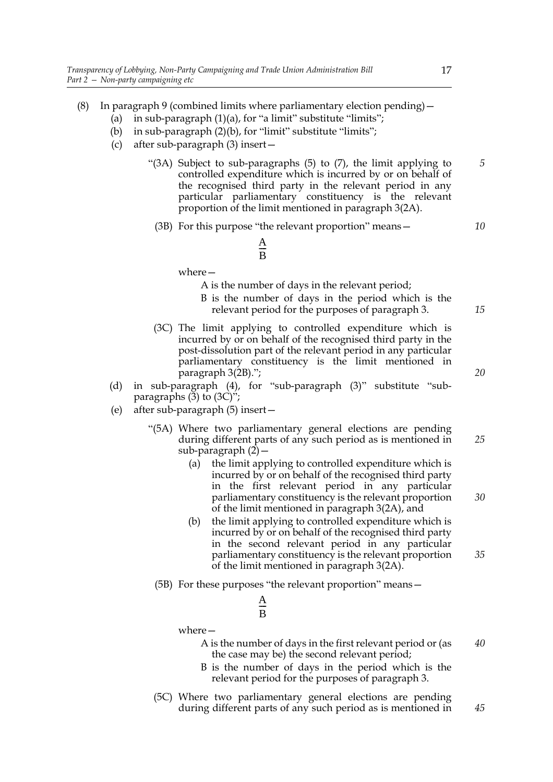- (8) In paragraph 9 (combined limits where parliamentary election pending)—
	- (a) in sub-paragraph  $(1)(a)$ , for "a limit" substitute "limits";
	- (b) in sub-paragraph (2)(b), for "limit" substitute "limits";
	- (c) after sub-paragraph (3) insert—
		- "(3A) Subject to sub-paragraphs (5) to (7), the limit applying to controlled expenditure which is incurred by or on behalf of the recognised third party in the relevant period in any particular parliamentary constituency is the relevant proportion of the limit mentioned in paragraph 3(2A).
			- (3B) For this purpose "the relevant proportion" means—

#### A B  $\frac{1}{2}$

where—

- A is the number of days in the relevant period;
- B is the number of days in the period which is the relevant period for the purposes of paragraph 3.
- (3C) The limit applying to controlled expenditure which is incurred by or on behalf of the recognised third party in the post-dissolution part of the relevant period in any particular parliamentary constituency is the limit mentioned in paragraph 3(2B).";
- (d) in sub-paragraph (4), for "sub-paragraph (3)" substitute "subparagraphs  $(3)$  to  $(3C)$ ";
- (e) after sub-paragraph (5) insert—
	- "(5A) Where two parliamentary general elections are pending during different parts of any such period as is mentioned in sub-paragraph (2)— *25*
		- (a) the limit applying to controlled expenditure which is incurred by or on behalf of the recognised third party in the first relevant period in any particular parliamentary constituency is the relevant proportion of the limit mentioned in paragraph 3(2A), and
		- (b) the limit applying to controlled expenditure which is incurred by or on behalf of the recognised third party in the second relevant period in any particular parliamentary constituency is the relevant proportion of the limit mentioned in paragraph 3(2A).
		- (5B) For these purposes "the relevant proportion" means—

#### A B  $\frac{1}{n}$

where—

- A is the number of days in the first relevant period or (as the case may be) the second relevant period; *40*
- B is the number of days in the period which is the relevant period for the purposes of paragraph 3.
- (5C) Where two parliamentary general elections are pending during different parts of any such period as is mentioned in *45*

*20*

*15*

*5*

*10*

*35*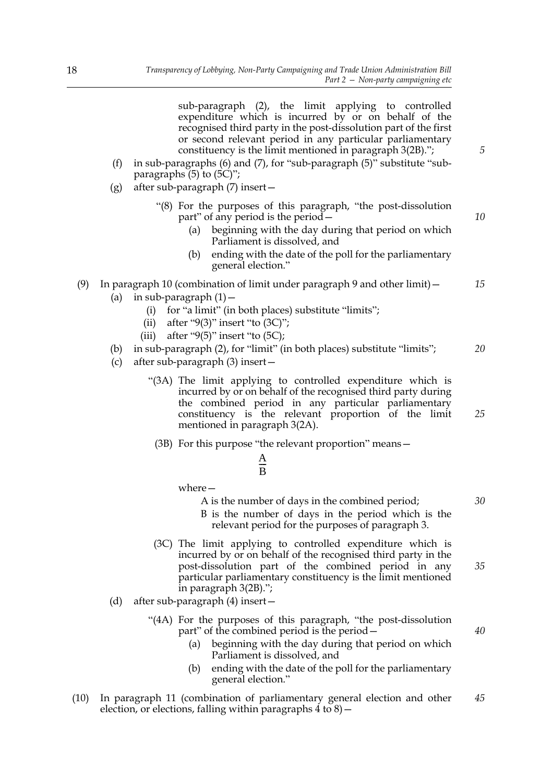sub-paragraph (2), the limit applying to controlled expenditure which is incurred by or on behalf of the recognised third party in the post-dissolution part of the first or second relevant period in any particular parliamentary constituency is the limit mentioned in paragraph 3(2B)."; (f) in sub-paragraphs (6) and (7), for "sub-paragraph (5)" substitute "subparagraphs (5) to (5C)"; (g) after sub-paragraph (7) insert— "(8) For the purposes of this paragraph, "the post-dissolution part" of any period is the period— (a) beginning with the day during that period on which Parliament is dissolved, and (b) ending with the date of the poll for the parliamentary general election." (9) In paragraph 10 (combination of limit under paragraph 9 and other limit)— (a) in sub-paragraph  $(1)$  -(i) for "a limit" (in both places) substitute "limits"; (ii) after "9(3)" insert "to  $(3C)$ "; (iii) after " $9(5)$ " insert "to  $(5C)$ ; (b) in sub-paragraph (2), for "limit" (in both places) substitute "limits"; (c) after sub-paragraph (3) insert— "(3A) The limit applying to controlled expenditure which is incurred by or on behalf of the recognised third party during the combined period in any particular parliamentary constituency is the relevant proportion of the limit mentioned in paragraph 3(2A). (3B) For this purpose "the relevant proportion" means where— A is the number of days in the combined period; B is the number of days in the period which is the relevant period for the purposes of paragraph 3. (3C) The limit applying to controlled expenditure which is incurred by or on behalf of the recognised third party in the post-dissolution part of the combined period in any particular parliamentary constituency is the limit mentioned in paragraph 3(2B).";  $\frac{A}{D}$  $\overline{R}$ *15 20 35*

- (d) after sub-paragraph (4) insert—
	- "(4A) For the purposes of this paragraph, "the post-dissolution part" of the combined period is the period—
		- (a) beginning with the day during that period on which Parliament is dissolved, and
		- (b) ending with the date of the poll for the parliamentary general election."
- (10) In paragraph 11 (combination of parliamentary general election and other election, or elections, falling within paragraphs  $4 \text{ to } 8$ ) – *45*

*10*

*5*

*25*

*30*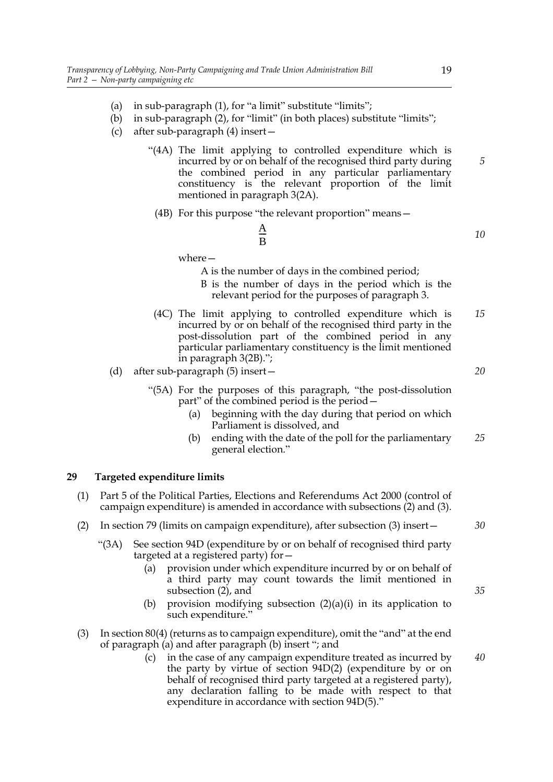- (a) in sub-paragraph (1), for "a limit" substitute "limits";
- (b) in sub-paragraph (2), for "limit" (in both places) substitute "limits";
- (c) after sub-paragraph (4) insert—
	- "(4A) The limit applying to controlled expenditure which is incurred by or on behalf of the recognised third party during the combined period in any particular parliamentary constituency is the relevant proportion of the limit mentioned in paragraph 3(2A).
		- (4B) For this purpose "the relevant proportion" means—

A B  $\frac{1}{n}$ 

$$
f_{\rm{max}}(x)=\frac{1}{2}x
$$

where—

- A is the number of days in the combined period;
- B is the number of days in the period which is the relevant period for the purposes of paragraph 3.
- (4C) The limit applying to controlled expenditure which is incurred by or on behalf of the recognised third party in the post-dissolution part of the combined period in any particular parliamentary constituency is the limit mentioned in paragraph 3(2B)."; *15*
- (d) after sub-paragraph (5) insert—
	- "(5A) For the purposes of this paragraph, "the post-dissolution part" of the combined period is the period—
		- (a) beginning with the day during that period on which Parliament is dissolved, and
		- (b) ending with the date of the poll for the parliamentary general election." *25*

#### **29 Targeted expenditure limits**

- (1) Part 5 of the Political Parties, Elections and Referendums Act 2000 (control of campaign expenditure) is amended in accordance with subsections (2) and (3).
- (2) In section 79 (limits on campaign expenditure), after subsection (3) insert—
	- "(3A) See section 94D (expenditure by or on behalf of recognised third party targeted at a registered party) for—
		- (a) provision under which expenditure incurred by or on behalf of a third party may count towards the limit mentioned in subsection (2), and
		- (b) provision modifying subsection (2)(a)(i) in its application to such expenditure."
- (3) In section 80(4) (returns as to campaign expenditure), omit the "and" at the end of paragraph (a) and after paragraph (b) insert "; and
	- (c) in the case of any campaign expenditure treated as incurred by the party by virtue of section 94D(2) (expenditure by or on behalf of recognised third party targeted at a registered party), any declaration falling to be made with respect to that expenditure in accordance with section 94D(5)." *40*

*5*

*10*

*20*

*30*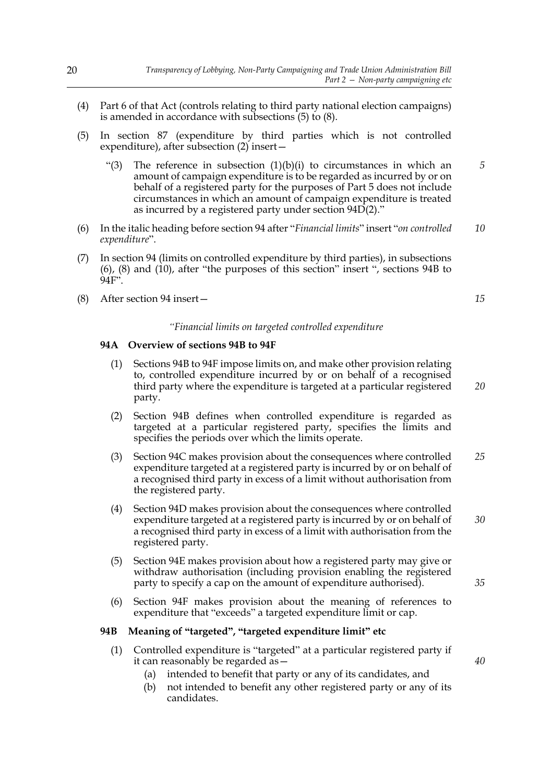- (4) Part 6 of that Act (controls relating to third party national election campaigns) is amended in accordance with subsections (5) to (8).
- (5) In section 87 (expenditure by third parties which is not controlled expenditure), after subsection (2) insert—
	- "(3) The reference in subsection  $(1)(b)(i)$  to circumstances in which an amount of campaign expenditure is to be regarded as incurred by or on behalf of a registered party for the purposes of Part 5 does not include circumstances in which an amount of campaign expenditure is treated as incurred by a registered party under section 94D(2)." *5*
- (6) In the italic heading before section 94 after "*Financial limits*" insert "*on controlled expenditure*". *10*
- (7) In section 94 (limits on controlled expenditure by third parties), in subsections (6), (8) and (10), after "the purposes of this section" insert ", sections 94B to  $94F$ ".
- (8) After section 94 insert—

#### *"Financial limits on targeted controlled expenditure*

#### **94A Overview of sections 94B to 94F**

- (1) Sections 94B to 94F impose limits on, and make other provision relating to, controlled expenditure incurred by or on behalf of a recognised third party where the expenditure is targeted at a particular registered party.
- (2) Section 94B defines when controlled expenditure is regarded as targeted at a particular registered party, specifies the limits and specifies the periods over which the limits operate.
- (3) Section 94C makes provision about the consequences where controlled expenditure targeted at a registered party is incurred by or on behalf of a recognised third party in excess of a limit without authorisation from the registered party. *25*
- (4) Section 94D makes provision about the consequences where controlled expenditure targeted at a registered party is incurred by or on behalf of a recognised third party in excess of a limit with authorisation from the registered party.
- (5) Section 94E makes provision about how a registered party may give or withdraw authorisation (including provision enabling the registered party to specify a cap on the amount of expenditure authorised).
- (6) Section 94F makes provision about the meaning of references to expenditure that "exceeds" a targeted expenditure limit or cap.

#### **94B Meaning of "targeted", "targeted expenditure limit" etc**

- (1) Controlled expenditure is "targeted" at a particular registered party if it can reasonably be regarded as—
	- (a) intended to benefit that party or any of its candidates, and
	- (b) not intended to benefit any other registered party or any of its candidates.

*15*

*20*

*30*

*35*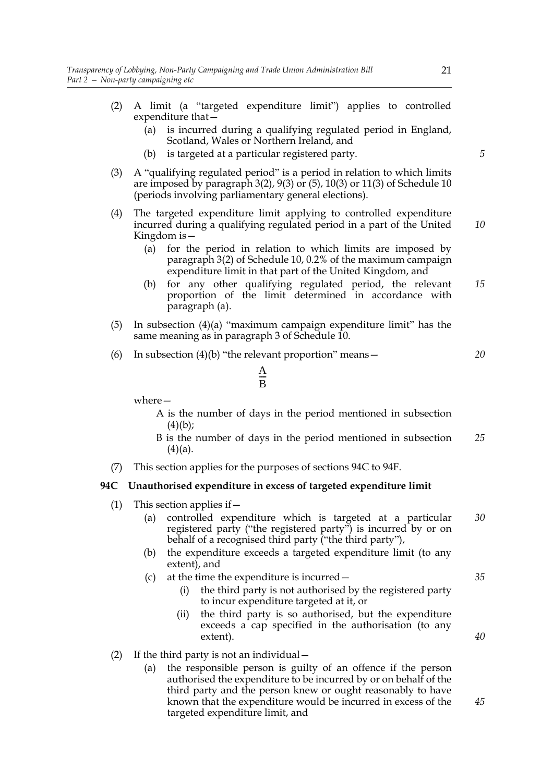- (2) A limit (a "targeted expenditure limit") applies to controlled expenditure that—
	- (a) is incurred during a qualifying regulated period in England, Scotland, Wales or Northern Ireland, and
	- (b) is targeted at a particular registered party.
- (3) A "qualifying regulated period" is a period in relation to which limits are imposed by paragraph 3(2), 9(3) or (5), 10(3) or 11(3) of Schedule 10 (periods involving parliamentary general elections).
- (4) The targeted expenditure limit applying to controlled expenditure incurred during a qualifying regulated period in a part of the United Kingdom is— *10*
	- (a) for the period in relation to which limits are imposed by paragraph 3(2) of Schedule 10, 0.2% of the maximum campaign expenditure limit in that part of the United Kingdom, and
	- (b) for any other qualifying regulated period, the relevant proportion of the limit determined in accordance with paragraph (a). *15*
- (5) In subsection (4)(a) "maximum campaign expenditure limit" has the same meaning as in paragraph 3 of Schedule 10.
- (6) In subsection  $(4)(b)$  "the relevant proportion" means  $-$ 
	- A B  $\frac{A}{B}$

where—

- A is the number of days in the period mentioned in subsection  $(4)(b);$
- B is the number of days in the period mentioned in subsection  $(4)(a)$ . *25*
- (7) This section applies for the purposes of sections 94C to 94F.

#### **94C Unauthorised expenditure in excess of targeted expenditure limit**

- (1) This section applies if  $-$ 
	- (a) controlled expenditure which is targeted at a particular registered party ("the registered party") is incurred by or on behalf of a recognised third party ("the third party"), *30*
	- (b) the expenditure exceeds a targeted expenditure limit (to any extent), and
	- (c) at the time the expenditure is incurred—
		- (i) the third party is not authorised by the registered party to incur expenditure targeted at it, or
		- (ii) the third party is so authorised, but the expenditure exceeds a cap specified in the authorisation (to any extent).
- (2) If the third party is not an individual—
	- (a) the responsible person is guilty of an offence if the person authorised the expenditure to be incurred by or on behalf of the third party and the person knew or ought reasonably to have known that the expenditure would be incurred in excess of the targeted expenditure limit, and

*5*

*20*

*35*

*40*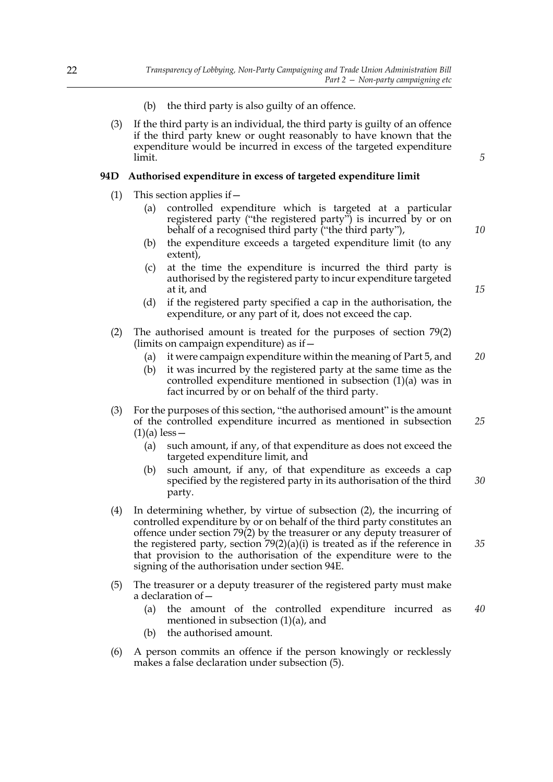- (b) the third party is also guilty of an offence.
- (3) If the third party is an individual, the third party is guilty of an offence if the third party knew or ought reasonably to have known that the expenditure would be incurred in excess of the targeted expenditure limit.

#### **94D Authorised expenditure in excess of targeted expenditure limit**

- (1) This section applies if  $-$ 
	- (a) controlled expenditure which is targeted at a particular registered party ("the registered party") is incurred by or on behalf of a recognised third party ("the third party"),
	- (b) the expenditure exceeds a targeted expenditure limit (to any extent),
	- (c) at the time the expenditure is incurred the third party is authorised by the registered party to incur expenditure targeted at it, and
	- (d) if the registered party specified a cap in the authorisation, the expenditure, or any part of it, does not exceed the cap.
- (2) The authorised amount is treated for the purposes of section 79(2) (limits on campaign expenditure) as if—
	- (a) it were campaign expenditure within the meaning of Part 5, and *20*
	- (b) it was incurred by the registered party at the same time as the controlled expenditure mentioned in subsection (1)(a) was in fact incurred by or on behalf of the third party.
- (3) For the purposes of this section, "the authorised amount" is the amount of the controlled expenditure incurred as mentioned in subsection  $(1)(a)$  less —
	- (a) such amount, if any, of that expenditure as does not exceed the targeted expenditure limit, and
	- (b) such amount, if any, of that expenditure as exceeds a cap specified by the registered party in its authorisation of the third party. *30*
- (4) In determining whether, by virtue of subsection (2), the incurring of controlled expenditure by or on behalf of the third party constitutes an offence under section  $79(2)$  by the treasurer or any deputy treasurer of the registered party, section 79(2)(a)(i) is treated as if the reference in that provision to the authorisation of the expenditure were to the signing of the authorisation under section 94E.
- (5) The treasurer or a deputy treasurer of the registered party must make a declaration of—
	- (a) the amount of the controlled expenditure incurred as mentioned in subsection  $(1)(a)$ , and *40*
	- (b) the authorised amount.
- (6) A person commits an offence if the person knowingly or recklessly makes a false declaration under subsection (5).

*5*

*10*

*15*

*25*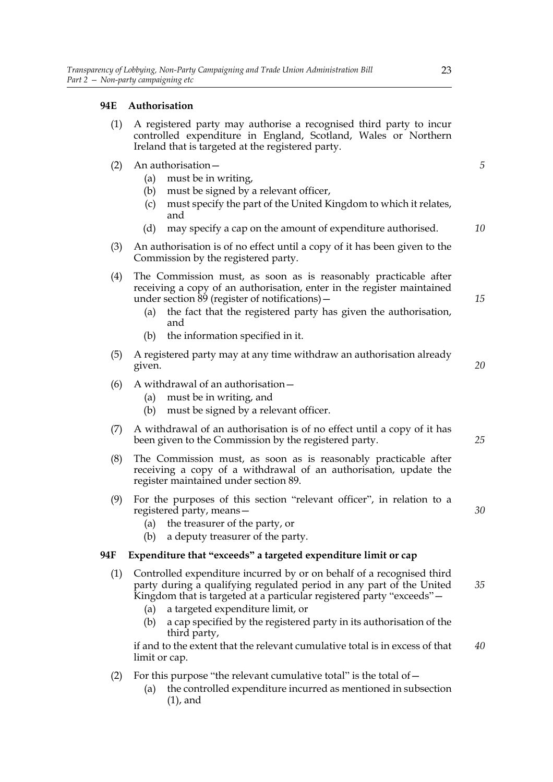#### **94E Authorisation**

- (1) A registered party may authorise a recognised third party to incur controlled expenditure in England, Scotland, Wales or Northern Ireland that is targeted at the registered party.
- (2) An authorisation—
	- (a) must be in writing,
	- (b) must be signed by a relevant officer,
	- (c) must specify the part of the United Kingdom to which it relates, and
	- (d) may specify a cap on the amount of expenditure authorised. *10*
- (3) An authorisation is of no effect until a copy of it has been given to the Commission by the registered party.
- (4) The Commission must, as soon as is reasonably practicable after receiving a copy of an authorisation, enter in the register maintained under section 89 (register of notifications)—
	- (a) the fact that the registered party has given the authorisation, and
	- (b) the information specified in it.
- (5) A registered party may at any time withdraw an authorisation already given.
- (6) A withdrawal of an authorisation—
	- (a) must be in writing, and
	- (b) must be signed by a relevant officer.
- (7) A withdrawal of an authorisation is of no effect until a copy of it has been given to the Commission by the registered party.
- (8) The Commission must, as soon as is reasonably practicable after receiving a copy of a withdrawal of an authorisation, update the register maintained under section 89.
- (9) For the purposes of this section "relevant officer", in relation to a registered party, means—
	- (a) the treasurer of the party, or
	- (b) a deputy treasurer of the party.

#### **94F Expenditure that "exceeds" a targeted expenditure limit or cap**

- (1) Controlled expenditure incurred by or on behalf of a recognised third party during a qualifying regulated period in any part of the United Kingdom that is targeted at a particular registered party "exceeds"—
	- (a) a targeted expenditure limit, or
	- (b) a cap specified by the registered party in its authorisation of the third party,

if and to the extent that the relevant cumulative total is in excess of that limit or cap. *40*

- (2) For this purpose "the relevant cumulative total" is the total of  $-$ 
	- (a) the controlled expenditure incurred as mentioned in subsection (1), and

*20*

*15*

*5*

*25*

*30*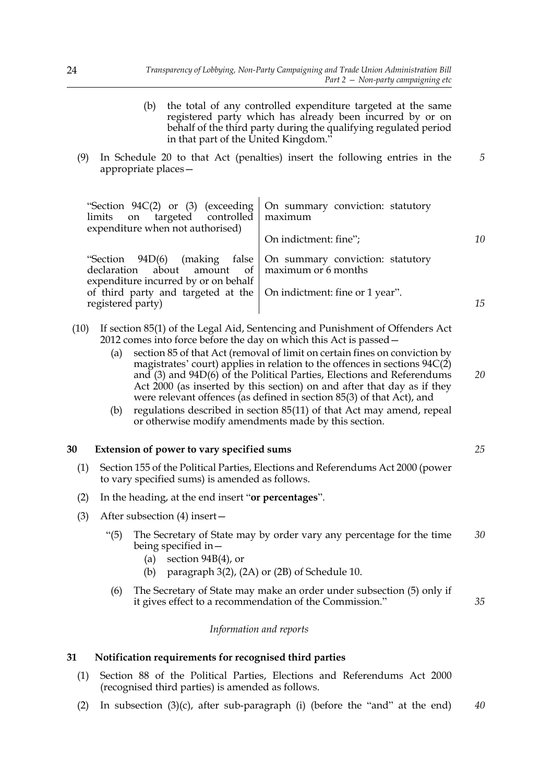*Transparency of Lobbying, Non-Party Campaigning and Trade Union Administration Bill Part 2 — Non-party campaigning etc*

- (b) the total of any controlled expenditure targeted at the same registered party which has already been incurred by or on behalf of the third party during the qualifying regulated period in that part of the United Kingdom.'
- (9) In Schedule 20 to that Act (penalties) insert the following entries in the appropriate places— *5*

| "Section 94C(2) or (3) (exceeding   On summary conviction: statutory<br>limits on targeted controlled maximum<br>expenditure when not authorised)                                                                                           | On indictment: fine"; | 10 |
|---------------------------------------------------------------------------------------------------------------------------------------------------------------------------------------------------------------------------------------------|-----------------------|----|
| "Section $94D(6)$ (making false   On summary conviction: statutory<br>declaration about amount of maximum or 6 months<br>expenditure incurred by or on behalf<br>of third party and targeted at the $\vert$ On indictment: fine or 1 year". |                       |    |
| registered party)                                                                                                                                                                                                                           |                       | 15 |

- (10) If section 85(1) of the Legal Aid, Sentencing and Punishment of Offenders Act 2012 comes into force before the day on which this Act is passed—
	- (a) section 85 of that Act (removal of limit on certain fines on conviction by magistrates' court) applies in relation to the offences in sections  $94C(2)$ and (3) and 94D(6) of the Political Parties, Elections and Referendums Act 2000 (as inserted by this section) on and after that day as if they were relevant offences (as defined in section 85(3) of that Act), and

*20*

*25*

(b) regulations described in section 85(11) of that Act may amend, repeal or otherwise modify amendments made by this section.

#### **30 Extension of power to vary specified sums**

- (1) Section 155 of the Political Parties, Elections and Referendums Act 2000 (power to vary specified sums) is amended as follows.
- (2) In the heading, at the end insert "**or percentages**".
- (3) After subsection (4) insert—
	- "(5) The Secretary of State may by order vary any percentage for the time being specified in— *30*
		- (a) section 94B(4), or
		- (b) paragraph 3(2), (2A) or (2B) of Schedule 10.
	- (6) The Secretary of State may make an order under subsection (5) only if it gives effect to a recommendation of the Commission." *35*

#### *Information and reports*

#### **31 Notification requirements for recognised third parties**

- (1) Section 88 of the Political Parties, Elections and Referendums Act 2000 (recognised third parties) is amended as follows.
- (2) In subsection  $(3)(c)$ , after sub-paragraph (i) (before the "and" at the end) *40*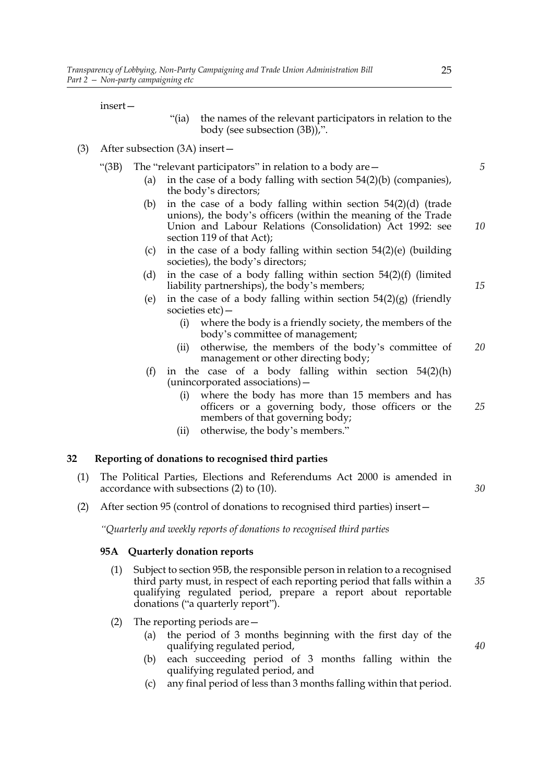insert—

| "(ia) | the names of the relevant participators in relation to the |
|-------|------------------------------------------------------------|
|       | body (see subsection (3B)),".                              |

- (3) After subsection (3A) insert—
	- "(3B) The "relevant participators" in relation to a body are—
		- (a) in the case of a body falling with section  $54(2)(b)$  (companies), the body's directors;
		- (b) in the case of a body falling within section  $54(2)(d)$  (trade unions), the body's officers (within the meaning of the Trade Union and Labour Relations (Consolidation) Act 1992: see section 119 of that Act);
		- (c) in the case of a body falling within section 54(2)(e) (building societies), the body's directors;
		- (d) in the case of a body falling within section 54(2)(f) (limited liability partnerships), the body's members;
		- (e) in the case of a body falling within section  $54(2)(g)$  (friendly societies etc)—
			- (i) where the body is a friendly society, the members of the body's committee of management;
			- (ii) otherwise, the members of the body's committee of management or other directing body; *20*
		- (f) in the case of a body falling within section  $54(2)(h)$ (unincorporated associations)—
			- (i) where the body has more than 15 members and has officers or a governing body, those officers or the members of that governing body;
			- (ii) otherwise, the body's members."

#### **32 Reporting of donations to recognised third parties**

- (1) The Political Parties, Elections and Referendums Act 2000 is amended in accordance with subsections (2) to (10).
- (2) After section 95 (control of donations to recognised third parties) insert—

*"Quarterly and weekly reports of donations to recognised third parties*

#### **95A Quarterly donation reports**

- (1) Subject to section 95B, the responsible person in relation to a recognised third party must, in respect of each reporting period that falls within a qualifying regulated period, prepare a report about reportable donations ("a quarterly report"). *35*
- (2) The reporting periods are—
	- (a) the period of 3 months beginning with the first day of the qualifying regulated period,
	- (b) each succeeding period of 3 months falling within the qualifying regulated period, and
	- (c) any final period of less than 3 months falling within that period.

*5*

*10*

*15*

*25*

*30*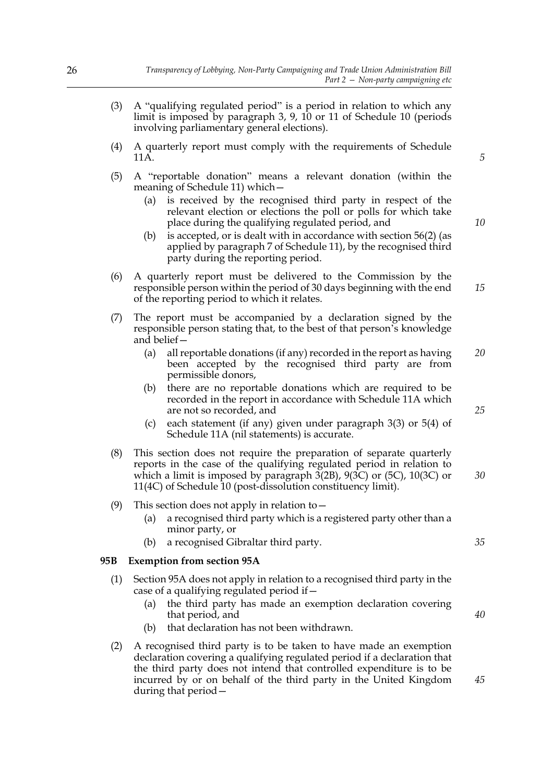- (3) A "qualifying regulated period" is a period in relation to which any limit is imposed by paragraph 3, 9, 10 or 11 of Schedule 10 (periods involving parliamentary general elections).
- (4) A quarterly report must comply with the requirements of Schedule 11A.
- (5) A "reportable donation" means a relevant donation (within the meaning of Schedule 11) which—
	- (a) is received by the recognised third party in respect of the relevant election or elections the poll or polls for which take place during the qualifying regulated period, and
	- (b) is accepted, or is dealt with in accordance with section 56(2) (as applied by paragraph 7 of Schedule 11), by the recognised third party during the reporting period.
- (6) A quarterly report must be delivered to the Commission by the responsible person within the period of 30 days beginning with the end of the reporting period to which it relates.
- (7) The report must be accompanied by a declaration signed by the responsible person stating that, to the best of that person's knowledge and belief—
	- (a) all reportable donations (if any) recorded in the report as having been accepted by the recognised third party are from permissible donors, *20*
	- (b) there are no reportable donations which are required to be recorded in the report in accordance with Schedule 11A which are not so recorded, and
	- (c) each statement (if any) given under paragraph 3(3) or 5(4) of Schedule 11A (nil statements) is accurate.
- (8) This section does not require the preparation of separate quarterly reports in the case of the qualifying regulated period in relation to which a limit is imposed by paragraph  $3(2B)$ ,  $9(3C)$  or (5C),  $10(3C)$  or 11(4C) of Schedule 10 (post-dissolution constituency limit).
- (9) This section does not apply in relation to  $-$ 
	- (a) a recognised third party which is a registered party other than a minor party, or
	- (b) a recognised Gibraltar third party.

#### **95B Exemption from section 95A**

- (1) Section 95A does not apply in relation to a recognised third party in the case of a qualifying regulated period if—
	- (a) the third party has made an exemption declaration covering that period, and
	- (b) that declaration has not been withdrawn.
- (2) A recognised third party is to be taken to have made an exemption declaration covering a qualifying regulated period if a declaration that the third party does not intend that controlled expenditure is to be incurred by or on behalf of the third party in the United Kingdom during that period—

*5*

*10*

*15*

- *25*
- *30*

*40*

*35*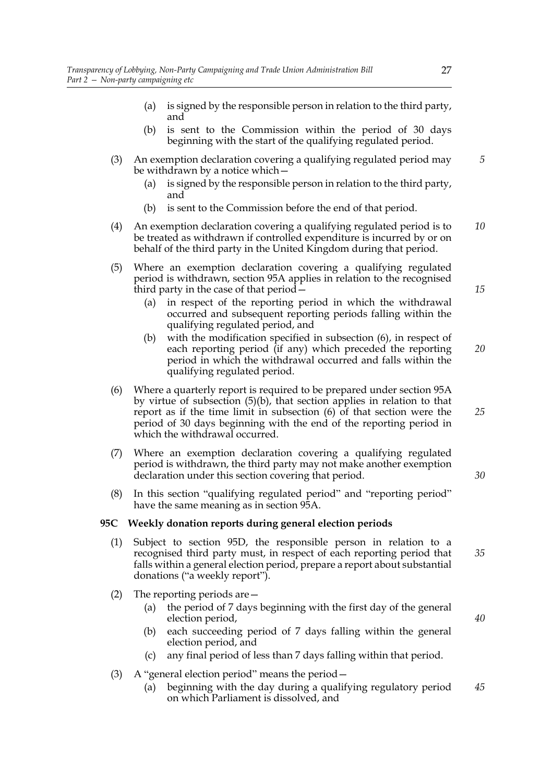- (a) is signed by the responsible person in relation to the third party, and
- (b) is sent to the Commission within the period of 30 days beginning with the start of the qualifying regulated period.
- (3) An exemption declaration covering a qualifying regulated period may be withdrawn by a notice which— *5*
	- (a) is signed by the responsible person in relation to the third party, and
	- (b) is sent to the Commission before the end of that period.
- (4) An exemption declaration covering a qualifying regulated period is to be treated as withdrawn if controlled expenditure is incurred by or on behalf of the third party in the United Kingdom during that period. *10*
- (5) Where an exemption declaration covering a qualifying regulated period is withdrawn, section 95A applies in relation to the recognised third party in the case of that period  $\sim$ 
	- (a) in respect of the reporting period in which the withdrawal occurred and subsequent reporting periods falling within the qualifying regulated period, and
	- (b) with the modification specified in subsection (6), in respect of each reporting period (if any) which preceded the reporting period in which the withdrawal occurred and falls within the qualifying regulated period. *20*
- (6) Where a quarterly report is required to be prepared under section 95A by virtue of subsection (5)(b), that section applies in relation to that report as if the time limit in subsection (6) of that section were the period of 30 days beginning with the end of the reporting period in which the withdrawal occurred.
- (7) Where an exemption declaration covering a qualifying regulated period is withdrawn, the third party may not make another exemption declaration under this section covering that period.
- (8) In this section "qualifying regulated period" and "reporting period" have the same meaning as in section 95A.

#### **95C Weekly donation reports during general election periods**

- (1) Subject to section 95D, the responsible person in relation to a recognised third party must, in respect of each reporting period that falls within a general election period, prepare a report about substantial donations ("a weekly report").
- (2) The reporting periods are—
	- (a) the period of 7 days beginning with the first day of the general election period,
	- (b) each succeeding period of 7 days falling within the general election period, and
	- (c) any final period of less than 7 days falling within that period.
- (3) A "general election period" means the period  $-$ 
	- (a) beginning with the day during a qualifying regulatory period on which Parliament is dissolved, and *45*

*30*

*25*

*15*

*35*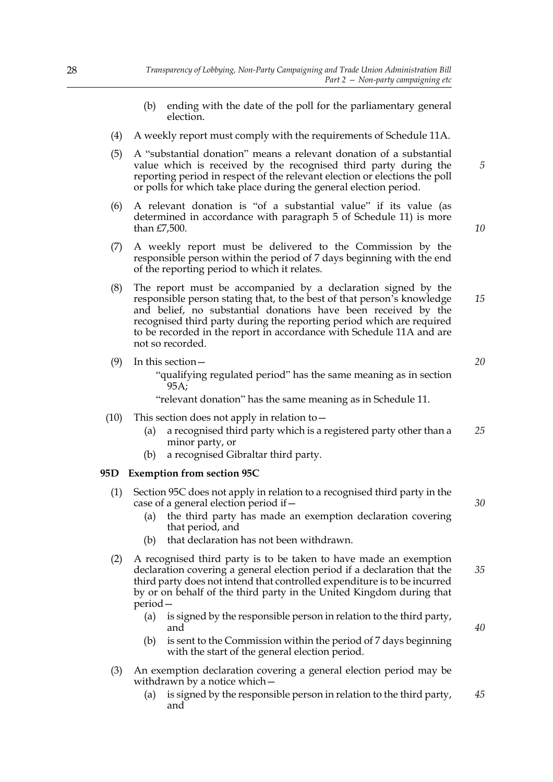- (b) ending with the date of the poll for the parliamentary general election.
- (4) A weekly report must comply with the requirements of Schedule 11A.
- (5) A "substantial donation" means a relevant donation of a substantial value which is received by the recognised third party during the reporting period in respect of the relevant election or elections the poll or polls for which take place during the general election period.
- (6) A relevant donation is "of a substantial value" if its value (as determined in accordance with paragraph 5 of Schedule 11) is more than £7,500.
- (7) A weekly report must be delivered to the Commission by the responsible person within the period of 7 days beginning with the end of the reporting period to which it relates.
- (8) The report must be accompanied by a declaration signed by the responsible person stating that, to the best of that person's knowledge and belief, no substantial donations have been received by the recognised third party during the reporting period which are required to be recorded in the report in accordance with Schedule 11A and are not so recorded. *15*
- (9) In this section— "qualifying regulated period" has the same meaning as in section 95A;

"relevant donation" has the same meaning as in Schedule 11.

- (10) This section does not apply in relation to—
	- (a) a recognised third party which is a registered party other than a minor party, or *25*
	- (b) a recognised Gibraltar third party.

#### **95D Exemption from section 95C**

- (1) Section 95C does not apply in relation to a recognised third party in the case of a general election period if—
	- (a) the third party has made an exemption declaration covering that period, and
	- (b) that declaration has not been withdrawn.
- (2) A recognised third party is to be taken to have made an exemption declaration covering a general election period if a declaration that the third party does not intend that controlled expenditure is to be incurred by or on behalf of the third party in the United Kingdom during that period— *35*
	- (a) is signed by the responsible person in relation to the third party, and
	- (b) is sent to the Commission within the period of 7 days beginning with the start of the general election period.
- (3) An exemption declaration covering a general election period may be withdrawn by a notice which –
	- (a) is signed by the responsible person in relation to the third party, and *45*

*20*

*5*

*10*

*30*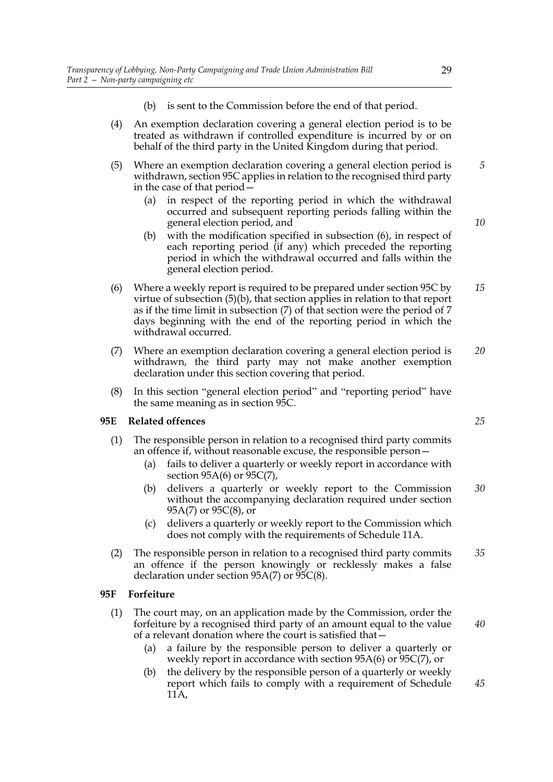- (b) is sent to the Commission before the end of that period.
- (4) An exemption declaration covering a general election period is to be treated as withdrawn if controlled expenditure is incurred by or on behalf of the third party in the United Kingdom during that period.
- (5) Where an exemption declaration covering a general election period is withdrawn, section 95C applies in relation to the recognised third party in the case of that period—
	- (a) in respect of the reporting period in which the withdrawal occurred and subsequent reporting periods falling within the general election period, and
	- (b) with the modification specified in subsection (6), in respect of each reporting period (if any) which preceded the reporting period in which the withdrawal occurred and falls within the general election period.
- (6) Where a weekly report is required to be prepared under section 95C by virtue of subsection (5)(b), that section applies in relation to that report as if the time limit in subsection (7) of that section were the period of 7 days beginning with the end of the reporting period in which the withdrawal occurred. *15*
- (7) Where an exemption declaration covering a general election period is withdrawn, the third party may not make another exemption declaration under this section covering that period. *20*
- (8) In this section "general election period" and "reporting period" have the same meaning as in section 95C.

#### **95E Related offences**

- (1) The responsible person in relation to a recognised third party commits an offence if, without reasonable excuse, the responsible person—
	- (a) fails to deliver a quarterly or weekly report in accordance with section  $95A(6)$  or  $95C(7)$ ,
	- (b) delivers a quarterly or weekly report to the Commission without the accompanying declaration required under section 95A(7) or 95C(8), or *30*
	- (c) delivers a quarterly or weekly report to the Commission which does not comply with the requirements of Schedule 11A.
- (2) The responsible person in relation to a recognised third party commits an offence if the person knowingly or recklessly makes a false declaration under section 95A(7) or 95C(8). *35*

#### **95F Forfeiture**

- (1) The court may, on an application made by the Commission, order the forfeiture by a recognised third party of an amount equal to the value of a relevant donation where the court is satisfied that—
	- (a) a failure by the responsible person to deliver a quarterly or weekly report in accordance with section 95A(6) or 95C(7), or
	- (b) the delivery by the responsible person of a quarterly or weekly report which fails to comply with a requirement of Schedule 11A,

*5*

*10*

*25*

*40*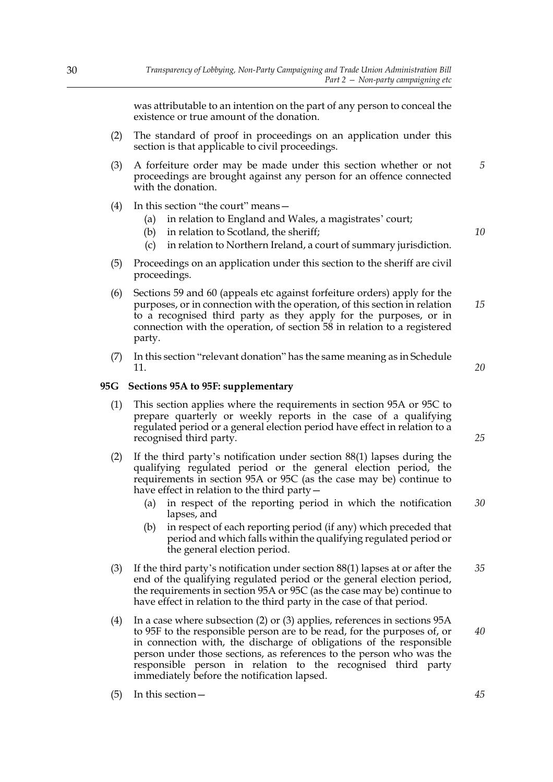was attributable to an intention on the part of any person to conceal the existence or true amount of the donation.

- (2) The standard of proof in proceedings on an application under this section is that applicable to civil proceedings.
- (3) A forfeiture order may be made under this section whether or not proceedings are brought against any person for an offence connected with the donation. *5*
- (4) In this section "the court" means—
	- (a) in relation to England and Wales, a magistrates' court;
	- (b) in relation to Scotland, the sheriff;
	- (c) in relation to Northern Ireland, a court of summary jurisdiction.
- (5) Proceedings on an application under this section to the sheriff are civil proceedings.
- (6) Sections 59 and 60 (appeals etc against forfeiture orders) apply for the purposes, or in connection with the operation, of this section in relation to a recognised third party as they apply for the purposes, or in connection with the operation, of section 58 in relation to a registered party. *15*
- (7) In this section "relevant donation" has the same meaning as in Schedule 11.

#### *20*

*25*

*10*

#### **95G Sections 95A to 95F: supplementary**

- (1) This section applies where the requirements in section 95A or 95C to prepare quarterly or weekly reports in the case of a qualifying regulated period or a general election period have effect in relation to a recognised third party.
- (2) If the third party's notification under section 88(1) lapses during the qualifying regulated period or the general election period, the requirements in section 95A or 95C (as the case may be) continue to have effect in relation to the third party—
	- (a) in respect of the reporting period in which the notification lapses, and *30*
	- (b) in respect of each reporting period (if any) which preceded that period and which falls within the qualifying regulated period or the general election period.
- (3) If the third party's notification under section 88(1) lapses at or after the end of the qualifying regulated period or the general election period, the requirements in section 95A or 95C (as the case may be) continue to have effect in relation to the third party in the case of that period. *35*
- (4) In a case where subsection (2) or (3) applies, references in sections 95A to 95F to the responsible person are to be read, for the purposes of, or in connection with, the discharge of obligations of the responsible person under those sections, as references to the person who was the responsible person in relation to the recognised third party immediately before the notification lapsed.
- (5) In this section—

*45*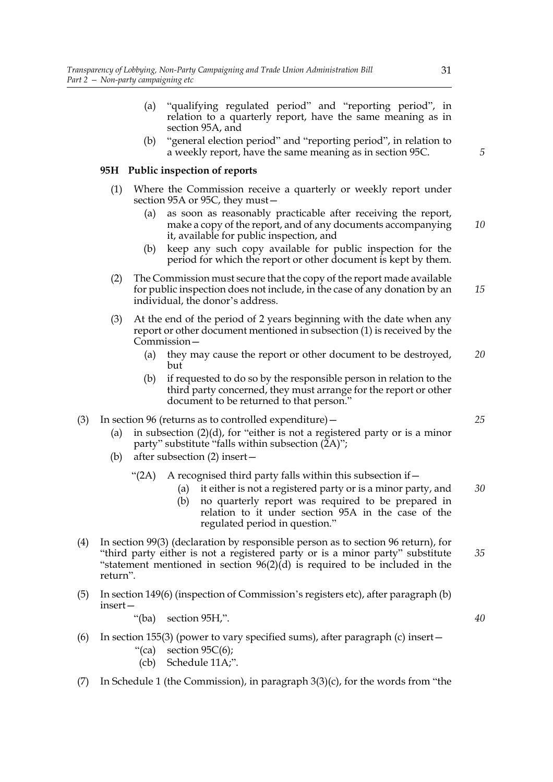- (a) "qualifying regulated period" and "reporting period", in relation to a quarterly report, have the same meaning as in section 95A, and
- (b) "general election period" and "reporting period", in relation to a weekly report, have the same meaning as in section 95C.

#### **95H Public inspection of reports**

- (1) Where the Commission receive a quarterly or weekly report under section 95A or 95C, they must—
	- (a) as soon as reasonably practicable after receiving the report, make a copy of the report, and of any documents accompanying it, available for public inspection, and *10*
	- (b) keep any such copy available for public inspection for the period for which the report or other document is kept by them.
- (2) The Commission must secure that the copy of the report made available for public inspection does not include, in the case of any donation by an individual, the donor's address. *15*
- (3) At the end of the period of 2 years beginning with the date when any report or other document mentioned in subsection (1) is received by the Commission—
	- (a) they may cause the report or other document to be destroyed, but *20*
	- (b) if requested to do so by the responsible person in relation to the third party concerned, they must arrange for the report or other document to be returned to that person."
- (3) In section 96 (returns as to controlled expenditure)—
	- (a) in subsection (2)(d), for "either is not a registered party or is a minor party" substitute "falls within subsection  $(\tilde{2}A)$ ";
	- (b) after subsection (2) insert—

"(2A) A recognised third party falls within this subsection if  $-$ 

- (a) it either is not a registered party or is a minor party, and *30*
- (b) no quarterly report was required to be prepared in relation to it under section 95A in the case of the regulated period in question."
- (4) In section 99(3) (declaration by responsible person as to section 96 return), for "third party either is not a registered party or is a minor party" substitute "statement mentioned in section  $96(2)(d)$  is required to be included in the return".
- (5) In section 149(6) (inspection of Commission's registers etc), after paragraph (b) insert—

"(ba) section 95H,".

- (6) In section 155(3) (power to vary specified sums), after paragraph (c) insert— "(ca) section  $95C(6)$ ;
	- (cb) Schedule 11A;".
- (7) In Schedule 1 (the Commission), in paragraph  $3(3)(c)$ , for the words from "the

*5*

*25*

*40*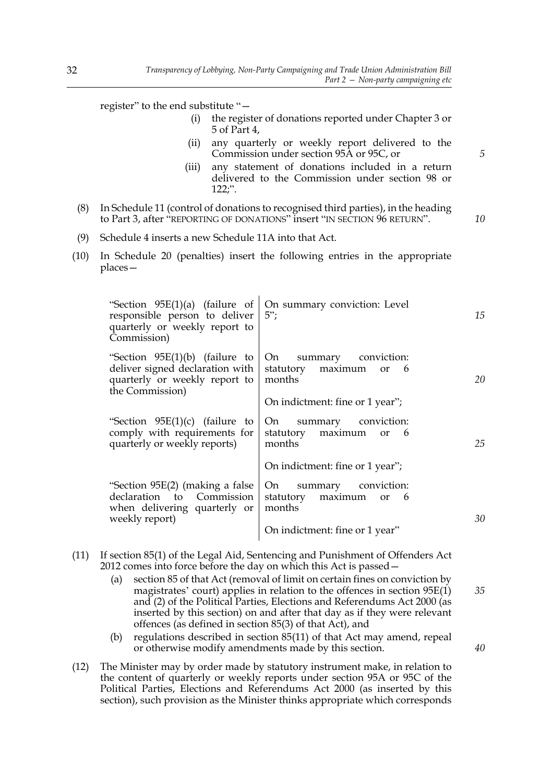register" to the end substitute "—

- (i) the register of donations reported under Chapter 3 or 5 of Part 4,
- (ii) any quarterly or weekly report delivered to the Commission under section 95A or 95C, or
- (iii) any statement of donations included in a return delivered to the Commission under section 98 or 122;".
- (8) In Schedule 11 (control of donations to recognised third parties), in the heading to Part 3, after "REPORTING OF DONATIONS" insert "IN SECTION 96 RETURN".
- (9) Schedule 4 inserts a new Schedule 11A into that Act.
- (10) In Schedule 20 (penalties) insert the following entries in the appropriate places—

| "Section $95E(1)(a)$ (failure of   On summary conviction: Level<br>responsible person to deliver<br>quarterly or weekly report to<br>Commission) | $5$ ";                                                                       | 15 |
|--------------------------------------------------------------------------------------------------------------------------------------------------|------------------------------------------------------------------------------|----|
| "Section $95E(1)(b)$ (failure to<br>deliver signed declaration with<br>quarterly or weekly report to<br>the Commission)                          | summary conviction:<br>On<br>statutory maximum<br><b>or</b><br>- 6<br>months | 20 |
|                                                                                                                                                  | On indictment: fine or 1 year";                                              |    |
| "Section $95E(1)(c)$ (failure to<br>comply with requirements for<br>quarterly or weekly reports)                                                 | On<br>summary conviction:<br>statutory maximum<br>or<br>- 6<br>months        | 25 |
|                                                                                                                                                  | On indictment: fine or 1 year";                                              |    |
| "Section 95E(2) (making a false<br>declaration to Commission<br>when delivering quarterly or                                                     | summary conviction:<br>On<br>statutory maximum<br>- 6<br>or<br>months        |    |
| weekly report)                                                                                                                                   | On indictment: fine or 1 year"                                               | 30 |

- (11) If section 85(1) of the Legal Aid, Sentencing and Punishment of Offenders Act 2012 comes into force before the day on which this Act is passed—
	- (a) section 85 of that Act (removal of limit on certain fines on conviction by magistrates' court) applies in relation to the offences in section  $95E(1)$ and (2) of the Political Parties, Elections and Referendums Act 2000 (as inserted by this section) on and after that day as if they were relevant offences (as defined in section 85(3) of that Act), and *35*
	- (b) regulations described in section 85(11) of that Act may amend, repeal or otherwise modify amendments made by this section.
- (12) The Minister may by order made by statutory instrument make, in relation to the content of quarterly or weekly reports under section 95A or 95C of the Political Parties, Elections and Referendums Act 2000 (as inserted by this section), such provision as the Minister thinks appropriate which corresponds

*40*

*5*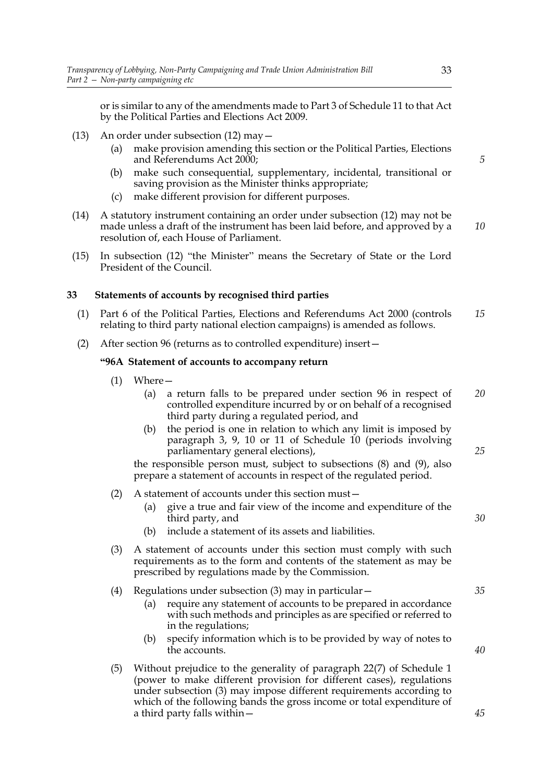or is similar to any of the amendments made to Part 3 of Schedule 11 to that Act by the Political Parties and Elections Act 2009.

- (13) An order under subsection (12) may—
	- (a) make provision amending this section or the Political Parties, Elections and Referendums Act 2000;
	- (b) make such consequential, supplementary, incidental, transitional or saving provision as the Minister thinks appropriate;
	- (c) make different provision for different purposes.
- (14) A statutory instrument containing an order under subsection (12) may not be made unless a draft of the instrument has been laid before, and approved by a resolution of, each House of Parliament.
- (15) In subsection (12) "the Minister" means the Secretary of State or the Lord President of the Council.

#### **33 Statements of accounts by recognised third parties**

- (1) Part 6 of the Political Parties, Elections and Referendums Act 2000 (controls relating to third party national election campaigns) is amended as follows. *15*
- (2) After section 96 (returns as to controlled expenditure) insert—

#### **"96A Statement of accounts to accompany return**

- (1) Where—
	- (a) a return falls to be prepared under section 96 in respect of controlled expenditure incurred by or on behalf of a recognised third party during a regulated period, and *20*
	- (b) the period is one in relation to which any limit is imposed by paragraph 3, 9, 10 or 11 of Schedule 10 (periods involving parliamentary general elections),

the responsible person must, subject to subsections (8) and (9), also prepare a statement of accounts in respect of the regulated period.

- (2) A statement of accounts under this section must—
	- (a) give a true and fair view of the income and expenditure of the third party, and
	- (b) include a statement of its assets and liabilities.
- (3) A statement of accounts under this section must comply with such requirements as to the form and contents of the statement as may be prescribed by regulations made by the Commission.
- (4) Regulations under subsection (3) may in particular—
	- (a) require any statement of accounts to be prepared in accordance with such methods and principles as are specified or referred to in the regulations;
	- (b) specify information which is to be provided by way of notes to the accounts.
- (5) Without prejudice to the generality of paragraph 22(7) of Schedule 1 (power to make different provision for different cases), regulations under subsection (3) may impose different requirements according to which of the following bands the gross income or total expenditure of a third party falls within—

*5*

*10*

*30*

*25*

*35*

*40*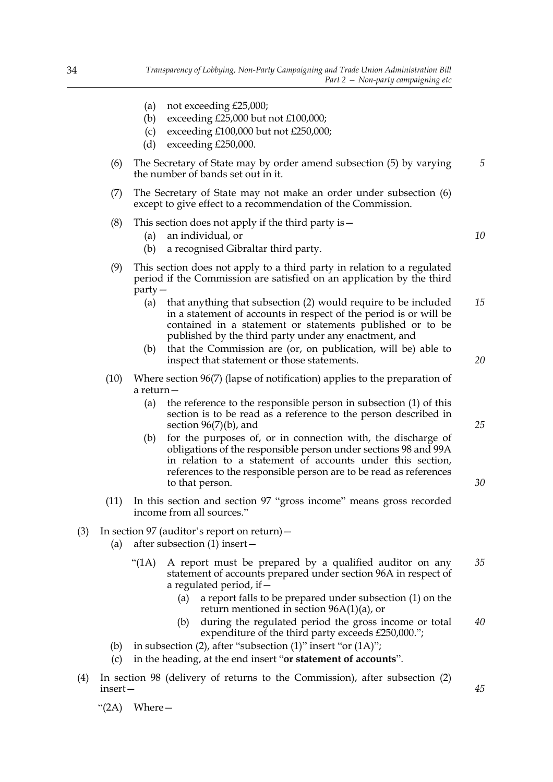- (a) not exceeding £25,000;
- (b) exceeding £25,000 but not £100,000;
- (c) exceeding £100,000 but not £250,000;
- (d) exceeding £250,000.
- (6) The Secretary of State may by order amend subsection (5) by varying the number of bands set out in it. *5*
- (7) The Secretary of State may not make an order under subsection (6) except to give effect to a recommendation of the Commission.
- (8) This section does not apply if the third party is—
	- (a) an individual, or
	- (b) a recognised Gibraltar third party.
- (9) This section does not apply to a third party in relation to a regulated period if the Commission are satisfied on an application by the third party—
	- (a) that anything that subsection (2) would require to be included in a statement of accounts in respect of the period is or will be contained in a statement or statements published or to be published by the third party under any enactment, and *15*
	- (b) that the Commission are (or, on publication, will be) able to inspect that statement or those statements.
- (10) Where section 96(7) (lapse of notification) applies to the preparation of a return—
	- (a) the reference to the responsible person in subsection (1) of this section is to be read as a reference to the person described in section 96(7)(b), and
	- (b) for the purposes of, or in connection with, the discharge of obligations of the responsible person under sections 98 and 99A in relation to a statement of accounts under this section, references to the responsible person are to be read as references to that person.
- (11) In this section and section 97 "gross income" means gross recorded income from all sources."
- (3) In section 97 (auditor's report on return)—
	- (a) after subsection (1) insert—
		- "(1A) A report must be prepared by a qualified auditor on any statement of accounts prepared under section 96A in respect of a regulated period, if— *35*
			- (a) a report falls to be prepared under subsection (1) on the return mentioned in section 96A(1)(a), or
			- (b) during the regulated period the gross income or total expenditure of the third party exceeds £250,000."; *40*
	- (b) in subsection  $(2)$ , after "subsection  $(1)$ " insert "or  $(1A)$ ";
	- (c) in the heading, at the end insert "**or statement of accounts**".
- (4) In section 98 (delivery of returns to the Commission), after subsection (2) insert—

"(2A) Where—

*20*

*10*

*25*

*30*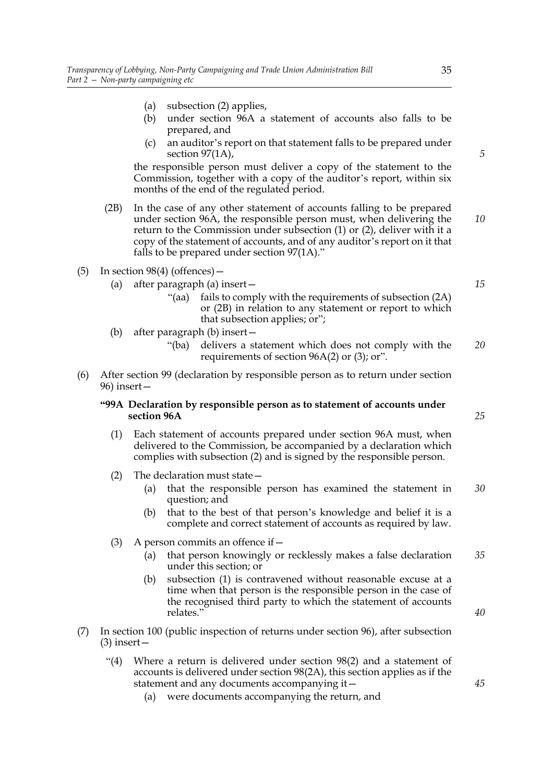- (a) subsection (2) applies,
- (b) under section 96A a statement of accounts also falls to be prepared, and
- (c) an auditor's report on that statement falls to be prepared under section 97(1A),

the responsible person must deliver a copy of the statement to the Commission, together with a copy of the auditor's report, within six months of the end of the regulated period.

- (2B) In the case of any other statement of accounts falling to be prepared under section 96A, the responsible person must, when delivering the return to the Commission under subsection (1) or (2), deliver with it a copy of the statement of accounts, and of any auditor's report on it that falls to be prepared under section 97(1A)." *10*
- (5) In section  $98(4)$  (offences)  $-$ 
	- (a) after paragraph (a) insert—
		- "(aa) fails to comply with the requirements of subsection (2A) or (2B) in relation to any statement or report to which that subsection applies; or";
	- (b) after paragraph (b) insert—
		- "(ba) delivers a statement which does not comply with the requirements of section  $96A(2)$  or  $(3)$ ; or". *20*
- (6) After section 99 (declaration by responsible person as to return under section 96) insert—

#### **"99A Declaration by responsible person as to statement of accounts under section 96A**

- (1) Each statement of accounts prepared under section 96A must, when delivered to the Commission, be accompanied by a declaration which complies with subsection (2) and is signed by the responsible person.
- (2) The declaration must state—
	- (a) that the responsible person has examined the statement in question; and *30*
	- (b) that to the best of that person's knowledge and belief it is a complete and correct statement of accounts as required by law.
- (3) A person commits an offence if  $-$ 
	- (a) that person knowingly or recklessly makes a false declaration under this section; or *35*
	- (b) subsection (1) is contravened without reasonable excuse at a time when that person is the responsible person in the case of the recognised third party to which the statement of accounts relates."
- (7) In section 100 (public inspection of returns under section 96), after subsection  $(3)$  insert –
	- "(4) Where a return is delivered under section 98(2) and a statement of accounts is delivered under section 98(2A), this section applies as if the statement and any documents accompanying it—
		- (a) were documents accompanying the return, and

*5*

*15*

*25*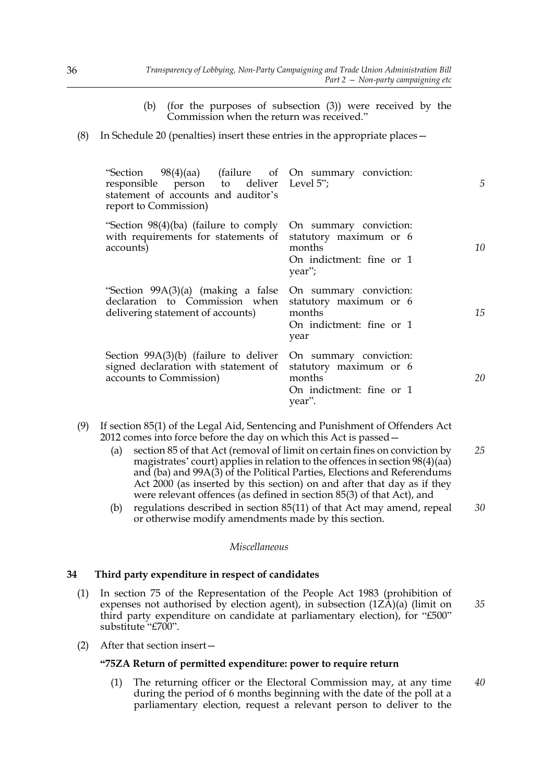|     | (b)<br>Commission when the return was received."                                                           | (for the purposes of subsection $(3)$ ) were received by the                                     |    |
|-----|------------------------------------------------------------------------------------------------------------|--------------------------------------------------------------------------------------------------|----|
| (8) | In Schedule 20 (penalties) insert these entries in the appropriate places –                                |                                                                                                  |    |
|     | "Section<br>responsible person to deliver<br>statement of accounts and auditor's<br>report to Commission)  | $98(4)(aa)$ (failure of On summary conviction:<br>Level 5";                                      | 5  |
|     | "Section 98(4)(ba) (failure to comply<br>with requirements for statements of<br>accounts)                  | On summary conviction:<br>statutory maximum or 6<br>months<br>On indictment: fine or 1<br>year"; | 10 |
|     | "Section 99A(3)(a) (making a false<br>declaration to Commission when<br>delivering statement of accounts)  | On summary conviction:<br>statutory maximum or 6<br>months<br>On indictment: fine or 1<br>year   | 15 |
|     | Section $99A(3)(b)$ (failure to deliver<br>signed declaration with statement of<br>accounts to Commission) | On summary conviction:<br>statutory maximum or 6<br>months<br>On indictment: fine or 1<br>year". | 20 |

- (9) If section 85(1) of the Legal Aid, Sentencing and Punishment of Offenders Act 2012 comes into force before the day on which this Act is passed—
	- (a) section 85 of that Act (removal of limit on certain fines on conviction by magistrates' court) applies in relation to the offences in section 98(4)(aa) and (ba) and 99A(3) of the Political Parties, Elections and Referendums Act 2000 (as inserted by this section) on and after that day as if they were relevant offences (as defined in section 85(3) of that Act), and *25*
	- (b) regulations described in section 85(11) of that Act may amend, repeal or otherwise modify amendments made by this section. *30*

#### *Miscellaneous*

#### **34 Third party expenditure in respect of candidates**

- (1) In section 75 of the Representation of the People Act 1983 (prohibition of expenses not authorised by election agent), in subsection (1ZA)(a) (limit on third party expenditure on candidate at parliamentary election), for "£500" substitute "£700". *35*
- (2) After that section insert—

#### **"75ZA Return of permitted expenditure: power to require return**

(1) The returning officer or the Electoral Commission may, at any time during the period of 6 months beginning with the date of the poll at a parliamentary election, request a relevant person to deliver to the *40*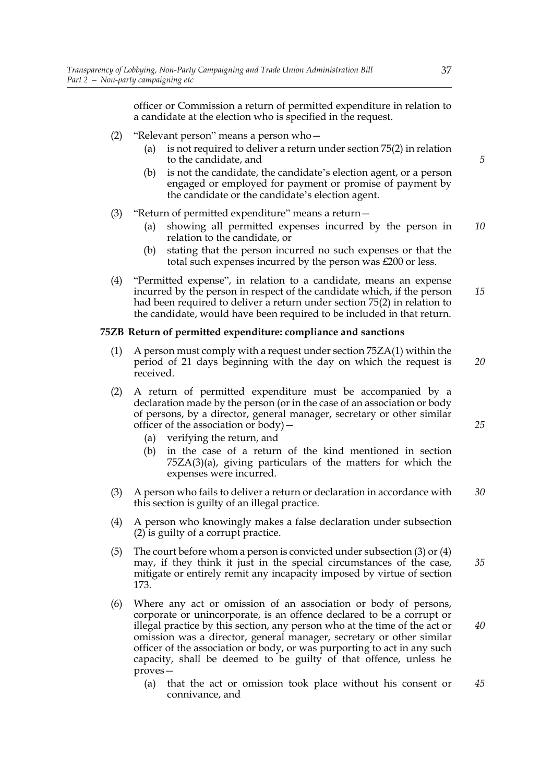officer or Commission a return of permitted expenditure in relation to a candidate at the election who is specified in the request.

- (2) "Relevant person" means a person who—
	- (a) is not required to deliver a return under section 75(2) in relation to the candidate, and
	- (b) is not the candidate, the candidate's election agent, or a person engaged or employed for payment or promise of payment by the candidate or the candidate's election agent.
- (3) "Return of permitted expenditure" means a return—
	- (a) showing all permitted expenses incurred by the person in relation to the candidate, or *10*
	- (b) stating that the person incurred no such expenses or that the total such expenses incurred by the person was £200 or less.
- (4) "Permitted expense", in relation to a candidate, means an expense incurred by the person in respect of the candidate which, if the person had been required to deliver a return under section 75(2) in relation to the candidate, would have been required to be included in that return. *15*

#### **75ZB Return of permitted expenditure: compliance and sanctions**

- (1) A person must comply with a request under section  $75ZA(1)$  within the period of 21 days beginning with the day on which the request is received. *20*
- (2) A return of permitted expenditure must be accompanied by a declaration made by the person (or in the case of an association or body of persons, by a director, general manager, secretary or other similar officer of the association or body)—
	- (a) verifying the return, and
	- (b) in the case of a return of the kind mentioned in section 75ZA(3)(a), giving particulars of the matters for which the expenses were incurred.
- (3) A person who fails to deliver a return or declaration in accordance with this section is guilty of an illegal practice. *30*
- (4) A person who knowingly makes a false declaration under subsection  $(2)$  is guilty of a corrupt practice.
- (5) The court before whom a person is convicted under subsection (3) or (4) may, if they think it just in the special circumstances of the case, mitigate or entirely remit any incapacity imposed by virtue of section 173. *35*
- (6) Where any act or omission of an association or body of persons, corporate or unincorporate, is an offence declared to be a corrupt or illegal practice by this section, any person who at the time of the act or omission was a director, general manager, secretary or other similar officer of the association or body, or was purporting to act in any such capacity, shall be deemed to be guilty of that offence, unless he proves—
	- (a) that the act or omission took place without his consent or connivance, and *45*

*5*

*25*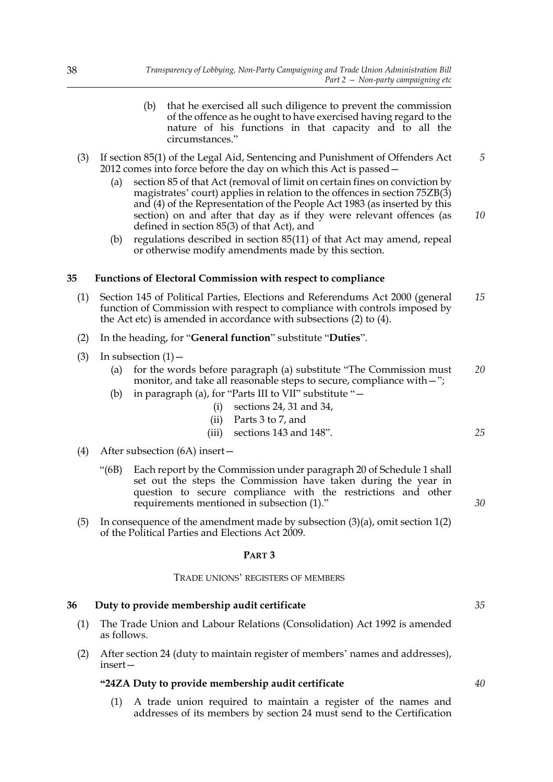- (b) that he exercised all such diligence to prevent the commission of the offence as he ought to have exercised having regard to the nature of his functions in that capacity and to all the circumstances."
- (3) If section 85(1) of the Legal Aid, Sentencing and Punishment of Offenders Act 2012 comes into force before the day on which this Act is passed—
	- (a) section 85 of that Act (removal of limit on certain fines on conviction by magistrates' court) applies in relation to the offences in section 75ZB(3) and (4) of the Representation of the People Act 1983 (as inserted by this section) on and after that day as if they were relevant offences (as defined in section 85(3) of that Act), and *10*
	- (b) regulations described in section 85(11) of that Act may amend, repeal or otherwise modify amendments made by this section.

#### **35 Functions of Electoral Commission with respect to compliance**

- (1) Section 145 of Political Parties, Elections and Referendums Act 2000 (general function of Commission with respect to compliance with controls imposed by the Act etc) is amended in accordance with subsections (2) to (4). *15*
- (2) In the heading, for "**General function**" substitute "**Duties**".
- (3) In subsection  $(1)$ 
	- (a) for the words before paragraph (a) substitute "The Commission must monitor, and take all reasonable steps to secure, compliance with –"; *20*
	- (b) in paragraph (a), for "Parts III to VII" substitute "—
		- (i) sections 24, 31 and 34,
		- (ii) Parts 3 to 7, and
		- (iii) sections 143 and 148".
- (4) After subsection (6A) insert—
	- "(6B) Each report by the Commission under paragraph 20 of Schedule 1 shall set out the steps the Commission have taken during the year in question to secure compliance with the restrictions and other requirements mentioned in subsection (1)."
- (5) In consequence of the amendment made by subsection  $(3)(a)$ , omit section  $1(2)$ of the Political Parties and Elections Act 2009.

#### **PART 3**

#### TRADE UNIONS' REGISTERS OF MEMBERS

#### **36 Duty to provide membership audit certificate**

- (1) The Trade Union and Labour Relations (Consolidation) Act 1992 is amended as follows.
- (2) After section 24 (duty to maintain register of members' names and addresses), insert—

#### **"24ZA Duty to provide membership audit certificate**

(1) A trade union required to maintain a register of the names and addresses of its members by section 24 must send to the Certification

*30*

*25*

*5*

*35*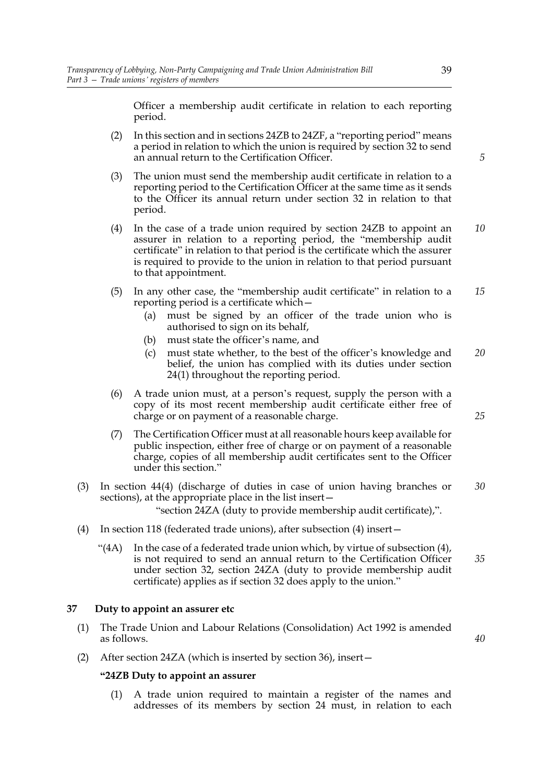Officer a membership audit certificate in relation to each reporting period.

- (2) In this section and in sections  $24\overline{Z}B$  to  $24\overline{Z}F$ , a "reporting period" means a period in relation to which the union is required by section 32 to send an annual return to the Certification Officer.
- (3) The union must send the membership audit certificate in relation to a reporting period to the Certification Officer at the same time as it sends to the Officer its annual return under section 32 in relation to that period.
- (4) In the case of a trade union required by section 24ZB to appoint an assurer in relation to a reporting period, the "membership audit certificate" in relation to that period is the certificate which the assurer is required to provide to the union in relation to that period pursuant to that appointment. *10*
- (5) In any other case, the "membership audit certificate" in relation to a reporting period is a certificate which— *15*
	- (a) must be signed by an officer of the trade union who is authorised to sign on its behalf,
	- (b) must state the officer's name, and
	- (c) must state whether, to the best of the officer's knowledge and belief, the union has complied with its duties under section 24(1) throughout the reporting period. *20*
- (6) A trade union must, at a person's request, supply the person with a copy of its most recent membership audit certificate either free of charge or on payment of a reasonable charge.
- (7) The Certification Officer must at all reasonable hours keep available for public inspection, either free of charge or on payment of a reasonable charge, copies of all membership audit certificates sent to the Officer under this section."
- (3) In section 44(4) (discharge of duties in case of union having branches or sections), at the appropriate place in the list insert— *30*
	- "section 24ZA (duty to provide membership audit certificate),".
- (4) In section 118 (federated trade unions), after subsection (4) insert—
	- " $(4A)$  In the case of a federated trade union which, by virtue of subsection  $(4)$ , is not required to send an annual return to the Certification Officer under section 32, section 24ZA (duty to provide membership audit certificate) applies as if section 32 does apply to the union."

#### **37 Duty to appoint an assurer etc**

- (1) The Trade Union and Labour Relations (Consolidation) Act 1992 is amended as follows.
- (2) After section 24ZA (which is inserted by section 36), insert—

#### **"24ZB Duty to appoint an assurer**

(1) A trade union required to maintain a register of the names and addresses of its members by section 24 must, in relation to each *5*

```
25
```
*35*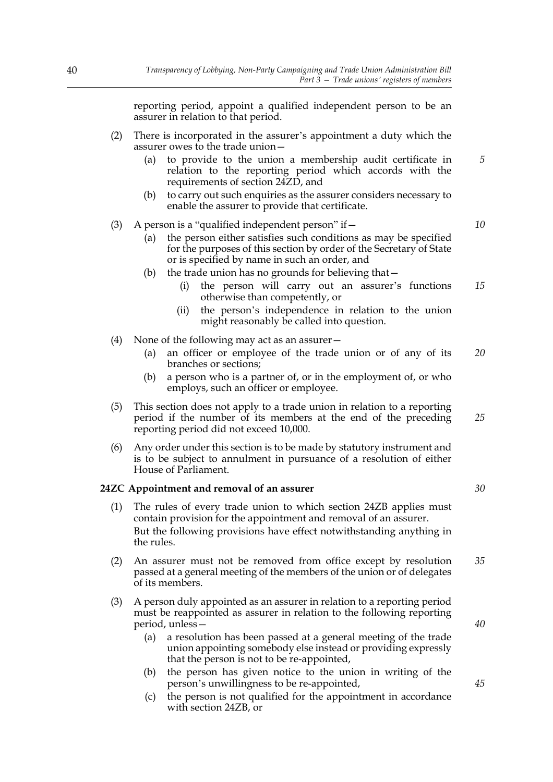reporting period, appoint a qualified independent person to be an assurer in relation to that period.

- (2) There is incorporated in the assurer's appointment a duty which the assurer owes to the trade union—
	- (a) to provide to the union a membership audit certificate in relation to the reporting period which accords with the requirements of section 24ZD, and
	- (b) to carry out such enquiries as the assurer considers necessary to enable the assurer to provide that certificate.
- (3) A person is a "qualified independent person" if  $-$

*10*

*5*

- (a) the person either satisfies such conditions as may be specified for the purposes of this section by order of the Secretary of State or is specified by name in such an order, and
- (b) the trade union has no grounds for believing that—
	- (i) the person will carry out an assurer's functions otherwise than competently, or *15*
	- (ii) the person's independence in relation to the union might reasonably be called into question.
- (4) None of the following may act as an assurer—
	- (a) an officer or employee of the trade union or of any of its branches or sections; *20*
	- (b) a person who is a partner of, or in the employment of, or who employs, such an officer or employee.
- (5) This section does not apply to a trade union in relation to a reporting period if the number of its members at the end of the preceding reporting period did not exceed 10,000. *25*
- (6) Any order under this section is to be made by statutory instrument and is to be subject to annulment in pursuance of a resolution of either House of Parliament.

#### **24ZC Appointment and removal of an assurer**

- (1) The rules of every trade union to which section 24ZB applies must contain provision for the appointment and removal of an assurer. But the following provisions have effect notwithstanding anything in the rules.
- (2) An assurer must not be removed from office except by resolution passed at a general meeting of the members of the union or of delegates of its members. *35*
- (3) A person duly appointed as an assurer in relation to a reporting period must be reappointed as assurer in relation to the following reporting period, unless—
	- (a) a resolution has been passed at a general meeting of the trade union appointing somebody else instead or providing expressly that the person is not to be re-appointed,
	- (b) the person has given notice to the union in writing of the person's unwillingness to be re-appointed,
	- (c) the person is not qualified for the appointment in accordance with section 24ZB, or

*30*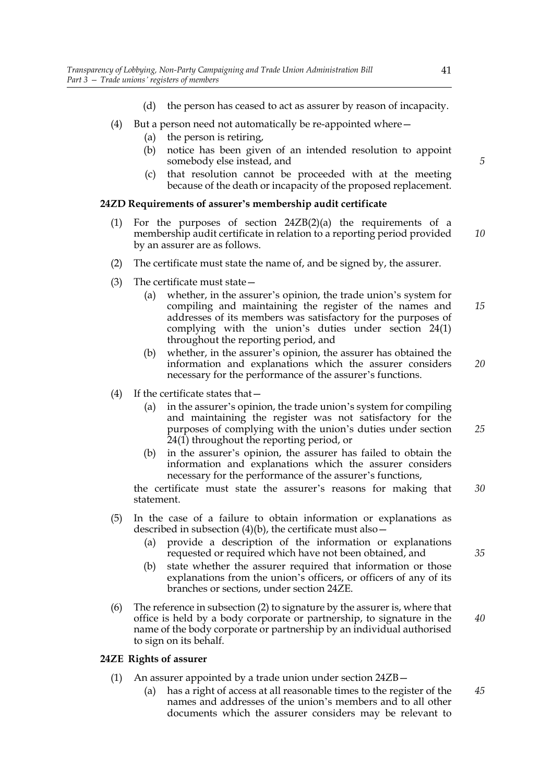- (d) the person has ceased to act as assurer by reason of incapacity.
- (4) But a person need not automatically be re-appointed where  $-$ 
	- (a) the person is retiring,
	- (b) notice has been given of an intended resolution to appoint somebody else instead, and
	- (c) that resolution cannot be proceeded with at the meeting because of the death or incapacity of the proposed replacement.

#### **24ZD Requirements of assurer's membership audit certificate**

- (1) For the purposes of section  $24ZB(2)(a)$  the requirements of a membership audit certificate in relation to a reporting period provided by an assurer are as follows.
- (2) The certificate must state the name of, and be signed by, the assurer.
- (3) The certificate must state—
	- (a) whether, in the assurer's opinion, the trade union's system for compiling and maintaining the register of the names and addresses of its members was satisfactory for the purposes of complying with the union's duties under section 24(1) throughout the reporting period, and *15*
	- (b) whether, in the assurer's opinion, the assurer has obtained the information and explanations which the assurer considers necessary for the performance of the assurer's functions.
- (4) If the certificate states that—
	- (a) in the assurer's opinion, the trade union's system for compiling and maintaining the register was not satisfactory for the purposes of complying with the union's duties under section 24(1) throughout the reporting period, or
	- (b) in the assurer's opinion, the assurer has failed to obtain the information and explanations which the assurer considers necessary for the performance of the assurer's functions,

the certificate must state the assurer's reasons for making that statement. *30*

- (5) In the case of a failure to obtain information or explanations as described in subsection  $(4)(b)$ , the certificate must also –
	- (a) provide a description of the information or explanations requested or required which have not been obtained, and
	- (b) state whether the assurer required that information or those explanations from the union's officers, or officers of any of its branches or sections, under section 24ZE.
- (6) The reference in subsection (2) to signature by the assurer is, where that office is held by a body corporate or partnership, to signature in the name of the body corporate or partnership by an individual authorised to sign on its behalf.

#### **24ZE Rights of assurer**

- (1) An assurer appointed by a trade union under section 24ZB—
	- (a) has a right of access at all reasonable times to the register of the names and addresses of the union's members and to all other documents which the assurer considers may be relevant to *45*

*5*

*10*

*20*

*25*

*35*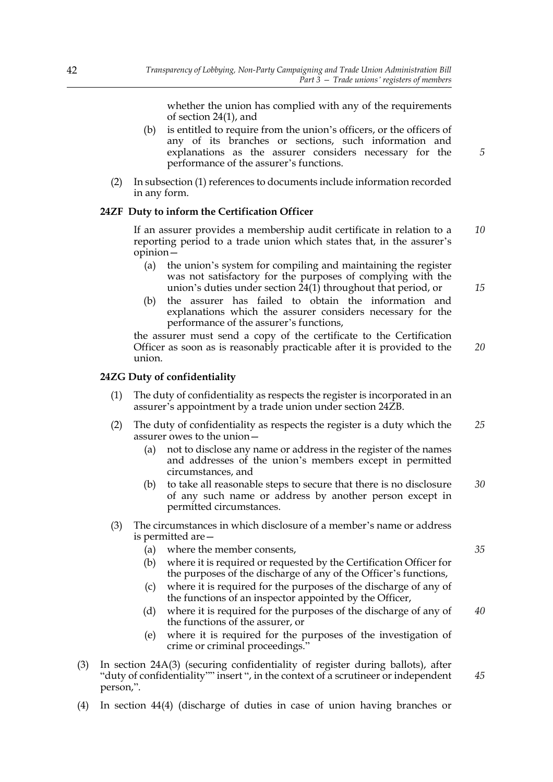whether the union has complied with any of the requirements of section 24(1), and

- (b) is entitled to require from the union's officers, or the officers of any of its branches or sections, such information and explanations as the assurer considers necessary for the performance of the assurer's functions.
- (2) In subsection (1) references to documents include information recorded in any form.

#### **24ZF Duty to inform the Certification Officer**

If an assurer provides a membership audit certificate in relation to a reporting period to a trade union which states that, in the assurer's opinion— *10*

- (a) the union's system for compiling and maintaining the register was not satisfactory for the purposes of complying with the union's duties under section  $24(1)$  throughout that period, or
- (b) the assurer has failed to obtain the information and explanations which the assurer considers necessary for the performance of the assurer's functions,

the assurer must send a copy of the certificate to the Certification Officer as soon as is reasonably practicable after it is provided to the union.

#### **24ZG Duty of confidentiality**

- (1) The duty of confidentiality as respects the register is incorporated in an assurer's appointment by a trade union under section 24ZB.
- (2) The duty of confidentiality as respects the register is a duty which the assurer owes to the union— *25*
	- (a) not to disclose any name or address in the register of the names and addresses of the union's members except in permitted circumstances, and
	- (b) to take all reasonable steps to secure that there is no disclosure of any such name or address by another person except in permitted circumstances. *30*

#### (3) The circumstances in which disclosure of a member's name or address is permitted are—

- (a) where the member consents,
- (b) where it is required or requested by the Certification Officer for the purposes of the discharge of any of the Officer's functions,
- (c) where it is required for the purposes of the discharge of any of the functions of an inspector appointed by the Officer,
- (d) where it is required for the purposes of the discharge of any of the functions of the assurer, or *40*
- (e) where it is required for the purposes of the investigation of crime or criminal proceedings."
- (3) In section 24A(3) (securing confidentiality of register during ballots), after "duty of confidentiality"" insert ", in the context of a scrutineer or independent person,". *45*
- (4) In section 44(4) (discharge of duties in case of union having branches or

*15*

*5*

*20*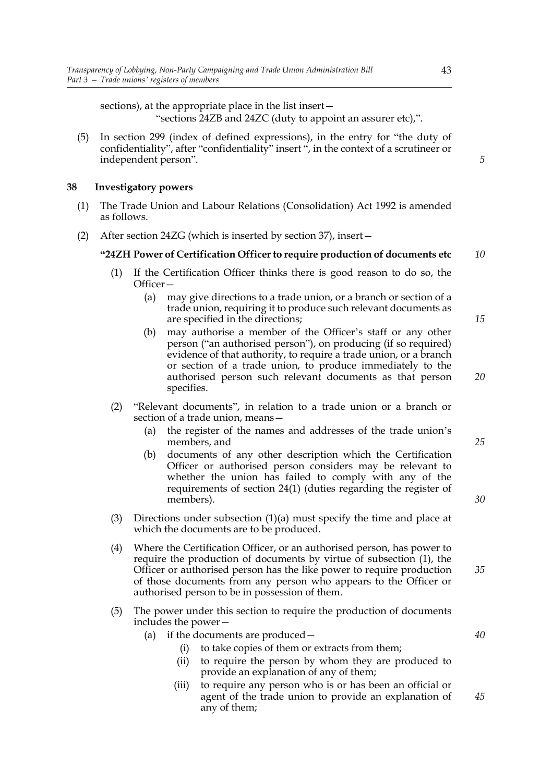sections), at the appropriate place in the list insert— "sections 24ZB and 24ZC (duty to appoint an assurer etc),".

(5) In section 299 (index of defined expressions), in the entry for "the duty of confidentiality", after "confidentiality" insert ", in the context of a scrutineer or independent person".

#### **38 Investigatory powers**

- (1) The Trade Union and Labour Relations (Consolidation) Act 1992 is amended as follows.
- (2) After section 24ZG (which is inserted by section 37), insert—

#### **"24ZH Power of Certification Officer to require production of documents etc** *10*

- (1) If the Certification Officer thinks there is good reason to do so, the Officer—
	- (a) may give directions to a trade union, or a branch or section of a trade union, requiring it to produce such relevant documents as are specified in the directions;
	- (b) may authorise a member of the Officer's staff or any other person ("an authorised person"), on producing (if so required) evidence of that authority, to require a trade union, or a branch or section of a trade union, to produce immediately to the authorised person such relevant documents as that person specifies.
- (2) "Relevant documents", in relation to a trade union or a branch or section of a trade union, means—
	- (a) the register of the names and addresses of the trade union's members, and
	- (b) documents of any other description which the Certification Officer or authorised person considers may be relevant to whether the union has failed to comply with any of the requirements of section 24(1) (duties regarding the register of members).
- (3) Directions under subsection (1)(a) must specify the time and place at which the documents are to be produced.
- (4) Where the Certification Officer, or an authorised person, has power to require the production of documents by virtue of subsection (1), the Officer or authorised person has the like power to require production of those documents from any person who appears to the Officer or authorised person to be in possession of them.
- (5) The power under this section to require the production of documents includes the power—
	- (a) if the documents are produced—
		- (i) to take copies of them or extracts from them;
		- (ii) to require the person by whom they are produced to provide an explanation of any of them;
		- (iii) to require any person who is or has been an official or agent of the trade union to provide an explanation of any of them;

*25*

*20*

*15*

*30*

*35*

*40*

*45*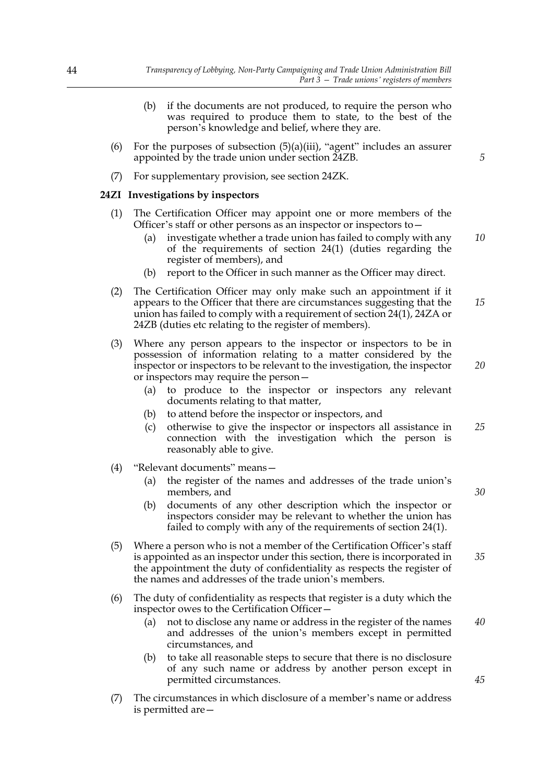- (b) if the documents are not produced, to require the person who was required to produce them to state, to the best of the person's knowledge and belief, where they are.
- (6) For the purposes of subsection  $(5)(a)(iii)$ , "agent" includes an assurer appointed by the trade union under section 24ZB.
- (7) For supplementary provision, see section 24ZK.

#### **24ZI Investigations by inspectors**

- (1) The Certification Officer may appoint one or more members of the Officer's staff or other persons as an inspector or inspectors to—
	- (a) investigate whether a trade union has failed to comply with any of the requirements of section 24(1) (duties regarding the register of members), and *10*
	- (b) report to the Officer in such manner as the Officer may direct.
- (2) The Certification Officer may only make such an appointment if it appears to the Officer that there are circumstances suggesting that the union has failed to comply with a requirement of section 24(1), 24ZA or 24ZB (duties etc relating to the register of members). *15*
- (3) Where any person appears to the inspector or inspectors to be in possession of information relating to a matter considered by the inspector or inspectors to be relevant to the investigation, the inspector or inspectors may require the person—
	- (a) to produce to the inspector or inspectors any relevant documents relating to that matter,
	- (b) to attend before the inspector or inspectors, and
	- (c) otherwise to give the inspector or inspectors all assistance in connection with the investigation which the person is reasonably able to give. *25*
- (4) "Relevant documents" means—
	- (a) the register of the names and addresses of the trade union's members, and
	- (b) documents of any other description which the inspector or inspectors consider may be relevant to whether the union has failed to comply with any of the requirements of section 24(1).
- (5) Where a person who is not a member of the Certification Officer's staff is appointed as an inspector under this section, there is incorporated in the appointment the duty of confidentiality as respects the register of the names and addresses of the trade union's members. *35*
- (6) The duty of confidentiality as respects that register is a duty which the inspector owes to the Certification Officer—
	- (a) not to disclose any name or address in the register of the names and addresses of the union's members except in permitted circumstances, and *40*
	- (b) to take all reasonable steps to secure that there is no disclosure of any such name or address by another person except in permitted circumstances.
- (7) The circumstances in which disclosure of a member's name or address is permitted are—

*5*

*20*

*30*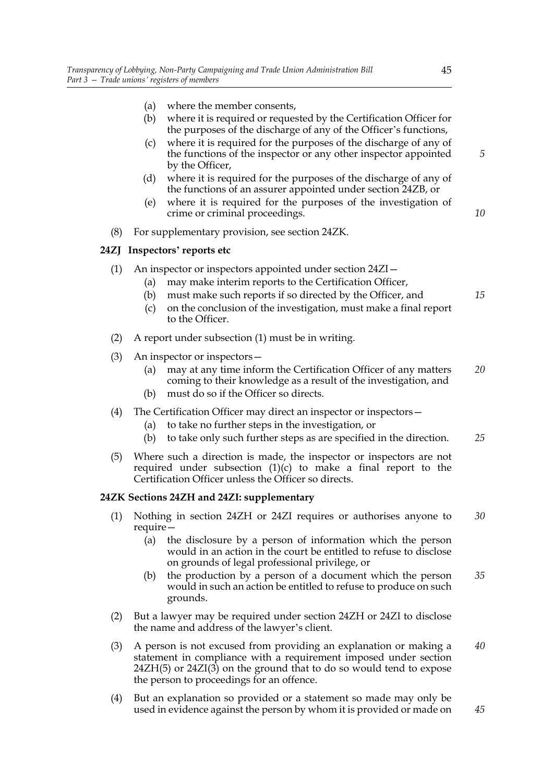- (a) where the member consents,
- (b) where it is required or requested by the Certification Officer for the purposes of the discharge of any of the Officer's functions,
- (c) where it is required for the purposes of the discharge of any of the functions of the inspector or any other inspector appointed by the Officer,
- (d) where it is required for the purposes of the discharge of any of the functions of an assurer appointed under section 24ZB, or
- (e) where it is required for the purposes of the investigation of crime or criminal proceedings.
- (8) For supplementary provision, see section 24ZK.

#### **24ZJ Inspectors' reports etc**

- (1) An inspector or inspectors appointed under section 24ZI—
	- (a) may make interim reports to the Certification Officer,
	- (b) must make such reports if so directed by the Officer, and
	- (c) on the conclusion of the investigation, must make a final report to the Officer.
- (2) A report under subsection (1) must be in writing.
- (3) An inspector or inspectors—
	- (a) may at any time inform the Certification Officer of any matters coming to their knowledge as a result of the investigation, and *20*
	- (b) must do so if the Officer so directs.
- (4) The Certification Officer may direct an inspector or inspectors—
	- (a) to take no further steps in the investigation, or
	- (b) to take only such further steps as are specified in the direction. *25*
- (5) Where such a direction is made, the inspector or inspectors are not required under subsection  $(1)(c)$  to make a final report to the Certification Officer unless the Officer so directs.

#### **24ZK Sections 24ZH and 24ZI: supplementary**

- (1) Nothing in section 24ZH or 24ZI requires or authorises anyone to require— *30*
	- (a) the disclosure by a person of information which the person would in an action in the court be entitled to refuse to disclose on grounds of legal professional privilege, or
	- (b) the production by a person of a document which the person would in such an action be entitled to refuse to produce on such grounds. *35*
- (2) But a lawyer may be required under section 24ZH or 24ZI to disclose the name and address of the lawyer's client.
- (3) A person is not excused from providing an explanation or making a statement in compliance with a requirement imposed under section 24ZH(5) or 24ZI(3) on the ground that to do so would tend to expose the person to proceedings for an offence. *40*
- (4) But an explanation so provided or a statement so made may only be used in evidence against the person by whom it is provided or made on *45*

*15*

*10*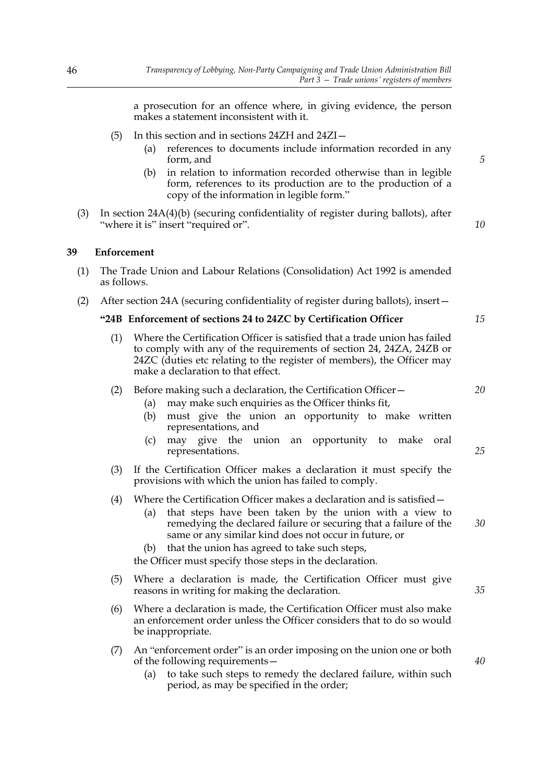a prosecution for an offence where, in giving evidence, the person makes a statement inconsistent with it.

- (5) In this section and in sections 24ZH and 24ZI—
	- (a) references to documents include information recorded in any form, and
	- (b) in relation to information recorded otherwise than in legible form, references to its production are to the production of a copy of the information in legible form."
- (3) In section 24A(4)(b) (securing confidentiality of register during ballots), after "where it is" insert "required or".

**39 Enforcement**

- (1) The Trade Union and Labour Relations (Consolidation) Act 1992 is amended as follows.
- (2) After section 24A (securing confidentiality of register during ballots), insert—

#### **"24B Enforcement of sections 24 to 24ZC by Certification Officer**

- (1) Where the Certification Officer is satisfied that a trade union has failed to comply with any of the requirements of section 24, 24ZA, 24ZB or 24ZC (duties etc relating to the register of members), the Officer may make a declaration to that effect.
- (2) Before making such a declaration, the Certification Officer—
	- (a) may make such enquiries as the Officer thinks fit,
	- (b) must give the union an opportunity to make written representations, and
	- (c) may give the union an opportunity to make oral representations.
- (3) If the Certification Officer makes a declaration it must specify the provisions with which the union has failed to comply.
- (4) Where the Certification Officer makes a declaration and is satisfied
	- that steps have been taken by the union with a view to remedying the declared failure or securing that a failure of the same or any similar kind does not occur in future, or
	- (b) that the union has agreed to take such steps,

the Officer must specify those steps in the declaration.

- (5) Where a declaration is made, the Certification Officer must give reasons in writing for making the declaration.
- (6) Where a declaration is made, the Certification Officer must also make an enforcement order unless the Officer considers that to do so would be inappropriate.
- (7) An "enforcement order" is an order imposing on the union one or both of the following requirements—
	- (a) to take such steps to remedy the declared failure, within such period, as may be specified in the order;

*15*

*10*

*5*

*20*

*25*

*35*

*40*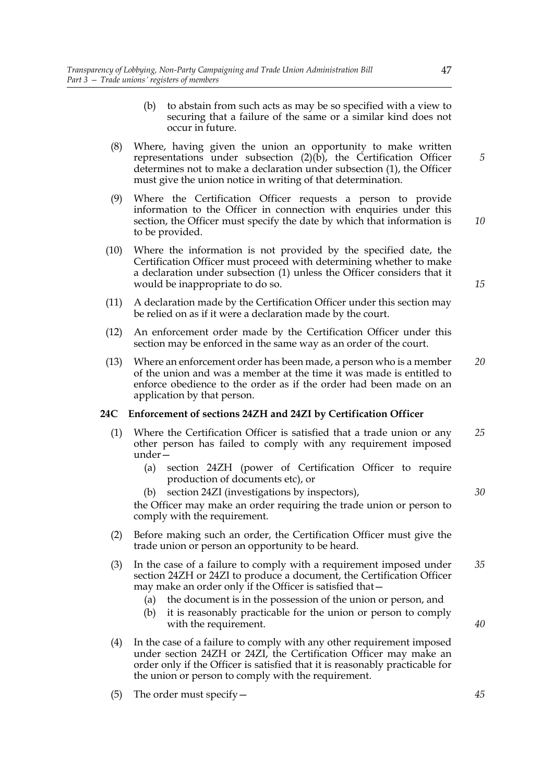- (b) to abstain from such acts as may be so specified with a view to securing that a failure of the same or a similar kind does not occur in future.
- (8) Where, having given the union an opportunity to make written representations under subsection (2)(b), the Certification Officer determines not to make a declaration under subsection (1), the Officer must give the union notice in writing of that determination.
- (9) Where the Certification Officer requests a person to provide information to the Officer in connection with enquiries under this section, the Officer must specify the date by which that information is to be provided.
- (10) Where the information is not provided by the specified date, the Certification Officer must proceed with determining whether to make a declaration under subsection (1) unless the Officer considers that it would be inappropriate to do so.
- (11) A declaration made by the Certification Officer under this section may be relied on as if it were a declaration made by the court.
- (12) An enforcement order made by the Certification Officer under this section may be enforced in the same way as an order of the court.
- (13) Where an enforcement order has been made, a person who is a member of the union and was a member at the time it was made is entitled to enforce obedience to the order as if the order had been made on an application by that person. *20*

#### **24C Enforcement of sections 24ZH and 24ZI by Certification Officer**

- (1) Where the Certification Officer is satisfied that a trade union or any other person has failed to comply with any requirement imposed under— *25*
	- (a) section 24ZH (power of Certification Officer to require production of documents etc), or
	- (b) section 24ZI (investigations by inspectors),

the Officer may make an order requiring the trade union or person to comply with the requirement.

- (2) Before making such an order, the Certification Officer must give the trade union or person an opportunity to be heard.
- (3) In the case of a failure to comply with a requirement imposed under section 24ZH or 24ZI to produce a document, the Certification Officer may make an order only if the Officer is satisfied that— *35*
	- (a) the document is in the possession of the union or person, and
	- (b) it is reasonably practicable for the union or person to comply with the requirement.
- (4) In the case of a failure to comply with any other requirement imposed under section 24ZH or 24ZI, the Certification Officer may make an order only if the Officer is satisfied that it is reasonably practicable for the union or person to comply with the requirement.
- (5) The order must specify—

*15*

*10*

*5*

*30*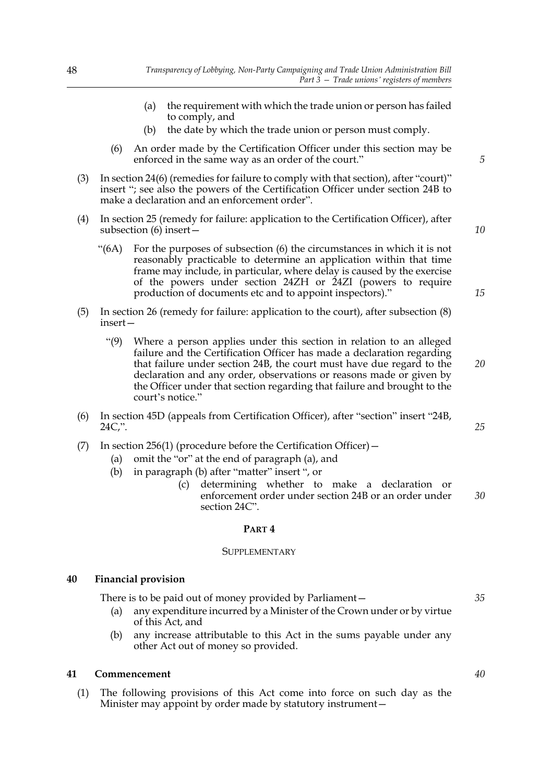- (a) the requirement with which the trade union or person has failed to comply, and
- (b) the date by which the trade union or person must comply.
- (6) An order made by the Certification Officer under this section may be enforced in the same way as an order of the court."
- (3) In section 24(6) (remedies for failure to comply with that section), after "court)" insert "; see also the powers of the Certification Officer under section 24B to make a declaration and an enforcement order".
- (4) In section 25 (remedy for failure: application to the Certification Officer), after subsection (6) insert -
	- "(6A) For the purposes of subsection (6) the circumstances in which it is not reasonably practicable to determine an application within that time frame may include, in particular, where delay is caused by the exercise of the powers under section 24ZH or 24ZI (powers to require production of documents etc and to appoint inspectors)."
- (5) In section 26 (remedy for failure: application to the court), after subsection (8) insert—
	- "(9) Where a person applies under this section in relation to an alleged failure and the Certification Officer has made a declaration regarding that failure under section 24B, the court must have due regard to the declaration and any order, observations or reasons made or given by the Officer under that section regarding that failure and brought to the court's notice."
- (6) In section 45D (appeals from Certification Officer), after "section" insert "24B, 24C,".
- (7) In section 256(1) (procedure before the Certification Officer)—
	- (a) omit the "or" at the end of paragraph (a), and
	- (b) in paragraph (b) after "matter" insert ", or
		- (c) determining whether to make a declaration or enforcement order under section 24B or an order under section 24C". *30*

#### **PART 4**

#### **SUPPLEMENTARY**

#### **40 Financial provision**

There is to be paid out of money provided by Parliament—

- (a) any expenditure incurred by a Minister of the Crown under or by virtue of this Act, and
- (b) any increase attributable to this Act in the sums payable under any other Act out of money so provided.

#### **41 Commencement**

(1) The following provisions of this Act come into force on such day as the Minister may appoint by order made by statutory instrument*5*

*10*

*15*

*20*

*25*

*35*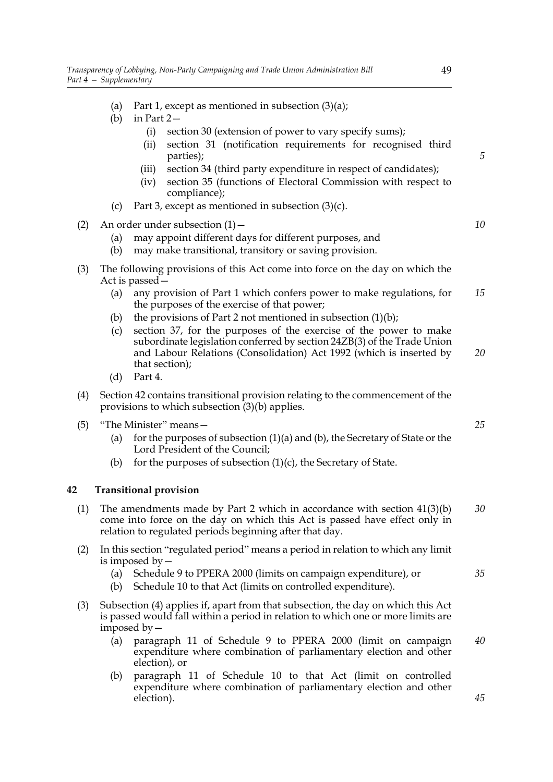- (b) in Part 2—
	- (i) section 30 (extension of power to vary specify sums);
	- (ii) section 31 (notification requirements for recognised third parties);
	- (iii) section 34 (third party expenditure in respect of candidates);
	- (iv) section 35 (functions of Electoral Commission with respect to compliance);
- (c) Part 3, except as mentioned in subsection  $(3)(c)$ .
- (2) An order under subsection  $(1)$  -
	- (a) may appoint different days for different purposes, and
	- (b) may make transitional, transitory or saving provision.
- (3) The following provisions of this Act come into force on the day on which the Act is passed—
	- (a) any provision of Part 1 which confers power to make regulations, for the purposes of the exercise of that power; *15*
	- (b) the provisions of Part 2 not mentioned in subsection  $(1)(b)$ ;
	- (c) section 37, for the purposes of the exercise of the power to make subordinate legislation conferred by section 24ZB(3) of the Trade Union and Labour Relations (Consolidation) Act 1992 (which is inserted by that section); *20*
	- (d) Part 4.
- (4) Section 42 contains transitional provision relating to the commencement of the provisions to which subsection (3)(b) applies.
- (5) "The Minister" means—
	- (a) for the purposes of subsection  $(1)(a)$  and  $(b)$ , the Secretary of State or the Lord President of the Council;
	- (b) for the purposes of subsection  $(1)(c)$ , the Secretary of State.

#### **42 Transitional provision**

- (1) The amendments made by Part 2 which in accordance with section  $41(3)(b)$ come into force on the day on which this Act is passed have effect only in relation to regulated periods beginning after that day. *30*
- (2) In this section "regulated period" means a period in relation to which any limit is imposed by—
	- (a) Schedule 9 to PPERA 2000 (limits on campaign expenditure), or
	- (b) Schedule 10 to that Act (limits on controlled expenditure).
- (3) Subsection (4) applies if, apart from that subsection, the day on which this Act is passed would fall within a period in relation to which one or more limits are imposed by—
	- (a) paragraph 11 of Schedule 9 to PPERA 2000 (limit on campaign expenditure where combination of parliamentary election and other election), or *40*
	- (b) paragraph 11 of Schedule 10 to that Act (limit on controlled expenditure where combination of parliamentary election and other election).

*35*

*45*

*10*

*5*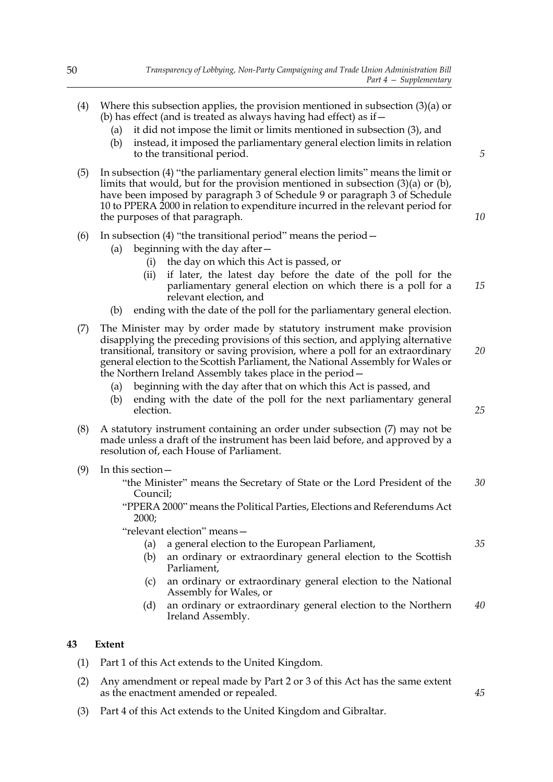- (a) it did not impose the limit or limits mentioned in subsection (3), and
- (b) instead, it imposed the parliamentary general election limits in relation to the transitional period.
- (5) In subsection (4) "the parliamentary general election limits" means the limit or limits that would, but for the provision mentioned in subsection (3)(a) or (b), have been imposed by paragraph 3 of Schedule 9 or paragraph 3 of Schedule 10 to PPERA 2000 in relation to expenditure incurred in the relevant period for the purposes of that paragraph.
- (6) In subsection (4) "the transitional period" means the period $-$ 
	- (a) beginning with the day after—
		- (i) the day on which this Act is passed, or
		- (ii) if later, the latest day before the date of the poll for the parliamentary general election on which there is a poll for a relevant election, and *15*
	- (b) ending with the date of the poll for the parliamentary general election.
- (7) The Minister may by order made by statutory instrument make provision disapplying the preceding provisions of this section, and applying alternative transitional, transitory or saving provision, where a poll for an extraordinary general election to the Scottish Parliament, the National Assembly for Wales or the Northern Ireland Assembly takes place in the period— *20*
	- (a) beginning with the day after that on which this Act is passed, and
	- (b) ending with the date of the poll for the next parliamentary general election.
- (8) A statutory instrument containing an order under subsection (7) may not be made unless a draft of the instrument has been laid before, and approved by a resolution of, each House of Parliament.
- (9) In this section—
	- "the Minister" means the Secretary of State or the Lord President of the Council; *30*

"PPERA 2000" means the Political Parties, Elections and Referendums Act 2000;

"relevant election" means—

- (a) a general election to the European Parliament,
- (b) an ordinary or extraordinary general election to the Scottish Parliament,
- (c) an ordinary or extraordinary general election to the National Assembly for Wales, or
- (d) an ordinary or extraordinary general election to the Northern Ireland Assembly. *40*

#### **43 Extent**

- (1) Part 1 of this Act extends to the United Kingdom.
- (2) Any amendment or repeal made by Part 2 or 3 of this Act has the same extent as the enactment amended or repealed.
- (3) Part 4 of this Act extends to the United Kingdom and Gibraltar.

*10*

*5*

*25*

*35*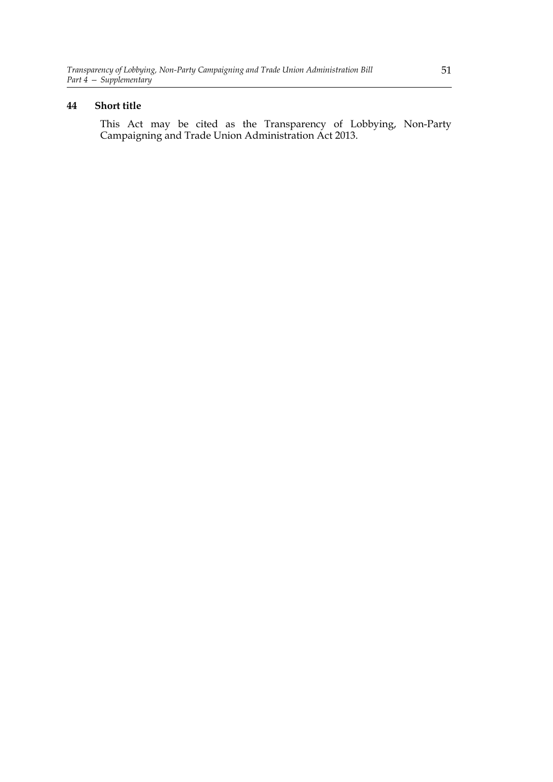#### **44 Short title**

 This Act may be cited as the Transparency of Lobbying, Non-Party Campaigning and Trade Union Administration Act 2013.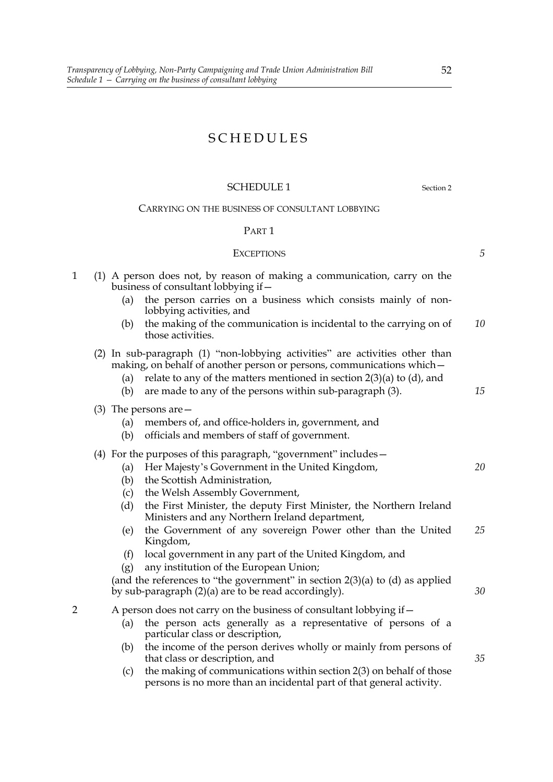### SCHEDULES

#### SCHEDULE 1 Section 2

#### CARRYING ON THE BUSINESS OF CONSULTANT LOBBYING

#### PART 1

#### **EXCEPTIONS**

| 1 |            | (1) A person does not, by reason of making a communication, carry on the<br>business of consultant lobbying if –                                       |    |
|---|------------|--------------------------------------------------------------------------------------------------------------------------------------------------------|----|
|   | (a)        | the person carries on a business which consists mainly of non-<br>lobbying activities, and                                                             |    |
|   | (b)        | the making of the communication is incidental to the carrying on of<br>those activities.                                                               | 10 |
|   |            | (2) In sub-paragraph (1) "non-lobbying activities" are activities other than<br>making, on behalf of another person or persons, communications which - |    |
|   | (a)<br>(b) | relate to any of the matters mentioned in section $2(3)(a)$ to (d), and<br>are made to any of the persons within sub-paragraph (3).                    | 15 |
|   |            | $(3)$ The persons are $-$                                                                                                                              |    |
|   | (a)        | members of, and office-holders in, government, and                                                                                                     |    |
|   | (b)        | officials and members of staff of government.                                                                                                          |    |
|   |            | (4) For the purposes of this paragraph, "government" includes $-$                                                                                      |    |
|   | (a)        | Her Majesty's Government in the United Kingdom,                                                                                                        | 20 |
|   | (b)        | the Scottish Administration,                                                                                                                           |    |
|   | (c)        | the Welsh Assembly Government,                                                                                                                         |    |
|   | (d)        | the First Minister, the deputy First Minister, the Northern Ireland<br>Ministers and any Northern Ireland department,                                  |    |
|   | (e)        | the Government of any sovereign Power other than the United<br>Kingdom,                                                                                | 25 |
|   | (f)        | local government in any part of the United Kingdom, and                                                                                                |    |
|   | (g)        | any institution of the European Union;                                                                                                                 |    |
|   |            | (and the references to "the government" in section $2(3)(a)$ to $(d)$ as applied<br>by sub-paragraph (2)(a) are to be read accordingly).               | 30 |
|   |            |                                                                                                                                                        |    |
| 2 |            | A person does not carry on the business of consultant lobbying if -                                                                                    |    |
|   | (a)        | the person acts generally as a representative of persons of a<br>particular class or description,                                                      |    |
|   | (b)        | the income of the person derives wholly or mainly from persons of<br>that class or description, and                                                    | 35 |
|   | (c)        | the making of communications within section 2(3) on behalf of those<br>persons is no more than an incidental part of that general activity.            |    |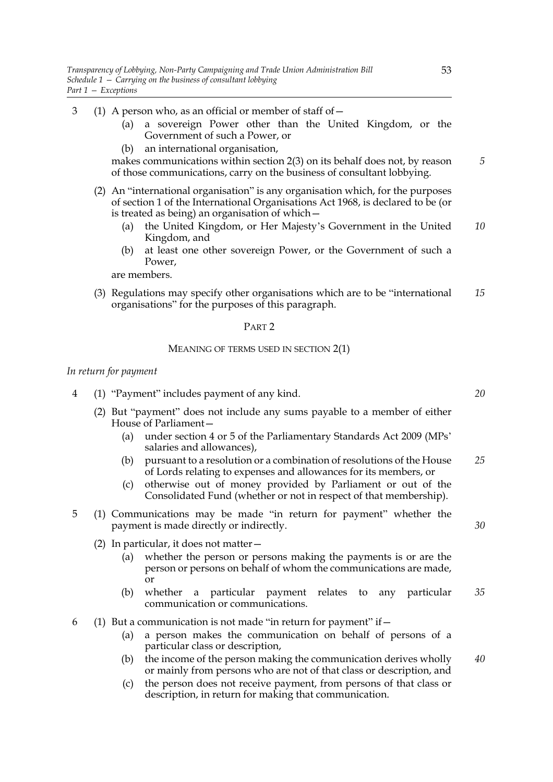- 3 (1) A person who, as an official or member of staff of—
	- (a) a sovereign Power other than the United Kingdom, or the Government of such a Power, or
	- (b) an international organisation,

makes communications within section 2(3) on its behalf does not, by reason of those communications, carry on the business of consultant lobbying.

- (2) An "international organisation" is any organisation which, for the purposes of section 1 of the International Organisations Act 1968, is declared to be (or is treated as being) an organisation of which—
	- (a) the United Kingdom, or Her Majesty's Government in the United Kingdom, and *10*
	- (b) at least one other sovereign Power, or the Government of such a Power,

are members.

(3) Regulations may specify other organisations which are to be "international organisations" for the purposes of this paragraph. *15*

#### PART 2

#### MEANING OF TERMS USED IN SECTION 2(1)

#### *In return for payment*

- 4 (1) "Payment" includes payment of any kind.
	- (2) But "payment" does not include any sums payable to a member of either House of Parliament—
		- (a) under section 4 or 5 of the Parliamentary Standards Act 2009 (MPs' salaries and allowances),
		- (b) pursuant to a resolution or a combination of resolutions of the House of Lords relating to expenses and allowances for its members, or *25*
		- (c) otherwise out of money provided by Parliament or out of the Consolidated Fund (whether or not in respect of that membership).
- 5 (1) Communications may be made "in return for payment" whether the payment is made directly or indirectly.
	- (2) In particular, it does not matter—
		- (a) whether the person or persons making the payments is or are the person or persons on behalf of whom the communications are made, or
		- (b) whether a particular payment relates to any particular communication or communications. *35*
- 6 (1) But a communication is not made "in return for payment" if  $-$ 
	- (a) a person makes the communication on behalf of persons of a particular class or description,
	- (b) the income of the person making the communication derives wholly or mainly from persons who are not of that class or description, and *40*
	- (c) the person does not receive payment, from persons of that class or description, in return for making that communication.

*20*

*30*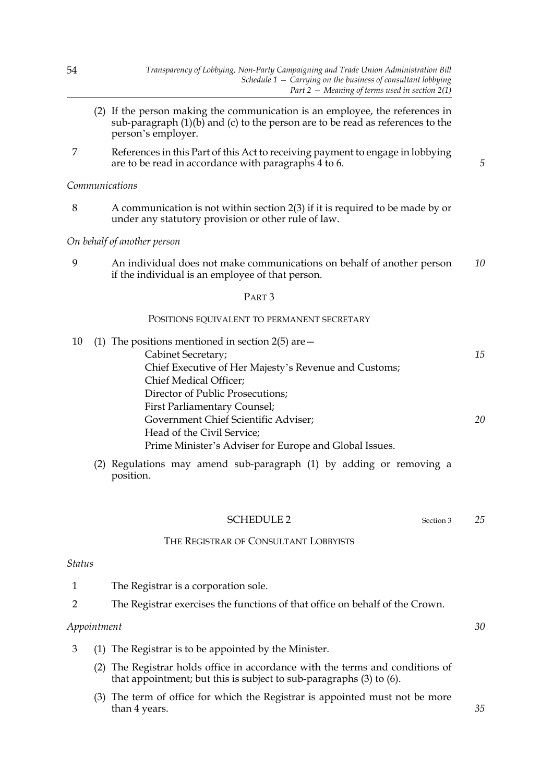(2) If the person making the communication is an employee, the references in sub-paragraph (1)(b) and (c) to the person are to be read as references to the person's employer. 7 References in this Part of this Act to receiving payment to engage in lobbying are to be read in accordance with paragraphs 4 to 6. *Communications* 8 A communication is not within section 2(3) if it is required to be made by or under any statutory provision or other rule of law. *On behalf of another person* 9 An individual does not make communications on behalf of another person if the individual is an employee of that person. PART 3 POSITIONS EQUIVALENT TO PERMANENT SECRETARY 10 (1) The positions mentioned in section 2(5) are— Cabinet Secretary; Chief Executive of Her Majesty's Revenue and Customs; Chief Medical Officer; Director of Public Prosecutions; First Parliamentary Counsel; Government Chief Scientific Adviser; Head of the Civil Service; Prime Minister's Adviser for Europe and Global Issues. (2) Regulations may amend sub-paragraph (1) by adding or removing a position. SCHEDULE 2 Section 3 THE REGISTRAR OF CONSULTANT LOBBYISTS *5 10 15 20 25*

#### *Status*

- 1 The Registrar is a corporation sole.
- 2 The Registrar exercises the functions of that office on behalf of the Crown.

#### *Appointment*

- 3 (1) The Registrar is to be appointed by the Minister.
	- (2) The Registrar holds office in accordance with the terms and conditions of that appointment; but this is subject to sub-paragraphs (3) to (6).
	- (3) The term of office for which the Registrar is appointed must not be more than 4 years.

*35*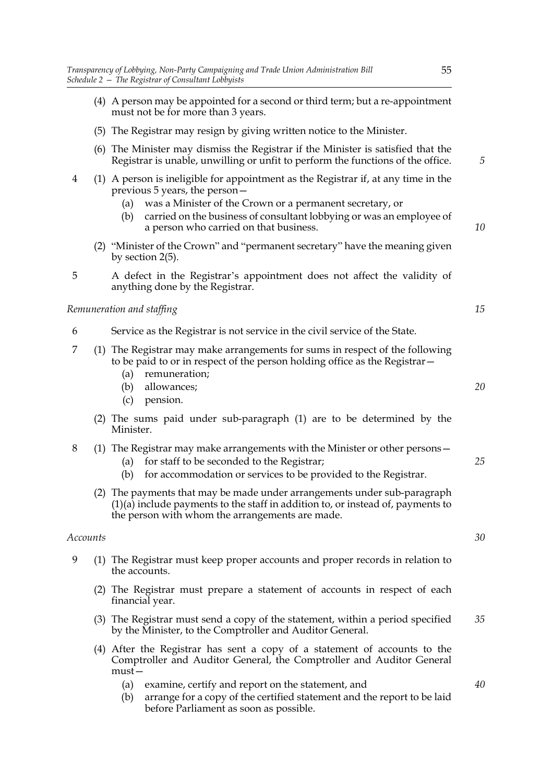- (4) A person may be appointed for a second or third term; but a re-appointment must not be for more than 3 years.
- (5) The Registrar may resign by giving written notice to the Minister.
- (6) The Minister may dismiss the Registrar if the Minister is satisfied that the Registrar is unable, unwilling or unfit to perform the functions of the office.
- 4 (1) A person is ineligible for appointment as the Registrar if, at any time in the previous 5 years, the person—
	- (a) was a Minister of the Crown or a permanent secretary, or
	- (b) carried on the business of consultant lobbying or was an employee of a person who carried on that business.
	- (2) "Minister of the Crown" and "permanent secretary" have the meaning given by section 2(5).
- 5 A defect in the Registrar's appointment does not affect the validity of anything done by the Registrar.

#### *Remuneration and staffing*

- 6 Service as the Registrar is not service in the civil service of the State.
- 7 (1) The Registrar may make arrangements for sums in respect of the following to be paid to or in respect of the person holding office as the Registrar—
	- (a) remuneration;
	- (b) allowances;
	- (c) pension.
	- (2) The sums paid under sub-paragraph (1) are to be determined by the Minister.

#### 8 (1) The Registrar may make arrangements with the Minister or other persons—

- (a) for staff to be seconded to the Registrar;
- (b) for accommodation or services to be provided to the Registrar.
- (2) The payments that may be made under arrangements under sub-paragraph (1)(a) include payments to the staff in addition to, or instead of, payments to the person with whom the arrangements are made.

#### *Accounts*

- 9 (1) The Registrar must keep proper accounts and proper records in relation to the accounts.
	- (2) The Registrar must prepare a statement of accounts in respect of each financial year.
	- (3) The Registrar must send a copy of the statement, within a period specified by the Minister, to the Comptroller and Auditor General. *35*
	- (4) After the Registrar has sent a copy of a statement of accounts to the Comptroller and Auditor General, the Comptroller and Auditor General must—
		- (a) examine, certify and report on the statement, and
		- (b) arrange for a copy of the certified statement and the report to be laid before Parliament as soon as possible.

*5*

*10*

*15*

*20*

*25*

*30*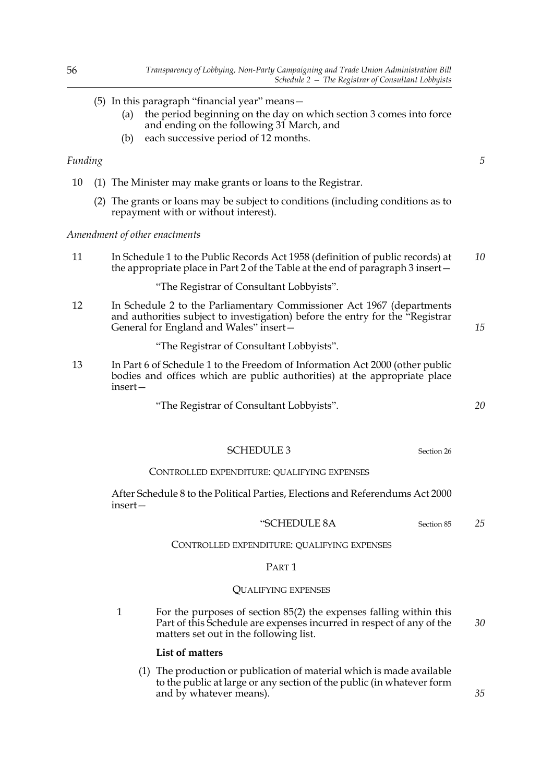- (5) In this paragraph "financial year" means—
	- (a) the period beginning on the day on which section 3 comes into force and ending on the following 31 March, and
	- (b) each successive period of 12 months.

#### *Funding*

- 10 (1) The Minister may make grants or loans to the Registrar.
	- (2) The grants or loans may be subject to conditions (including conditions as to repayment with or without interest).

*Amendment of other enactments*

11 In Schedule 1 to the Public Records Act 1958 (definition of public records) at the appropriate place in Part 2 of the Table at the end of paragraph 3 insert— *10*

"The Registrar of Consultant Lobbyists".

12 In Schedule 2 to the Parliamentary Commissioner Act 1967 (departments and authorities subject to investigation) before the entry for the "Registrar General for England and Wales" insert -

"The Registrar of Consultant Lobbyists".

13 In Part 6 of Schedule 1 to the Freedom of Information Act 2000 (other public bodies and offices which are public authorities) at the appropriate place insert—

"The Registrar of Consultant Lobbyists".

#### SCHEDULE 3 Section 26

#### CONTROLLED EXPENDITURE: QUALIFYING EXPENSES

After Schedule 8 to the Political Parties, Elections and Referendums Act 2000 insert—

#### "SCHEDULE 8A Section 85

#### CONTROLLED EXPENDITURE: QUALIFYING EXPENSES

#### PART 1

#### QUALIFYING EXPENSES

1 For the purposes of section 85(2) the expenses falling within this Part of this Schedule are expenses incurred in respect of any of the matters set out in the following list. *30*

#### **List of matters**

(1) The production or publication of material which is made available to the public at large or any section of the public (in whatever form and by whatever means).

*20*

*15*

*5*

*35*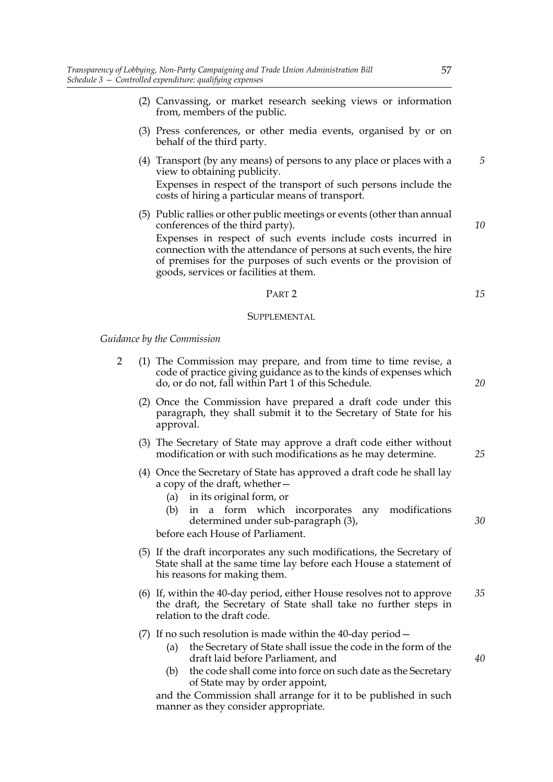- (2) Canvassing, or market research seeking views or information from, members of the public.
- (3) Press conferences, or other media events, organised by or on behalf of the third party.
- (4) Transport (by any means) of persons to any place or places with a view to obtaining publicity.

Expenses in respect of the transport of such persons include the costs of hiring a particular means of transport.

(5) Public rallies or other public meetings or events (other than annual conferences of the third party). Expenses in respect of such events include costs incurred in connection with the attendance of persons at such events, the hire of premises for the purposes of such events or the provision of goods, services or facilities at them.

#### PART 2

#### SUPPLEMENTAL

*Guidance by the Commission*

- 2 (1) The Commission may prepare, and from time to time revise, a code of practice giving guidance as to the kinds of expenses which do, or do not, fall within Part 1 of this Schedule.
	- (2) Once the Commission have prepared a draft code under this paragraph, they shall submit it to the Secretary of State for his approval.
	- (3) The Secretary of State may approve a draft code either without modification or with such modifications as he may determine.
	- (4) Once the Secretary of State has approved a draft code he shall lay a copy of the draft, whether—
		- (a) in its original form, or
		- (b) in a form which incorporates any modifications determined under sub-paragraph (3),

before each House of Parliament.

- (5) If the draft incorporates any such modifications, the Secretary of State shall at the same time lay before each House a statement of his reasons for making them.
- (6) If, within the 40-day period, either House resolves not to approve the draft, the Secretary of State shall take no further steps in relation to the draft code. *35*
- (7) If no such resolution is made within the 40-day period—
	- (a) the Secretary of State shall issue the code in the form of the draft laid before Parliament, and
	- (b) the code shall come into force on such date as the Secretary of State may by order appoint,

and the Commission shall arrange for it to be published in such manner as they consider appropriate.

*20*

*5*

*10*

*15*

*25*

*30*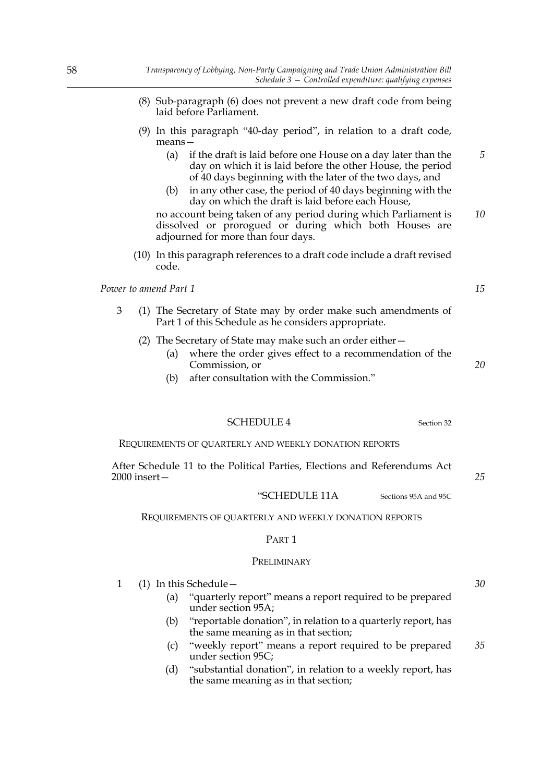- (8) Sub-paragraph (6) does not prevent a new draft code from being laid before Parliament.
- (9) In this paragraph "40-day period", in relation to a draft code, means—
	- (a) if the draft is laid before one House on a day later than the day on which it is laid before the other House, the period of 40 days beginning with the later of the two days, and *5*
	- (b) in any other case, the period of 40 days beginning with the day on which the draft is laid before each House,

no account being taken of any period during which Parliament is dissolved or prorogued or during which both Houses are adjourned for more than four days. *10*

(10) In this paragraph references to a draft code include a draft revised code.

*Power to amend Part 1*

- 3 (1) The Secretary of State may by order make such amendments of Part 1 of this Schedule as he considers appropriate.
	- (2) The Secretary of State may make such an order either—
		- (a) where the order gives effect to a recommendation of the Commission, or
		- (b) after consultation with the Commission."

#### SCHEDULE 4 Section 32

REQUIREMENTS OF QUARTERLY AND WEEKLY DONATION REPORTS

After Schedule 11 to the Political Parties, Elections and Referendums Act 2000 insert—

#### "SCHEDULE 11A Sections 95A and 95C

#### REQUIREMENTS OF QUARTERLY AND WEEKLY DONATION REPORTS

#### PART 1

#### **PRELIMINARY**

- 1 (1) In this Schedule—
	- (a) "quarterly report" means a report required to be prepared under section 95A;
	- (b) "reportable donation", in relation to a quarterly report, has the same meaning as in that section;
	- (c) "weekly report" means a report required to be prepared under section 95C; *35*
	- (d) "substantial donation", in relation to a weekly report, has the same meaning as in that section;

*30*

*25*

*15*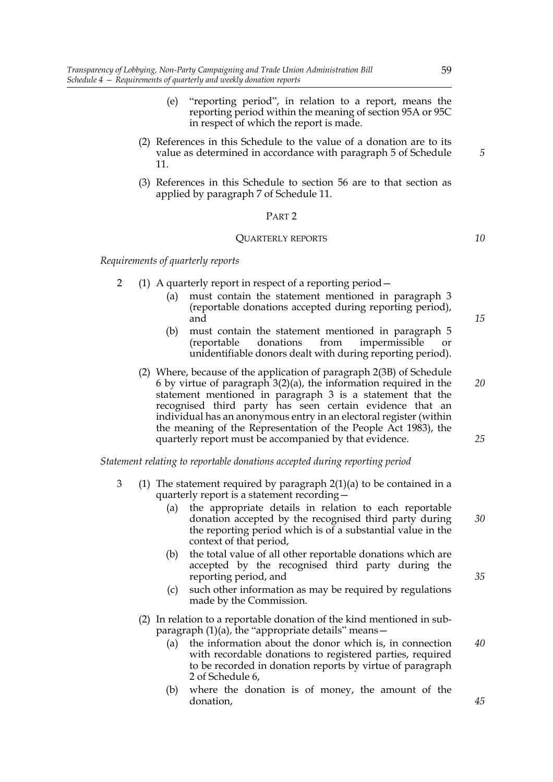- (e) "reporting period", in relation to a report, means the reporting period within the meaning of section 95A or 95C in respect of which the report is made.
- (2) References in this Schedule to the value of a donation are to its value as determined in accordance with paragraph 5 of Schedule 11.
- (3) References in this Schedule to section 56 are to that section as applied by paragraph 7 of Schedule 11.

#### PART 2

#### QUARTERLY REPORTS

*Requirements of quarterly reports*

- 2 (1) A quarterly report in respect of a reporting period—
	- (a) must contain the statement mentioned in paragraph 3 (reportable donations accepted during reporting period), and
	- (b) must contain the statement mentioned in paragraph 5 (reportable donations from impermissible or unidentifiable donors dealt with during reporting period).
	- (2) Where, because of the application of paragraph 2(3B) of Schedule 6 by virtue of paragraph 3(2)(a), the information required in the statement mentioned in paragraph 3 is a statement that the recognised third party has seen certain evidence that an individual has an anonymous entry in an electoral register (within the meaning of the Representation of the People Act 1983), the quarterly report must be accompanied by that evidence.

*Statement relating to reportable donations accepted during reporting period*

- 3 (1) The statement required by paragraph 2(1)(a) to be contained in a quarterly report is a statement recording—
	- (a) the appropriate details in relation to each reportable donation accepted by the recognised third party during the reporting period which is of a substantial value in the context of that period,
	- (b) the total value of all other reportable donations which are accepted by the recognised third party during the reporting period, and
	- (c) such other information as may be required by regulations made by the Commission.
	- (2) In relation to a reportable donation of the kind mentioned in subparagraph  $(1)(a)$ , the "appropriate details" means  $-$ 
		- (a) the information about the donor which is, in connection with recordable donations to registered parties, required to be recorded in donation reports by virtue of paragraph 2 of Schedule 6, *40*
		- (b) where the donation is of money, the amount of the donation,

*35*

*45*

*30*

*10*

*5*

*20*

*15*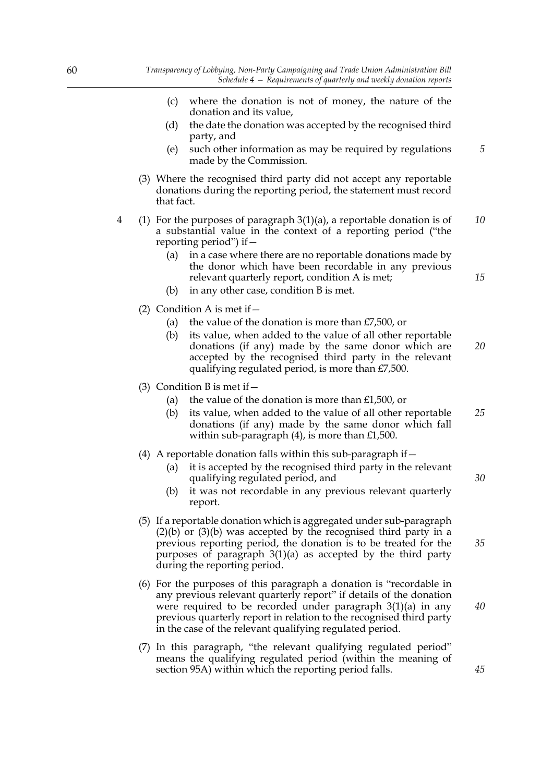- (c) where the donation is not of money, the nature of the donation and its value,
- (d) the date the donation was accepted by the recognised third party, and
- (e) such other information as may be required by regulations made by the Commission.
- (3) Where the recognised third party did not accept any reportable donations during the reporting period, the statement must record that fact.
- 4 (1) For the purposes of paragraph 3(1)(a), a reportable donation is of a substantial value in the context of a reporting period ("the reporting period") if— *10*
	- (a) in a case where there are no reportable donations made by the donor which have been recordable in any previous relevant quarterly report, condition A is met;
	- (b) in any other case, condition B is met.
	- (2) Condition A is met if  $-$ 
		- (a) the value of the donation is more than  $£7,500$ , or
		- (b) its value, when added to the value of all other reportable donations (if any) made by the same donor which are accepted by the recognised third party in the relevant qualifying regulated period, is more than £7,500. *20*
	- (3) Condition B is met if  $-$ 
		- (a) the value of the donation is more than  $£1,500$ , or
		- (b) its value, when added to the value of all other reportable donations (if any) made by the same donor which fall within sub-paragraph (4), is more than £1,500. *25*
	- (4) A reportable donation falls within this sub-paragraph if  $-$ 
		- (a) it is accepted by the recognised third party in the relevant qualifying regulated period, and
		- (b) it was not recordable in any previous relevant quarterly report.
	- (5) If a reportable donation which is aggregated under sub-paragraph (2)(b) or (3)(b) was accepted by the recognised third party in a previous reporting period, the donation is to be treated for the purposes of paragraph 3(1)(a) as accepted by the third party during the reporting period.
	- (6) For the purposes of this paragraph a donation is "recordable in any previous relevant quarterly report" if details of the donation were required to be recorded under paragraph 3(1)(a) in any previous quarterly report in relation to the recognised third party in the case of the relevant qualifying regulated period.
	- (7) In this paragraph, "the relevant qualifying regulated period" means the qualifying regulated period (within the meaning of section 95A) within which the reporting period falls.

*45*

*40*

*30*

*35*

*5*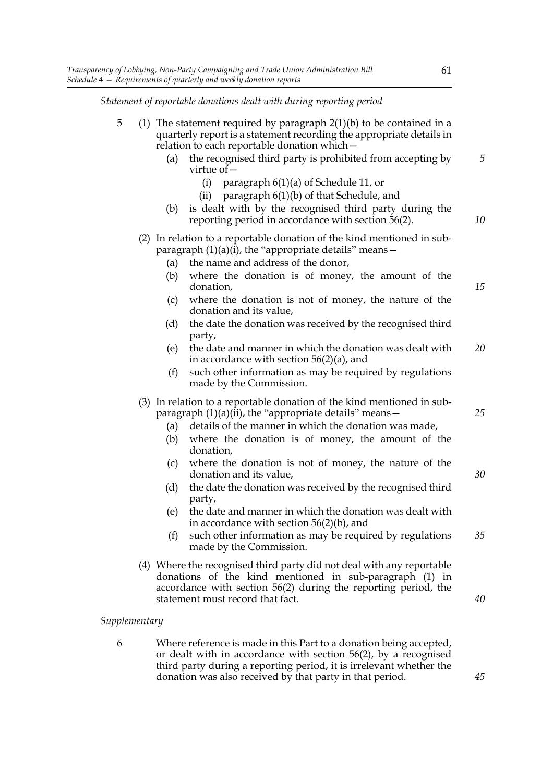*Statement of reportable donations dealt with during reporting period*

- 5 (1) The statement required by paragraph 2(1)(b) to be contained in a quarterly report is a statement recording the appropriate details in relation to each reportable donation which— (a) the recognised third party is prohibited from accepting by virtue of— (i) paragraph 6(1)(a) of Schedule 11, or (ii) paragraph 6(1)(b) of that Schedule, and (b) is dealt with by the recognised third party during the reporting period in accordance with section 56(2). (2) In relation to a reportable donation of the kind mentioned in subparagraph  $(1)(a)(i)$ , the "appropriate details" means -(a) the name and address of the donor, (b) where the donation is of money, the amount of the donation, (c) where the donation is not of money, the nature of the donation and its value, (d) the date the donation was received by the recognised third party, (e) the date and manner in which the donation was dealt with in accordance with section 56(2)(a), and (f) such other information as may be required by regulations made by the Commission. (3) In relation to a reportable donation of the kind mentioned in subparagraph  $(1)(a)(ii)$ , the "appropriate details" means -(a) details of the manner in which the donation was made, (b) where the donation is of money, the amount of the donation, (c) where the donation is not of money, the nature of the donation and its value, (d) the date the donation was received by the recognised third party, (e) the date and manner in which the donation was dealt with in accordance with section 56(2)(b), and (f) such other information as may be required by regulations made by the Commission. (4) Where the recognised third party did not deal with any reportable *5 10 15 20 25 30 35*
	- donations of the kind mentioned in sub-paragraph (1) in accordance with section 56(2) during the reporting period, the statement must record that fact.

#### *Supplementary*

6 Where reference is made in this Part to a donation being accepted, or dealt with in accordance with section 56(2), by a recognised third party during a reporting period, it is irrelevant whether the donation was also received by that party in that period.

*45*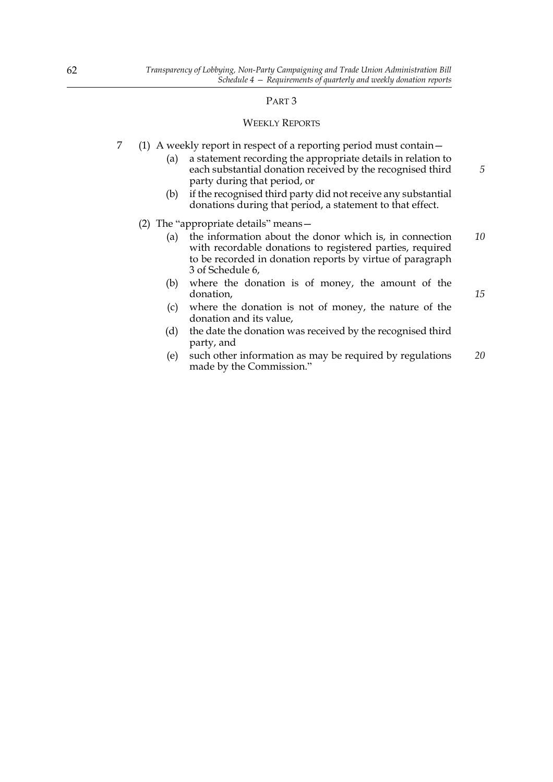#### PART 3

#### WEEKLY REPORTS

- 7 (1) A weekly report in respect of a reporting period must contain—
	- (a) a statement recording the appropriate details in relation to each substantial donation received by the recognised third party during that period, or *5*
	- (b) if the recognised third party did not receive any substantial donations during that period, a statement to that effect.
	- (2) The "appropriate details" means—
		- (a) the information about the donor which is, in connection with recordable donations to registered parties, required to be recorded in donation reports by virtue of paragraph 3 of Schedule 6, *10*

- (b) where the donation is of money, the amount of the donation,
- (c) where the donation is not of money, the nature of the donation and its value,
- (d) the date the donation was received by the recognised third party, and
- (e) such other information as may be required by regulations made by the Commission." *20*